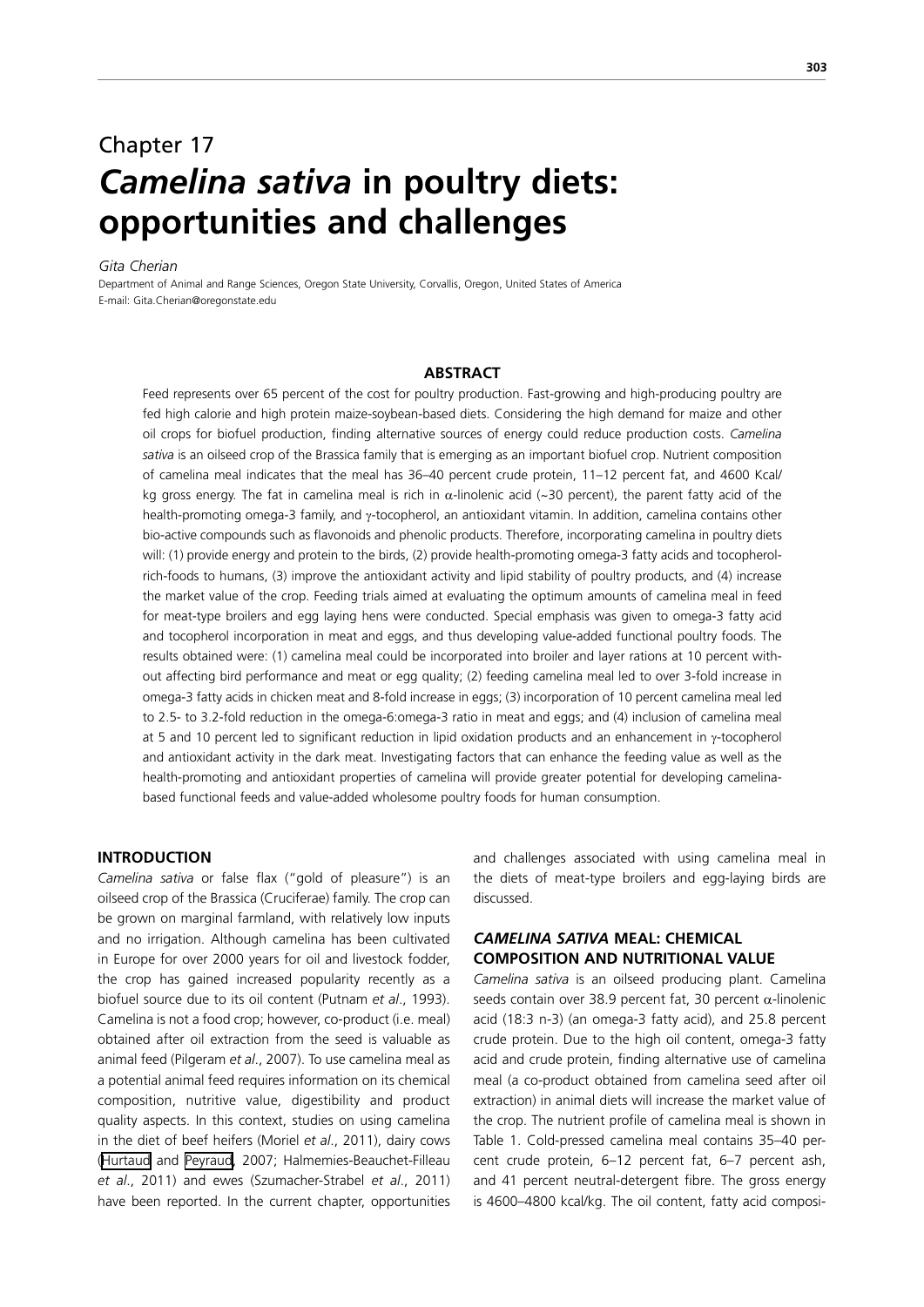# Chapter 17 *Camelina sativa* **in poultry diets: opportunities and challenges**

### *Gita Cherian*

Department of Animal and Range Sciences, Oregon State University, Corvallis, Oregon, United States of America E-mail: Gita.Cherian@oregonstate.edu

#### **ABSTRACT**

Feed represents over 65 percent of the cost for poultry production. Fast-growing and high-producing poultry are fed high calorie and high protein maize-soybean-based diets. Considering the high demand for maize and other oil crops for biofuel production, finding alternative sources of energy could reduce production costs. *Camelina sativa* is an oilseed crop of the Brassica family that is emerging as an important biofuel crop. Nutrient composition of camelina meal indicates that the meal has 36–40 percent crude protein, 11–12 percent fat, and 4600 Kcal/ kg gross energy. The fat in camelina meal is rich in  $\alpha$ -linolenic acid (~30 percent), the parent fatty acid of the health-promoting omega-3 family, and γ-tocopherol, an antioxidant vitamin. In addition, camelina contains other bio-active compounds such as flavonoids and phenolic products. Therefore, incorporating camelina in poultry diets will: (1) provide energy and protein to the birds, (2) provide health-promoting omega-3 fatty acids and tocopherolrich-foods to humans, (3) improve the antioxidant activity and lipid stability of poultry products, and (4) increase the market value of the crop. Feeding trials aimed at evaluating the optimum amounts of camelina meal in feed for meat-type broilers and egg laying hens were conducted. Special emphasis was given to omega-3 fatty acid and tocopherol incorporation in meat and eggs, and thus developing value-added functional poultry foods. The results obtained were: (1) camelina meal could be incorporated into broiler and layer rations at 10 percent without affecting bird performance and meat or egg quality; (2) feeding camelina meal led to over 3-fold increase in omega-3 fatty acids in chicken meat and 8-fold increase in eggs; (3) incorporation of 10 percent camelina meal led to 2.5- to 3.2-fold reduction in the omega-6:omega-3 ratio in meat and eggs; and (4) inclusion of camelina meal at 5 and 10 percent led to significant reduction in lipid oxidation products and an enhancement in γ-tocopherol and antioxidant activity in the dark meat. Investigating factors that can enhance the feeding value as well as the health-promoting and antioxidant properties of camelina will provide greater potential for developing camelinabased functional feeds and value-added wholesome poultry foods for human consumption.

# **INTRODUCTION**

*Camelina sativa* or false flax ("gold of pleasure") is an oilseed crop of the Brassica (Cruciferae) family. The crop can be grown on marginal farmland, with relatively low inputs and no irrigation. Although camelina has been cultivated in Europe for over 2000 years for oil and livestock fodder, the crop has gained increased popularity recently as a biofuel source due to its oil content (Putnam *et al*., 1993). Camelina is not a food crop; however, co-product (i.e. meal) obtained after oil extraction from the seed is valuable as animal feed (Pilgeram *et al*., 2007). To use camelina meal as a potential animal feed requires information on its chemical composition, nutritive value, digestibility and product quality aspects. In this context, studies on using camelina in the diet of beef heifers (Moriel *et al*., 2011), dairy cows ([Hurtaud](http://www.journalofdairyscience.org/article/S0022-0302(07)71983-5/fulltext##) and [Peyraud,](http://www.journalofdairyscience.org/article/S0022-0302(07)71983-5/fulltext##) 2007; Halmemies-Beauchet-Filleau *et al*., 2011) and ewes (Szumacher-Strabel *et al*., 2011) have been reported. In the current chapter, opportunities

and challenges associated with using camelina meal in the diets of meat-type broilers and egg-laying birds are discussed.

# *CAMELINA SATIVA* **MEAL: CHEMICAL COMPOSITION AND NUTRITIONAL VALUE**

*Camelina sativa* is an oilseed producing plant. Camelina seeds contain over 38.9 percent fat, 30 percent  $\alpha$ -linolenic acid (18:3 n-3) (an omega-3 fatty acid), and 25.8 percent crude protein. Due to the high oil content, omega-3 fatty acid and crude protein, finding alternative use of camelina meal (a co-product obtained from camelina seed after oil extraction) in animal diets will increase the market value of the crop. The nutrient profile of camelina meal is shown in Table 1. Cold-pressed camelina meal contains 35–40 percent crude protein, 6–12 percent fat, 6–7 percent ash, and 41 percent neutral-detergent fibre. The gross energy is 4600–4800 kcal/kg. The oil content, fatty acid composi-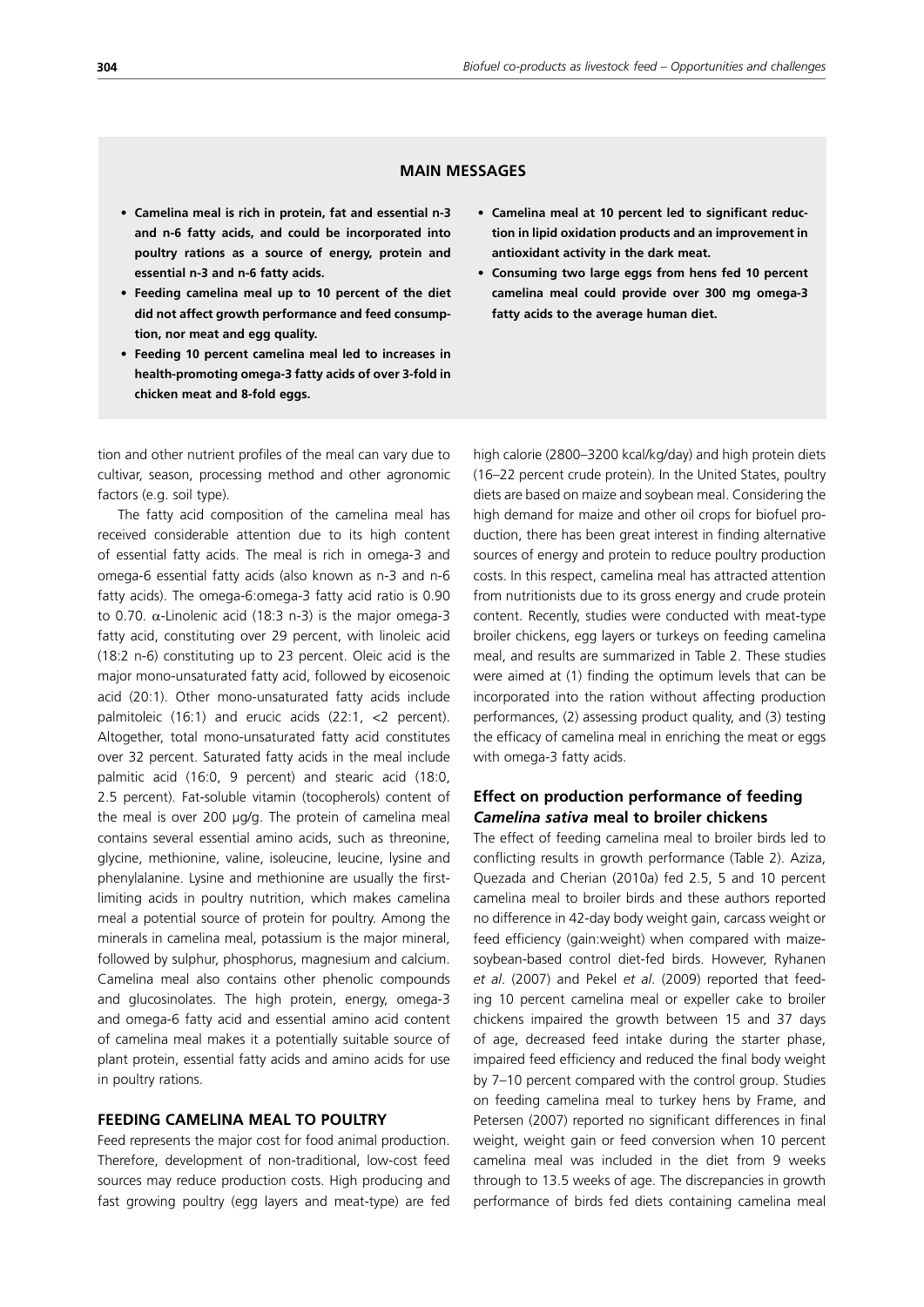# **MAIN MESSAGES**

- **• Camelina meal is rich in protein, fat and essential n-3 and n-6 fatty acids, and could be incorporated into poultry rations as a source of energy, protein and essential n-3 and n-6 fatty acids.**
- **• Feeding camelina meal up to 10 percent of the diet did not affect growth performance and feed consumption, nor meat and egg quality.**
- **• Feeding 10 percent camelina meal led to increases in health-promoting omega-3 fatty acids of over 3-fold in chicken meat and 8-fold eggs.**

tion and other nutrient profiles of the meal can vary due to cultivar, season, processing method and other agronomic factors (e.g. soil type).

The fatty acid composition of the camelina meal has received considerable attention due to its high content of essential fatty acids. The meal is rich in omega-3 and omega-6 essential fatty acids (also known as n-3 and n-6 fatty acids). The omega-6:omega-3 fatty acid ratio is 0.90 to 0.70.  $\alpha$ -Linolenic acid (18:3 n-3) is the major omega-3 fatty acid, constituting over 29 percent, with linoleic acid (18:2 n-6) constituting up to 23 percent. Oleic acid is the major mono-unsaturated fatty acid, followed by eicosenoic acid (20:1). Other mono-unsaturated fatty acids include palmitoleic (16:1) and erucic acids (22:1, <2 percent). Altogether, total mono-unsaturated fatty acid constitutes over 32 percent. Saturated fatty acids in the meal include palmitic acid (16:0, 9 percent) and stearic acid (18:0, 2.5 percent). Fat-soluble vitamin (tocopherols) content of the meal is over 200  $\mu$ g/g. The protein of camelina meal contains several essential amino acids, such as threonine, glycine, methionine, valine, isoleucine, leucine, lysine and phenylalanine. Lysine and methionine are usually the firstlimiting acids in poultry nutrition, which makes camelina meal a potential source of protein for poultry. Among the minerals in camelina meal, potassium is the major mineral, followed by sulphur, phosphorus, magnesium and calcium. Camelina meal also contains other phenolic compounds and glucosinolates. The high protein, energy, omega-3 and omega-6 fatty acid and essential amino acid content of camelina meal makes it a potentially suitable source of plant protein, essential fatty acids and amino acids for use in poultry rations.

# **FEEDING CAMELINA MEAL TO POULTRY**

Feed represents the major cost for food animal production. Therefore, development of non-traditional, low-cost feed sources may reduce production costs. High producing and fast growing poultry (egg layers and meat-type) are fed

- **• Camelina meal at 10 percent led to significant reduction in lipid oxidation products and an improvement in antioxidant activity in the dark meat.**
- **• Consuming two large eggs from hens fed 10 percent camelina meal could provide over 300 mg omega-3 fatty acids to the average human diet.**

high calorie (2800–3200 kcal/kg/day) and high protein diets (16–22 percent crude protein). In the United States, poultry diets are based on maize and soybean meal. Considering the high demand for maize and other oil crops for biofuel production, there has been great interest in finding alternative sources of energy and protein to reduce poultry production costs. In this respect, camelina meal has attracted attention from nutritionists due to its gross energy and crude protein content. Recently, studies were conducted with meat-type broiler chickens, egg layers or turkeys on feeding camelina meal, and results are summarized in Table 2. These studies were aimed at (1) finding the optimum levels that can be incorporated into the ration without affecting production performances, (2) assessing product quality, and (3) testing the efficacy of camelina meal in enriching the meat or eggs with omega-3 fatty acids.

# **Effect on production performance of feeding**  *Camelina sativa* **meal to broiler chickens**

The effect of feeding camelina meal to broiler birds led to conflicting results in growth performance (Table 2). Aziza, Quezada and Cherian (2010a) fed 2.5, 5 and 10 percent camelina meal to broiler birds and these authors reported no difference in 42-day body weight gain, carcass weight or feed efficiency (gain:weight) when compared with maizesoybean-based control diet-fed birds. However, Ryhanen *et al*. (2007) and Pekel *et al*. (2009) reported that feeding 10 percent camelina meal or expeller cake to broiler chickens impaired the growth between 15 and 37 days of age, decreased feed intake during the starter phase, impaired feed efficiency and reduced the final body weight by 7–10 percent compared with the control group. Studies on feeding camelina meal to turkey hens by Frame, and Petersen (2007) reported no significant differences in final weight, weight gain or feed conversion when 10 percent camelina meal was included in the diet from 9 weeks through to 13.5 weeks of age. The discrepancies in growth performance of birds fed diets containing camelina meal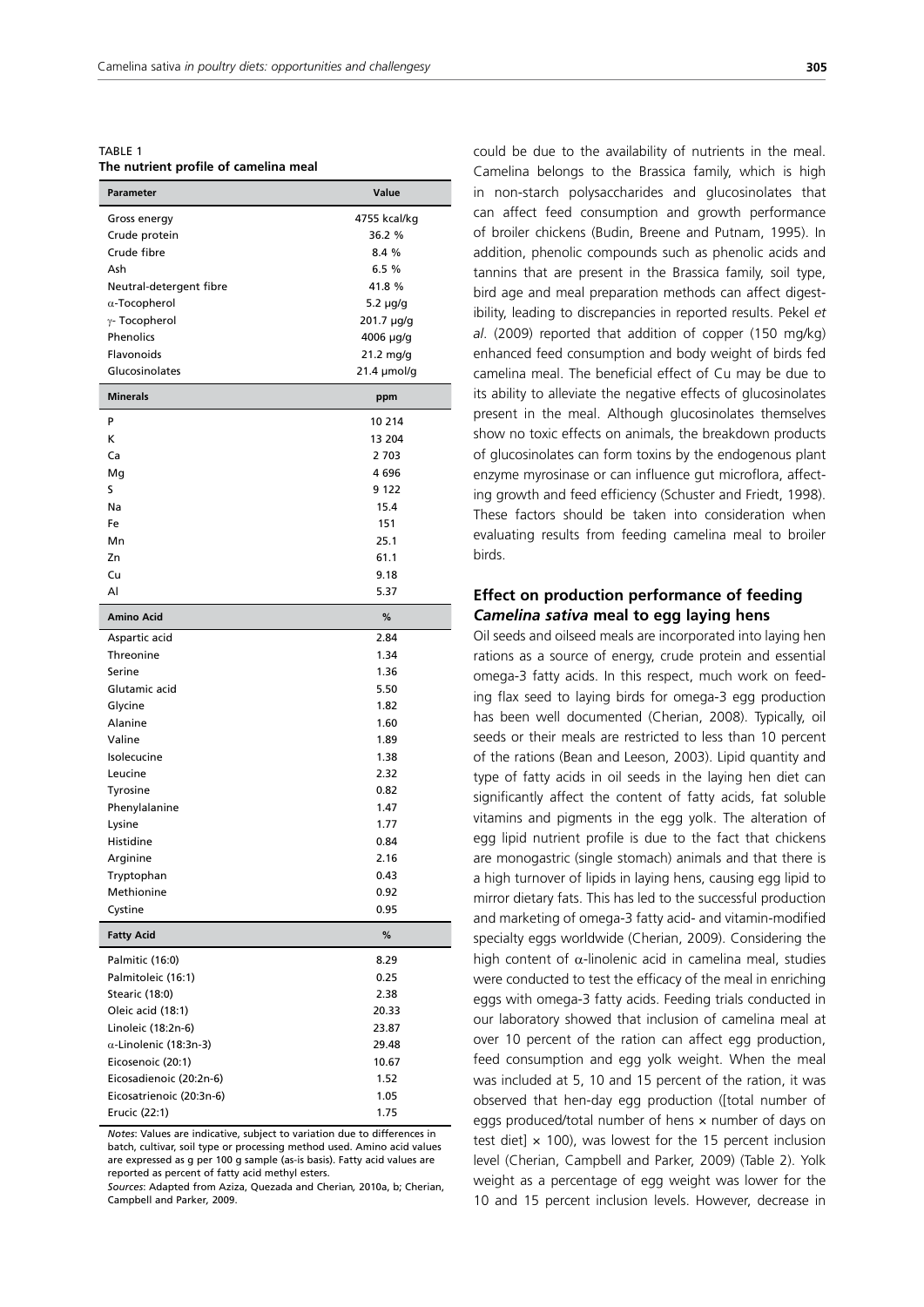TABLE 1 **The nutrient profile of camelina meal**

| Parameter                     | Value            |
|-------------------------------|------------------|
| Gross energy                  | 4755 kcal/kg     |
| Crude protein                 | 36.2 %           |
| Crude fibre                   | 8.4 %            |
| Ash                           | 6.5 %            |
| Neutral-detergent fibre       | 41.8 %           |
| $\alpha$ -Tocopherol          | 5.2 µg/g         |
| $\gamma$ - Tocopherol         | 201.7 µg/g       |
| Phenolics                     | 4006 µg/g        |
| Flavonoids                    | 21.2 mg/g        |
| Glucosinolates                | $21.4 \mu$ mol/g |
| <b>Minerals</b>               | ppm              |
| P                             | 10 214           |
| K                             | 13 204           |
| Ca                            | 2 703            |
| Mg                            | 4696             |
| S                             | 9 1 2 2          |
| Na                            | 15.4             |
| Fe                            | 151              |
| Mn                            | 25.1             |
| Zn                            | 61.1             |
| Cu                            | 9.18             |
| Al                            | 5.37             |
| <b>Amino Acid</b>             | %                |
| Aspartic acid                 | 2.84             |
| Threonine                     | 1.34             |
| Serine                        | 1.36             |
| Glutamic acid                 | 5.50             |
| Glycine                       | 1.82             |
| Alanine                       | 1.60             |
| Valine                        | 1.89             |
| Isolecucine                   | 1.38             |
| Leucine                       | 2.32             |
| Tyrosine                      | 0.82             |
| Phenylalanine                 | 1.47             |
| Lysine                        | 1.77             |
| Histidine                     | 0.84             |
| Arginine                      | 2.16             |
| Tryptophan                    | 0.43             |
| Methionine                    | 0.92             |
| Cystine                       | 0.95             |
| <b>Fatty Acid</b>             | $\%$             |
| Palmitic (16:0)               | 8.29             |
| Palmitoleic (16:1)            | 0.25             |
| Stearic (18:0)                | 2.38             |
| Oleic acid (18:1)             | 20.33            |
| Linoleic (18:2n-6)            | 23.87            |
| $\alpha$ -Linolenic (18:3n-3) | 29.48            |
| Eicosenoic (20:1)             | 10.67            |
| Eicosadienoic (20:2n-6)       | 1.52             |
| Eicosatrienoic (20:3n-6)      | 1.05             |
| Erucic (22:1)                 | 1.75             |

*Notes*: Values are indicative, subject to variation due to differences in batch, cultivar, soil type or processing method used. Amino acid values are expressed as g per 100 g sample (as-is basis). Fatty acid values are reported as percent of fatty acid methyl esters.

*Sources*: Adapted from Aziza, Quezada and Cherian*,* 2010a, b; Cherian, Campbell and Parker*,* 2009.

could be due to the availability of nutrients in the meal. Camelina belongs to the Brassica family, which is high in non-starch polysaccharides and glucosinolates that can affect feed consumption and growth performance of broiler chickens (Budin, Breene and Putnam, 1995). In addition, phenolic compounds such as phenolic acids and tannins that are present in the Brassica family, soil type, bird age and meal preparation methods can affect digestibility, leading to discrepancies in reported results. Pekel *et al*. (2009) reported that addition of copper (150 mg/kg) enhanced feed consumption and body weight of birds fed camelina meal. The beneficial effect of Cu may be due to its ability to alleviate the negative effects of glucosinolates present in the meal. Although glucosinolates themselves show no toxic effects on animals, the breakdown products of glucosinolates can form toxins by the endogenous plant enzyme myrosinase or can influence gut microflora, affecting growth and feed efficiency (Schuster and Friedt, 1998). These factors should be taken into consideration when evaluating results from feeding camelina meal to broiler birds.

# **Effect on production performance of feeding**  *Camelina sativa* **meal to egg laying hens**

Oil seeds and oilseed meals are incorporated into laying hen rations as a source of energy, crude protein and essential omega-3 fatty acids. In this respect, much work on feeding flax seed to laying birds for omega-3 egg production has been well documented (Cherian, 2008). Typically, oil seeds or their meals are restricted to less than 10 percent of the rations (Bean and Leeson, 2003). Lipid quantity and type of fatty acids in oil seeds in the laying hen diet can significantly affect the content of fatty acids, fat soluble vitamins and pigments in the egg yolk. The alteration of egg lipid nutrient profile is due to the fact that chickens are monogastric (single stomach) animals and that there is a high turnover of lipids in laying hens, causing egg lipid to mirror dietary fats. This has led to the successful production and marketing of omega-3 fatty acid- and vitamin-modified specialty eggs worldwide (Cherian, 2009). Considering the high content of  $\alpha$ -linolenic acid in camelina meal, studies were conducted to test the efficacy of the meal in enriching eggs with omega-3 fatty acids. Feeding trials conducted in our laboratory showed that inclusion of camelina meal at over 10 percent of the ration can affect egg production, feed consumption and egg yolk weight. When the meal was included at 5, 10 and 15 percent of the ration, it was observed that hen-day egg production ([total number of eggs produced/total number of hens × number of days on test diet]  $\times$  100), was lowest for the 15 percent inclusion level (Cherian, Campbell and Parker, 2009) (Table 2). Yolk weight as a percentage of egg weight was lower for the 10 and 15 percent inclusion levels. However, decrease in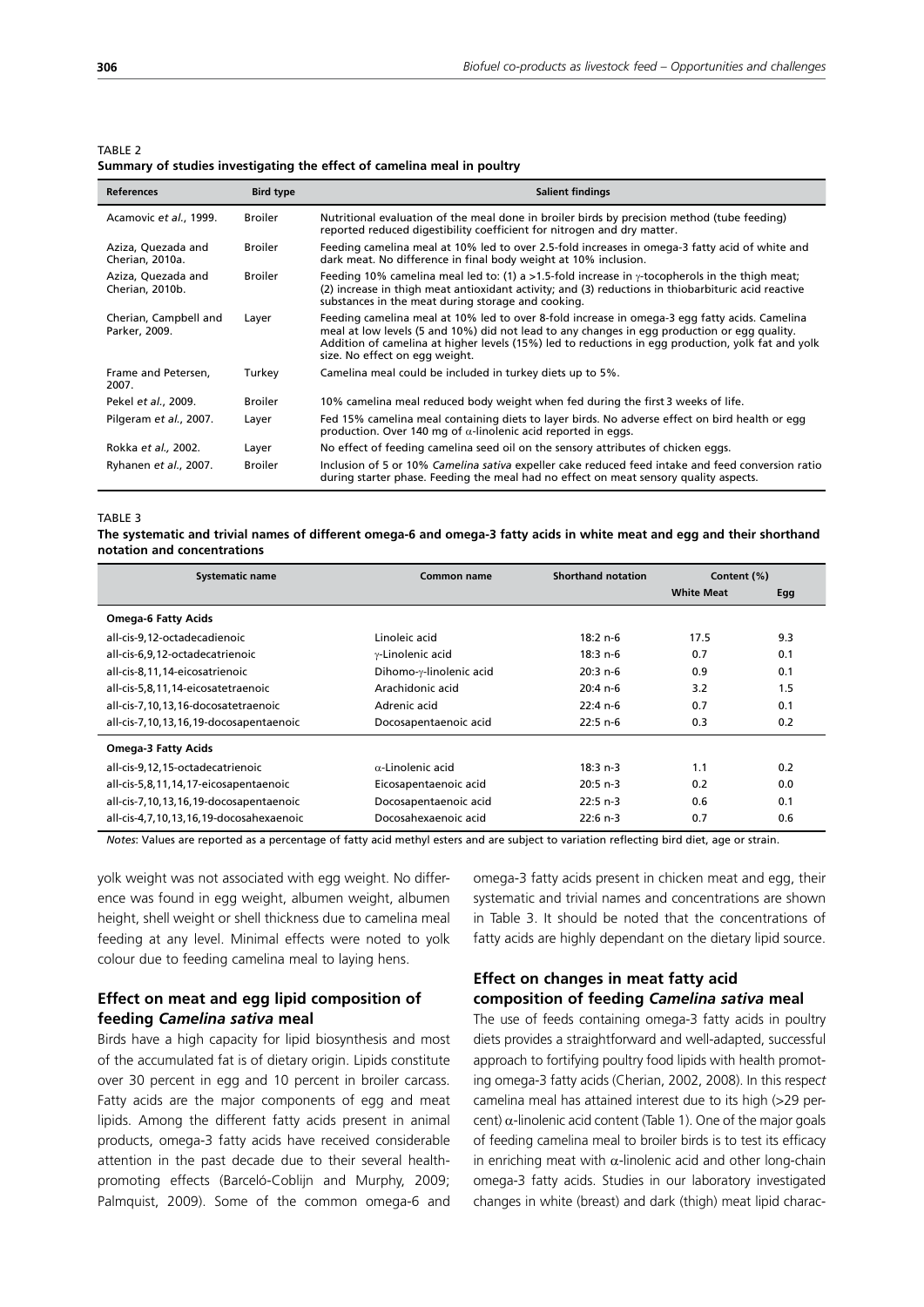TARI F<sub>2</sub>

#### **Summary of studies investigating the effect of camelina meal in poultry**

| <b>References</b>                      | <b>Bird type</b> | <b>Salient findings</b>                                                                                                                                                                                                                                                                                                               |
|----------------------------------------|------------------|---------------------------------------------------------------------------------------------------------------------------------------------------------------------------------------------------------------------------------------------------------------------------------------------------------------------------------------|
| Acamovic et al., 1999.                 | <b>Broiler</b>   | Nutritional evaluation of the meal done in broiler birds by precision method (tube feeding)<br>reported reduced digestibility coefficient for nitrogen and dry matter.                                                                                                                                                                |
| Aziza, Quezada and<br>Cherian, 2010a.  | <b>Broiler</b>   | Feeding camelina meal at 10% led to over 2.5-fold increases in omega-3 fatty acid of white and<br>dark meat. No difference in final body weight at 10% inclusion.                                                                                                                                                                     |
| Aziza, Quezada and<br>Cherian, 2010b.  | <b>Broiler</b>   | Feeding 10% camelina meal led to: (1) a >1.5-fold increase in $\gamma$ -tocopherols in the thigh meat;<br>(2) increase in thigh meat antioxidant activity; and (3) reductions in thiobarbituric acid reactive<br>substances in the meat during storage and cooking.                                                                   |
| Cherian, Campbell and<br>Parker, 2009. | Layer            | Feeding camelina meal at 10% led to over 8-fold increase in omega-3 egg fatty acids. Camelina<br>meal at low levels (5 and 10%) did not lead to any changes in egg production or egg quality.<br>Addition of camelina at higher levels (15%) led to reductions in egg production, yolk fat and yolk<br>size. No effect on egg weight. |
| Frame and Petersen,<br>2007.           | Turkey           | Camelina meal could be included in turkey diets up to 5%.                                                                                                                                                                                                                                                                             |
| Pekel et al., 2009.                    | <b>Broiler</b>   | 10% camelina meal reduced body weight when fed during the first 3 weeks of life.                                                                                                                                                                                                                                                      |
| Pilgeram et al., 2007.                 | Layer            | Fed 15% camelina meal containing diets to layer birds. No adverse effect on bird health or egg<br>production. Over 140 mg of $\alpha$ -linolenic acid reported in eggs.                                                                                                                                                               |
| Rokka et al., 2002.                    | Layer            | No effect of feeding camelina seed oil on the sensory attributes of chicken eggs.                                                                                                                                                                                                                                                     |
| Ryhanen et al., 2007.                  | <b>Broiler</b>   | Inclusion of 5 or 10% Camelina sativa expeller cake reduced feed intake and feed conversion ratio<br>during starter phase. Feeding the meal had no effect on meat sensory quality aspects.                                                                                                                                            |

#### TABLE 3

**The systematic and trivial names of different omega-6 and omega-3 fatty acids in white meat and egg and their shorthand notation and concentrations**

| <b>Systematic name</b>                  | Common name              | <b>Shorthand notation</b> | Content (%)       |     |
|-----------------------------------------|--------------------------|---------------------------|-------------------|-----|
|                                         |                          |                           | <b>White Meat</b> | Egg |
| <b>Omega-6 Fatty Acids</b>              |                          |                           |                   |     |
| all-cis-9,12-octadecadienoic            | Linoleic acid            | $18:2 n-6$                | 17.5              | 9.3 |
| all-cis-6,9,12-octadecatrienoic         | y-Linolenic acid         | $18:3n-6$                 | 0.7               | 0.1 |
| all-cis-8,11,14-eicosatrienoic          | Dihomo-y-linolenic acid  | $20:3n-6$                 | 0.9               | 0.1 |
| all-cis-5,8,11,14-eicosatetraenoic      | Arachidonic acid         | $20:4 n-6$                | 3.2               | 1.5 |
| all-cis-7,10,13,16-docosatetraenoic     | Adrenic acid             | $22:4 n-6$                | 0.7               | 0.1 |
| all-cis-7,10,13,16,19-docosapentaenoic  | Docosapentaenoic acid    | $22:5 n-6$                | 0.3               | 0.2 |
| <b>Omega-3 Fatty Acids</b>              |                          |                           |                   |     |
| all-cis-9,12,15-octadecatrienoic        | $\alpha$ -Linolenic acid | $18:3 n-3$                | 1.1               | 0.2 |
| all-cis-5,8,11,14,17-eicosapentaenoic   | Eicosapentaenoic acid    | $20:5 n-3$                | 0.2               | 0.0 |
| all-cis-7,10,13,16,19-docosapentaenoic  | Docosapentaenoic acid    | $22:5 n-3$                | 0.6               | 0.1 |
| all-cis-4,7,10,13,16,19-docosahexaenoic | Docosahexaenoic acid     | $22:6 n-3$                | 0.7               | 0.6 |

*Notes*: Values are reported as a percentage of fatty acid methyl esters and are subject to variation reflecting bird diet, age or strain.

yolk weight was not associated with egg weight. No difference was found in egg weight, albumen weight, albumen height, shell weight or shell thickness due to camelina meal feeding at any level. Minimal effects were noted to yolk colour due to feeding camelina meal to laying hens.

# **Effect on meat and egg lipid composition of feeding** *Camelina sativa* **meal**

Birds have a high capacity for lipid biosynthesis and most of the accumulated fat is of dietary origin. Lipids constitute over 30 percent in egg and 10 percent in broiler carcass. Fatty acids are the major components of egg and meat lipids. Among the different fatty acids present in animal products, omega-3 fatty acids have received considerable attention in the past decade due to their several healthpromoting effects (Barceló-Coblijn and Murphy, 2009; Palmquist, 2009). Some of the common omega-6 and omega-3 fatty acids present in chicken meat and egg, their systematic and trivial names and concentrations are shown in Table 3. It should be noted that the concentrations of fatty acids are highly dependant on the dietary lipid source.

# **Effect on changes in meat fatty acid composition of feeding** *Camelina sativa* **meal**

The use of feeds containing omega-3 fatty acids in poultry diets provides a straightforward and well-adapted, successful approach to fortifying poultry food lipids with health promoting omega-3 fatty acids (Cherian, 2002, 2008). In this respe*ct*  camelina meal has attained interest due to its high (>29 percent)  $\alpha$ -linolenic acid content (Table 1). One of the major goals of feeding camelina meal to broiler birds is to test its efficacy in enriching meat with  $\alpha$ -linolenic acid and other long-chain omega-3 fatty acids. Studies in our laboratory investigated changes in white (breast) and dark (thigh) meat lipid charac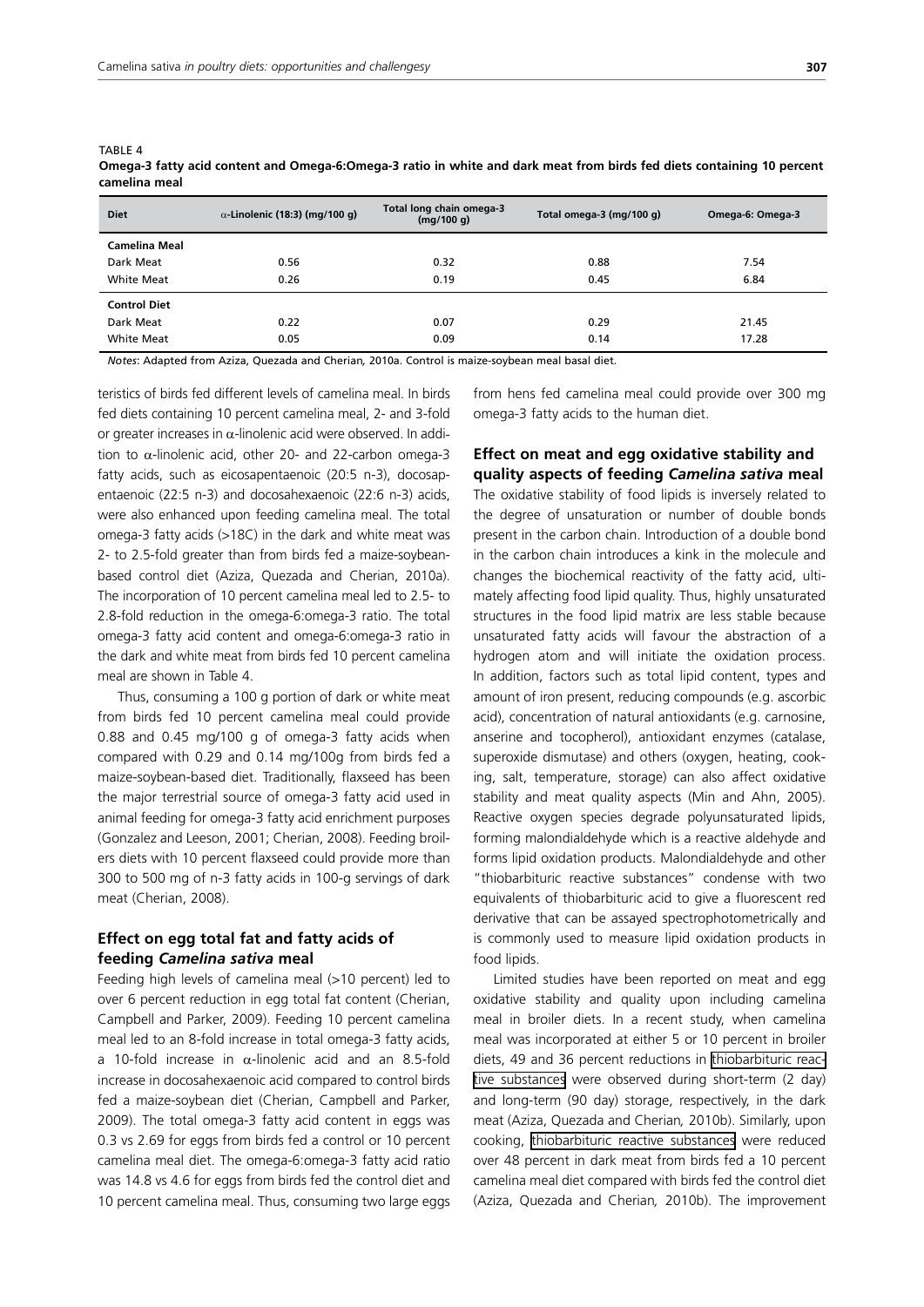TABLE 4

| <b>Diet</b>         | $\alpha$ -Linolenic (18:3) (mg/100 g) | Total long chain omega-3<br>(mq/100 q) | Total omega-3 (mg/100 g) | Omega-6: Omega-3 |
|---------------------|---------------------------------------|----------------------------------------|--------------------------|------------------|
| Camelina Meal       |                                       |                                        |                          |                  |
| Dark Meat           | 0.56                                  | 0.32                                   | 0.88                     | 7.54             |
| White Meat          | 0.26                                  | 0.19                                   | 0.45                     | 6.84             |
| <b>Control Diet</b> |                                       |                                        |                          |                  |
| Dark Meat           | 0.22                                  | 0.07                                   | 0.29                     | 21.45            |
| White Meat          | 0.05                                  | 0.09                                   | 0.14                     | 17.28            |

**Omega-3 fatty acid content and Omega-6:Omega-3 ratio in white and dark meat from birds fed diets containing 10 percent camelina meal**

*Notes*: Adapted from Aziza, Quezada and Cherian*,* 2010a. Control is maize-soybean meal basal diet.

teristics of birds fed different levels of camelina meal. In birds fed diets containing 10 percent camelina meal, 2- and 3-fold or greater increases in  $\alpha$ -linolenic acid were observed. In addition to  $\alpha$ -linolenic acid, other 20- and 22-carbon omega-3 fatty acids, such as eicosapentaenoic (20:5 n-3), docosapentaenoic (22:5 n-3) and docosahexaenoic (22:6 n-3) acids, were also enhanced upon feeding camelina meal. The total omega-3 fatty acids (>18C) in the dark and white meat was 2- to 2.5-fold greater than from birds fed a maize-soybeanbased control diet (Aziza, Quezada and Cherian, 2010a). The incorporation of 10 percent camelina meal led to 2.5- to 2.8-fold reduction in the omega-6:omega-3 ratio. The total omega-3 fatty acid content and omega-6:omega-3 ratio in the dark and white meat from birds fed 10 percent camelina meal are shown in Table 4.

Thus, consuming a 100 g portion of dark or white meat from birds fed 10 percent camelina meal could provide 0.88 and 0.45 mg/100 g of omega-3 fatty acids when compared with 0.29 and 0.14 mg/100g from birds fed a maize-soybean-based diet. Traditionally, flaxseed has been the major terrestrial source of omega-3 fatty acid used in animal feeding for omega-3 fatty acid enrichment purposes (Gonzalez and Leeson, 2001; Cherian, 2008). Feeding broilers diets with 10 percent flaxseed could provide more than 300 to 500 mg of n-3 fatty acids in 100-g servings of dark meat (Cherian, 2008).

# **Effect on egg total fat and fatty acids of feeding** *Camelina sativa* **meal**

Feeding high levels of camelina meal (>10 percent) led to over 6 percent reduction in egg total fat content (Cherian, Campbell and Parker, 2009). Feeding 10 percent camelina meal led to an 8-fold increase in total omega-3 fatty acids, a 10-fold increase in  $\alpha$ -linolenic acid and an 8.5-fold increase in docosahexaenoic acid compared to control birds fed a maize-soybean diet (Cherian, Campbell and Parker, 2009). The total omega-3 fatty acid content in eggs was 0.3 vs 2.69 for eggs from birds fed a control or 10 percent camelina meal diet. The omega-6:omega-3 fatty acid ratio was 14.8 vs 4.6 for eggs from birds fed the control diet and 10 percent camelina meal. Thus, consuming two large eggs from hens fed camelina meal could provide over 300 mg omega-3 fatty acids to the human diet.

# **Effect on meat and egg oxidative stability and quality aspects of feeding** *Camelina sativa* **meal**

The oxidative stability of food lipids is inversely related to the degree of unsaturation or number of double bonds present in the carbon chain. Introduction of a double bond in the carbon chain introduces a kink in the molecule and changes the biochemical reactivity of the fatty acid, ultimately affecting food lipid quality. Thus, highly unsaturated structures in the food lipid matrix are less stable because unsaturated fatty acids will favour the abstraction of a hydrogen atom and will initiate the oxidation process. In addition, factors such as total lipid content, types and amount of iron present, reducing compounds (e.g. ascorbic acid), concentration of natural antioxidants (e.g. carnosine, anserine and tocopherol), antioxidant enzymes (catalase, superoxide dismutase) and others (oxygen, heating, cooking, salt, temperature, storage) can also affect oxidative stability and meat quality aspects (Min and Ahn, 2005). Reactive oxygen species degrade polyunsaturated lipids, forming malondialdehyde which is a reactive aldehyde and forms lipid oxidation products. Malondialdehyde and other "thiobarbituric reactive substances" condense with two equivalents of thiobarbituric acid to give a fluorescent red derivative that can be assayed spectrophotometrically and is commonly used to measure lipid oxidation products in food lipids.

Limited studies have been reported on meat and egg oxidative stability and quality upon including camelina meal in broiler diets. In a recent study, when camelina meal was incorporated at either 5 or 10 percent in broiler diets, 49 and 36 percent reductions in [thiobarbituric reac](http://en.wikipedia.org/w/index.php?title=Thiobarbituric_reactive_substances&action=edit&redlink=1)[tive substances](http://en.wikipedia.org/w/index.php?title=Thiobarbituric_reactive_substances&action=edit&redlink=1) were observed during short-term (2 day) and long-term (90 day) storage, respectively, in the dark meat (Aziza, Quezada and Cherian*,* 2010b). Similarly, upon cooking, [thiobarbituric reactive substances](http://en.wikipedia.org/w/index.php?title=Thiobarbituric_reactive_substances&action=edit&redlink=1) were reduced over 48 percent in dark meat from birds fed a 10 percent camelina meal diet compared with birds fed the control diet (Aziza, Quezada and Cherian*,* 2010b). The improvement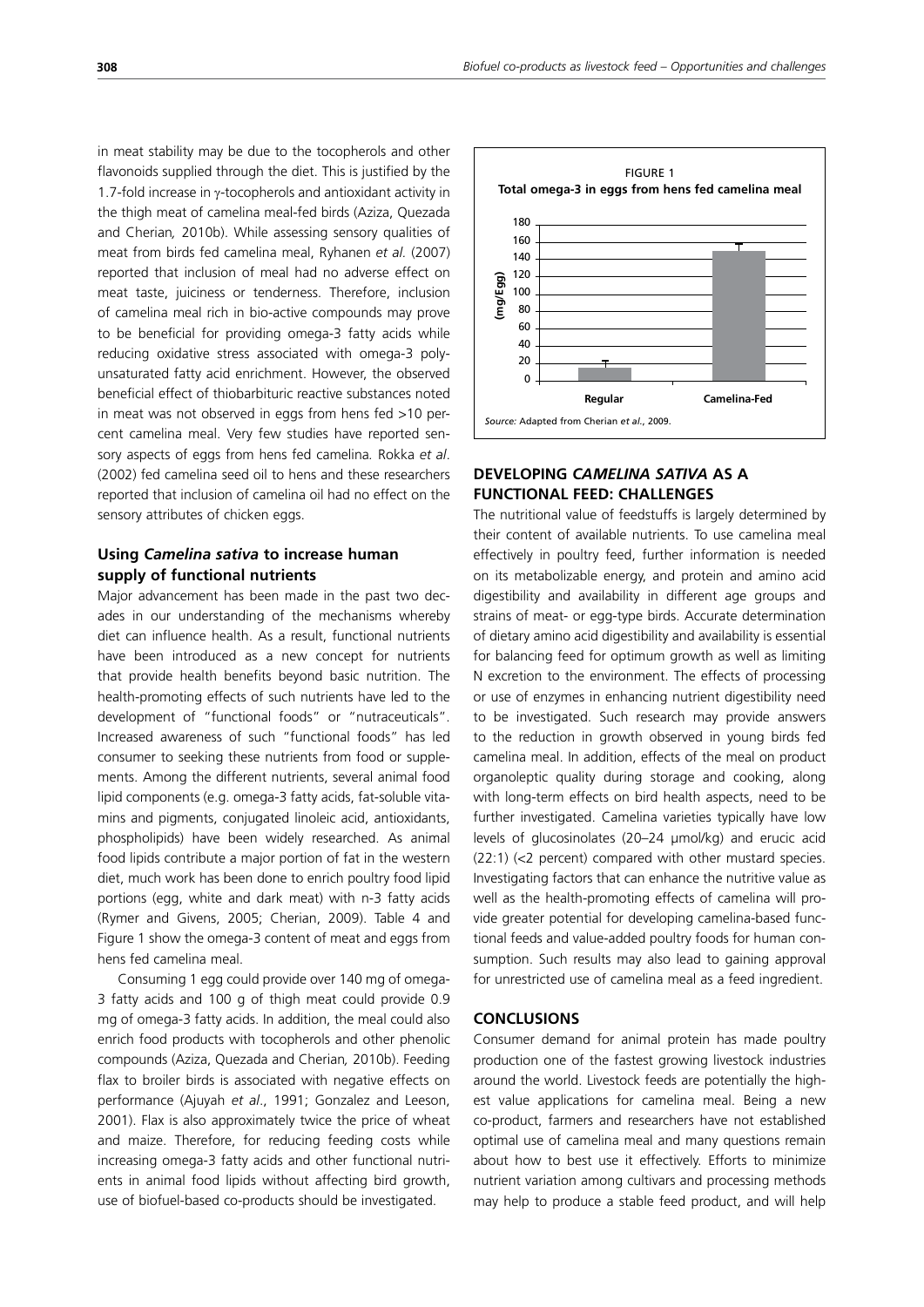in meat stability may be due to the tocopherols and other flavonoids supplied through the diet. This is justified by the 1.7-fold increase in γ-tocopherols and antioxidant activity in the thigh meat of camelina meal-fed birds (Aziza, Quezada and Cherian*,* 2010b). While assessing sensory qualities of meat from birds fed camelina meal, Ryhanen *et al.* (2007) reported that inclusion of meal had no adverse effect on meat taste, juiciness or tenderness. Therefore, inclusion of camelina meal rich in bio-active compounds may prove to be beneficial for providing omega-3 fatty acids while reducing oxidative stress associated with omega-3 polyunsaturated fatty acid enrichment. However, the observed beneficial effect of thiobarbituric reactive substances noted in meat was not observed in eggs from hens fed >10 percent camelina meal. Very few studies have reported sensory aspects of eggs from hens fed camelina*.* Rokka *et al*. (2002) fed camelina seed oil to hens and these researchers reported that inclusion of camelina oil had no effect on the sensory attributes of chicken eggs.

# **Using** *Camelina sativa* **to increase human supply of functional nutrients**

Major advancement has been made in the past two decades in our understanding of the mechanisms whereby diet can influence health. As a result, functional nutrients have been introduced as a new concept for nutrients that provide health benefits beyond basic nutrition. The health-promoting effects of such nutrients have led to the development of "functional foods" or "nutraceuticals". Increased awareness of such "functional foods" has led consumer to seeking these nutrients from food or supplements. Among the different nutrients, several animal food lipid components (e.g. omega-3 fatty acids, fat-soluble vitamins and pigments, conjugated linoleic acid, antioxidants, phospholipids) have been widely researched. As animal food lipids contribute a major portion of fat in the western diet, much work has been done to enrich poultry food lipid portions (egg, white and dark meat) with n-3 fatty acids (Rymer and Givens, 2005; Cherian, 2009). Table 4 and Figure 1 show the omega-3 content of meat and eggs from hens fed camelina meal.

Consuming 1 egg could provide over 140 mg of omega-3 fatty acids and 100 g of thigh meat could provide 0.9 mg of omega-3 fatty acids. In addition, the meal could also enrich food products with tocopherols and other phenolic compounds (Aziza, Quezada and Cherian*,* 2010b). Feeding flax to broiler birds is associated with negative effects on performance (Ajuyah *et al*., 1991; Gonzalez and Leeson, 2001). Flax is also approximately twice the price of wheat and maize. Therefore, for reducing feeding costs while increasing omega-3 fatty acids and other functional nutrients in animal food lipids without affecting bird growth, use of biofuel-based co-products should be investigated.



# **DEVELOPING** *CAMELINA SATIVA* **AS A FUNCTIONAL FEED: CHALLENGES**

The nutritional value of feedstuffs is largely determined by their content of available nutrients. To use camelina meal effectively in poultry feed, further information is needed on its metabolizable energy, and protein and amino acid digestibility and availability in different age groups and strains of meat- or egg-type birds. Accurate determination of dietary amino acid digestibility and availability is essential for balancing feed for optimum growth as well as limiting N excretion to the environment. The effects of processing or use of enzymes in enhancing nutrient digestibility need to be investigated. Such research may provide answers to the reduction in growth observed in young birds fed camelina meal. In addition, effects of the meal on product organoleptic quality during storage and cooking, along with long-term effects on bird health aspects, need to be further investigated. Camelina varieties typically have low levels of glucosinolates (20-24 µmol/kg) and erucic acid (22:1) (<2 percent) compared with other mustard species. Investigating factors that can enhance the nutritive value as well as the health-promoting effects of camelina will provide greater potential for developing camelina-based functional feeds and value-added poultry foods for human consumption. Such results may also lead to gaining approval for unrestricted use of camelina meal as a feed ingredient.

#### **CONCLUSIONS**

Consumer demand for animal protein has made poultry production one of the fastest growing livestock industries around the world. Livestock feeds are potentially the highest value applications for camelina meal. Being a new co-product, farmers and researchers have not established optimal use of camelina meal and many questions remain about how to best use it effectively. Efforts to minimize nutrient variation among cultivars and processing methods may help to produce a stable feed product, and will help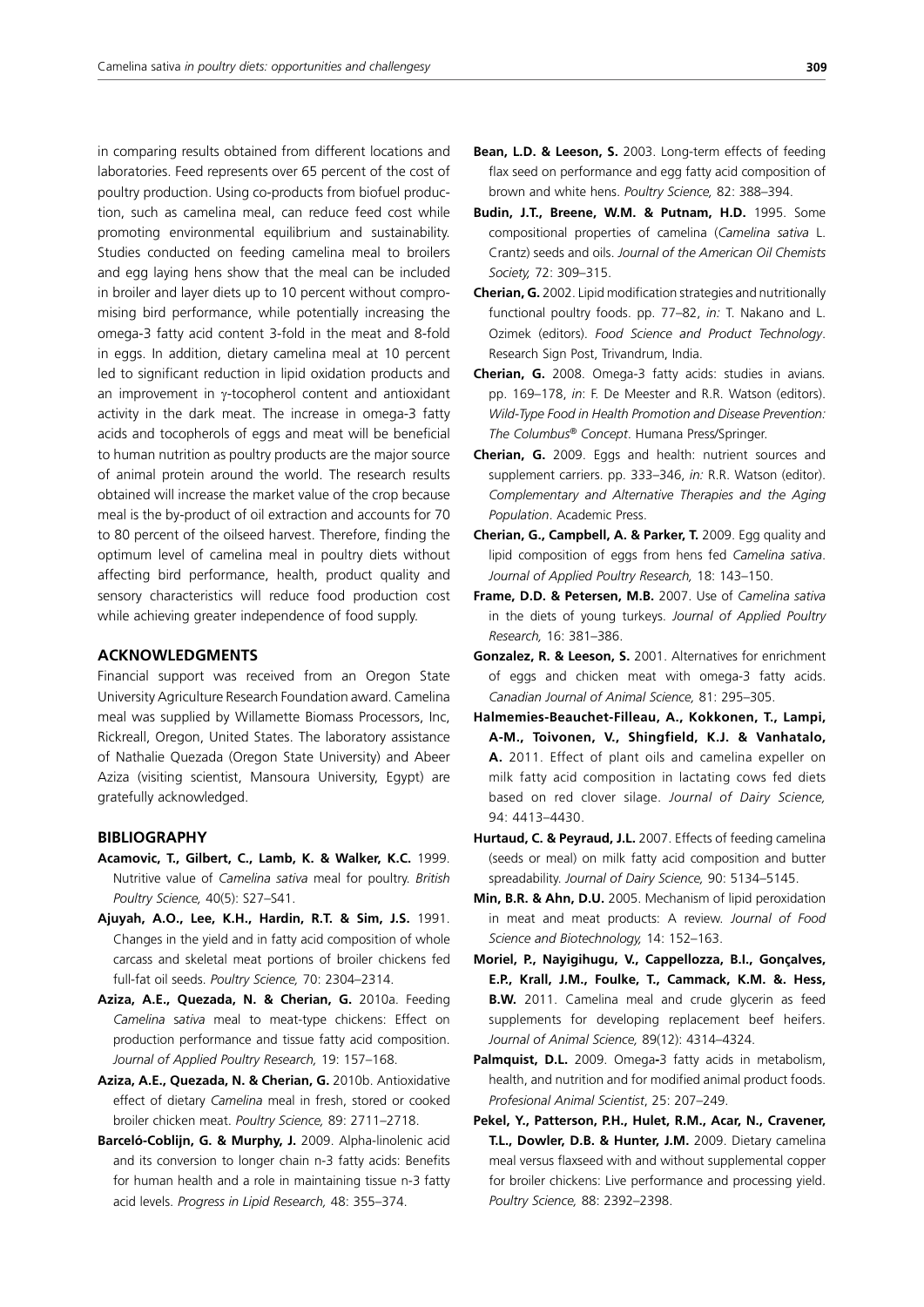in comparing results obtained from different locations and laboratories. Feed represents over 65 percent of the cost of poultry production. Using co-products from biofuel production, such as camelina meal, can reduce feed cost while promoting environmental equilibrium and sustainability. Studies conducted on feeding camelina meal to broilers and egg laying hens show that the meal can be included in broiler and layer diets up to 10 percent without compromising bird performance, while potentially increasing the omega-3 fatty acid content 3-fold in the meat and 8-fold in eggs. In addition, dietary camelina meal at 10 percent led to significant reduction in lipid oxidation products and an improvement in γ-tocopherol content and antioxidant activity in the dark meat. The increase in omega-3 fatty acids and tocopherols of eggs and meat will be beneficial to human nutrition as poultry products are the major source of animal protein around the world. The research results obtained will increase the market value of the crop because meal is the by-product of oil extraction and accounts for 70 to 80 percent of the oilseed harvest. Therefore, finding the optimum level of camelina meal in poultry diets without affecting bird performance, health, product quality and sensory characteristics will reduce food production cost while achieving greater independence of food supply.

## **ACKNOWLEDGMENTS**

Financial support was received from an Oregon State University Agriculture Research Foundation award. Camelina meal was supplied by Willamette Biomass Processors, Inc, Rickreall, Oregon, United States. The laboratory assistance of Nathalie Quezada (Oregon State University) and Abeer Aziza (visiting scientist, Mansoura University, Egypt) are gratefully acknowledged.

#### **BIBLIOGRAPHY**

- **Acamovic, T., Gilbert, C., Lamb, K. & Walker, K.C.** 1999. Nutritive value of *Camelina sativa* meal for poultry. *British Poultry Science,* 40(5): S27–S41.
- **Ajuyah, A.O., Lee, K.H., Hardin, R.T. & Sim, J.S.** 1991. Changes in the yield and in fatty acid composition of whole carcass and skeletal meat portions of broiler chickens fed full-fat oil seeds. *Poultry Science,* 70: 2304–2314.
- **Aziza, A.E., Quezada, N. & Cherian, G.** 2010a. Feeding *Camelina* s*ativa* meal to meat-type chickens: Effect on production performance and tissue fatty acid composition. *Journal of Applied Poultry Research,* 19: 157–168.
- **Aziza, A.E., Quezada, N. & Cherian, G.** 2010b. Antioxidative effect of dietary *Camelina* meal in fresh, stored or cooked broiler chicken meat. *Poultry Science,* 89: 2711–2718.
- **Barceló-Coblijn, G. & Murphy, J.** 2009. Alpha-linolenic acid and its conversion to longer chain n-3 fatty acids: Benefits for human health and a role in maintaining tissue n-3 fatty acid levels. *Progress in Lipid Research,* 48: 355–374.
- **Bean, L.D. & Leeson, S.** 2003. Long-term effects of feeding flax seed on performance and egg fatty acid composition of brown and white hens. *Poultry Science,* 82: 388–394.
- **Budin, J.T., Breene, W.M. & Putnam, H.D.** 1995. Some compositional properties of camelina (*Camelina sativa* L. Crantz) seeds and oils. *Journal of the American Oil Chemists Society,* 72: 309–315.
- **Cherian, G.** 2002. Lipid modification strategies and nutritionally functional poultry foods. pp. 77–82, *in:* T. Nakano and L. Ozimek (editors). *Food Science and Product Technology*. Research Sign Post, Trivandrum, India.
- **Cherian, G.** 2008. Omega-3 fatty acids: studies in avians*.*  pp. 169–178, *in*: F. De Meester and R.R. Watson (editors). *Wild-Type Food in Health Promotion and Disease Prevention: The Columbus® Concept*. Humana Press/Springer.
- **Cherian, G.** 2009. Eggs and health: nutrient sources and supplement carriers. pp. 333–346, *in:* R.R. Watson (editor). *Complementary and Alternative Therapies and the Aging Population*. Academic Press.
- **Cherian, G., Campbell, A. & Parker, T.** 2009. Egg quality and lipid composition of eggs from hens fed *Camelina sativa*. *Journal of Applied Poultry Research,* 18: 143–150.
- **Frame, D.D. & Petersen, M.B.** 2007. Use of *Camelina sativa*  in the diets of young turkeys. *Journal of Applied Poultry Research,* 16: 381–386.
- **Gonzalez, R. & Leeson, S.** 2001. Alternatives for enrichment of eggs and chicken meat with omega-3 fatty acids. *Canadian Journal of Animal Science,* 81: 295–305.
- **Halmemies-Beauchet-Filleau, A., Kokkonen, T., Lampi, A-M., Toivonen, V., Shingfield, K.J. & Vanhatalo, A.** 2011. Effect of plant oils and camelina expeller on milk fatty acid composition in lactating cows fed diets based on red clover silage. *Journal of Dairy Science,* 94: 4413–4430.
- **Hurtaud, C. & Peyraud, J.L.** 2007. Effects of feeding camelina (seeds or meal) on milk fatty acid composition and butter spreadability. *Journal of Dairy Science,* 90: 5134–5145.
- **Min, B.R. & Ahn, D.U.** 2005. Mechanism of lipid peroxidation in meat and meat products: A review. *Journal of Food Science and Biotechnology,* 14: 152–163.
- **Moriel, P., Nayigihugu, V., Cappellozza, B.I., Gonçalves, E.P., Krall, J.M., Foulke, T., Cammack, K.M. &. Hess, B.W.** 2011. Camelina meal and crude glycerin as feed supplements for developing replacement beef heifers. *Journal of Animal Science,* 89(12): 4314–4324.
- **Palmquist, D.L.** 2009. Omega**-**3 fatty acids in metabolism, health, and nutrition and for modified animal product foods. *Profesional Animal Scientist*, 25: 207–249.
- **Pekel, Y., Patterson, P.H., Hulet, R.M., Acar, N., Cravener, T.L., Dowler, D.B. & Hunter, J.M.** 2009. Dietary camelina meal versus flaxseed with and without supplemental copper for broiler chickens: Live performance and processing yield. *Poultry Science,* 88: 2392–2398.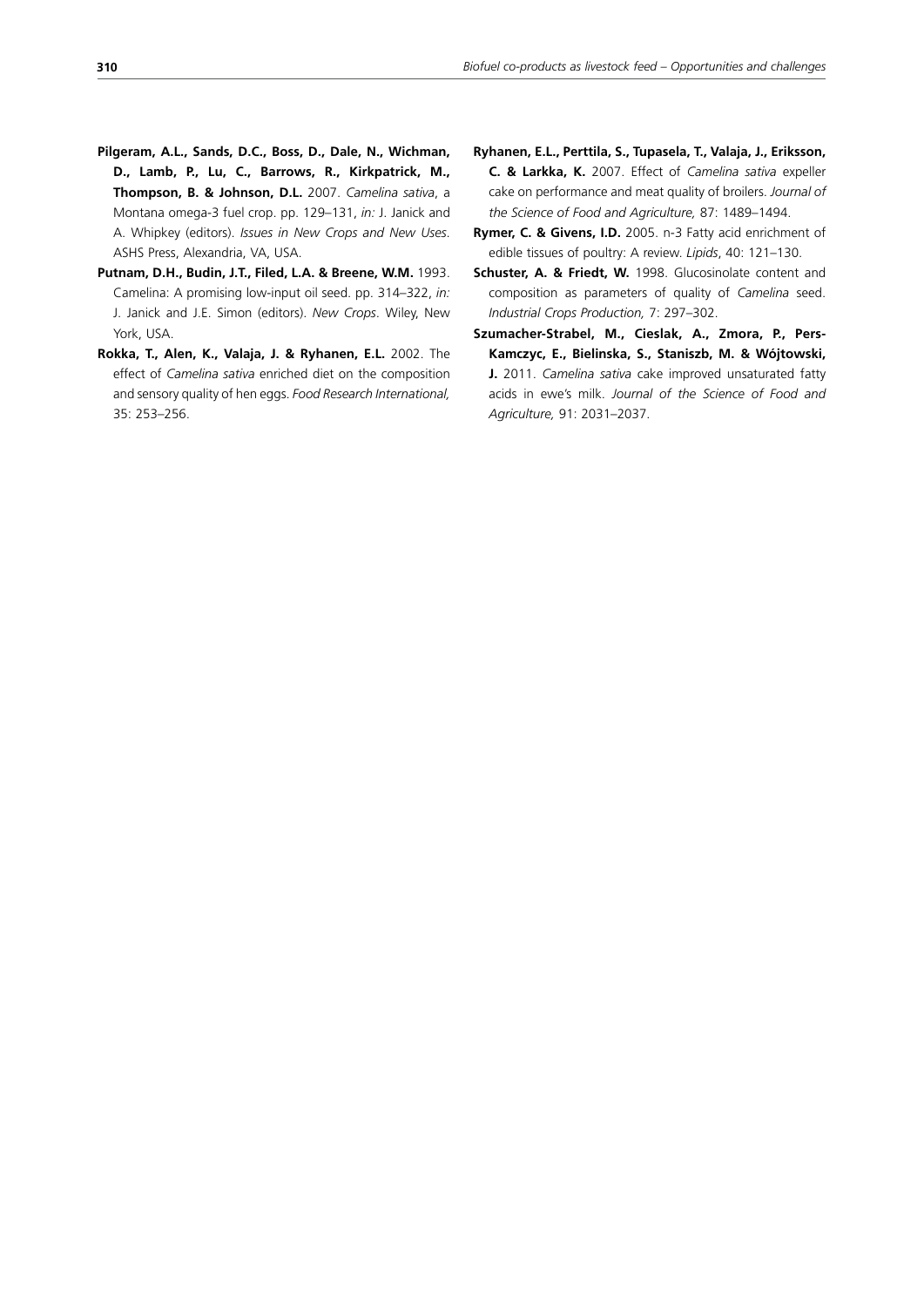- **Pilgeram, A.L., Sands, D.C., Boss, D., Dale, N., Wichman, D., Lamb, P., Lu, C., Barrows, R., Kirkpatrick, M., Thompson, B. & Johnson, D.L.** 2007. *Camelina sativa*, a Montana omega-3 fuel crop. pp. 129–131, *in:* J. Janick and A. Whipkey (editors). *Issues in New Crops and New Uses*. ASHS Press, Alexandria, VA, USA.
- **Putnam, D.H., Budin, J.T., Filed, L.A. & Breene, W.M.** 1993. Camelina: A promising low-input oil seed. pp. 314–322, *in:*  J. Janick and J.E. Simon (editors). *New Crops*. Wiley, New York, USA.
- **Rokka, T., Alen, K., Valaja, J. & Ryhanen, E.L.** 2002. The effect of *Camelina sativa* enriched diet on the composition and sensory quality of hen eggs. *Food Research International,* 35: 253–256.
- **Ryhanen, E.L., Perttila, S., Tupasela, T., Valaja, J., Eriksson, C. & Larkka, K.** 2007. Effect of *Camelina sativa* expeller cake on performance and meat quality of broilers. *Journal of the Science of Food and Agriculture,* 87: 1489–1494.
- **Rymer, C. & Givens, I.D.** 2005. n-3 Fatty acid enrichment of edible tissues of poultry: A review. *Lipids*, 40: 121–130.
- **Schuster, A. & Friedt, W.** 1998. Glucosinolate content and composition as parameters of quality of *Camelina* seed. *Industrial Crops Production,* 7: 297–302.
- **Szumacher-Strabel, M., Cieslak, A., Zmora, P., Pers-Kamczyc, E., Bielinska, S., Staniszb, M. & Wójtowski, J.** 2011. *Camelina sativa* cake improved unsaturated fatty acids in ewe's milk. *Journal of the Science of Food and Agriculture,* 91: 2031–2037.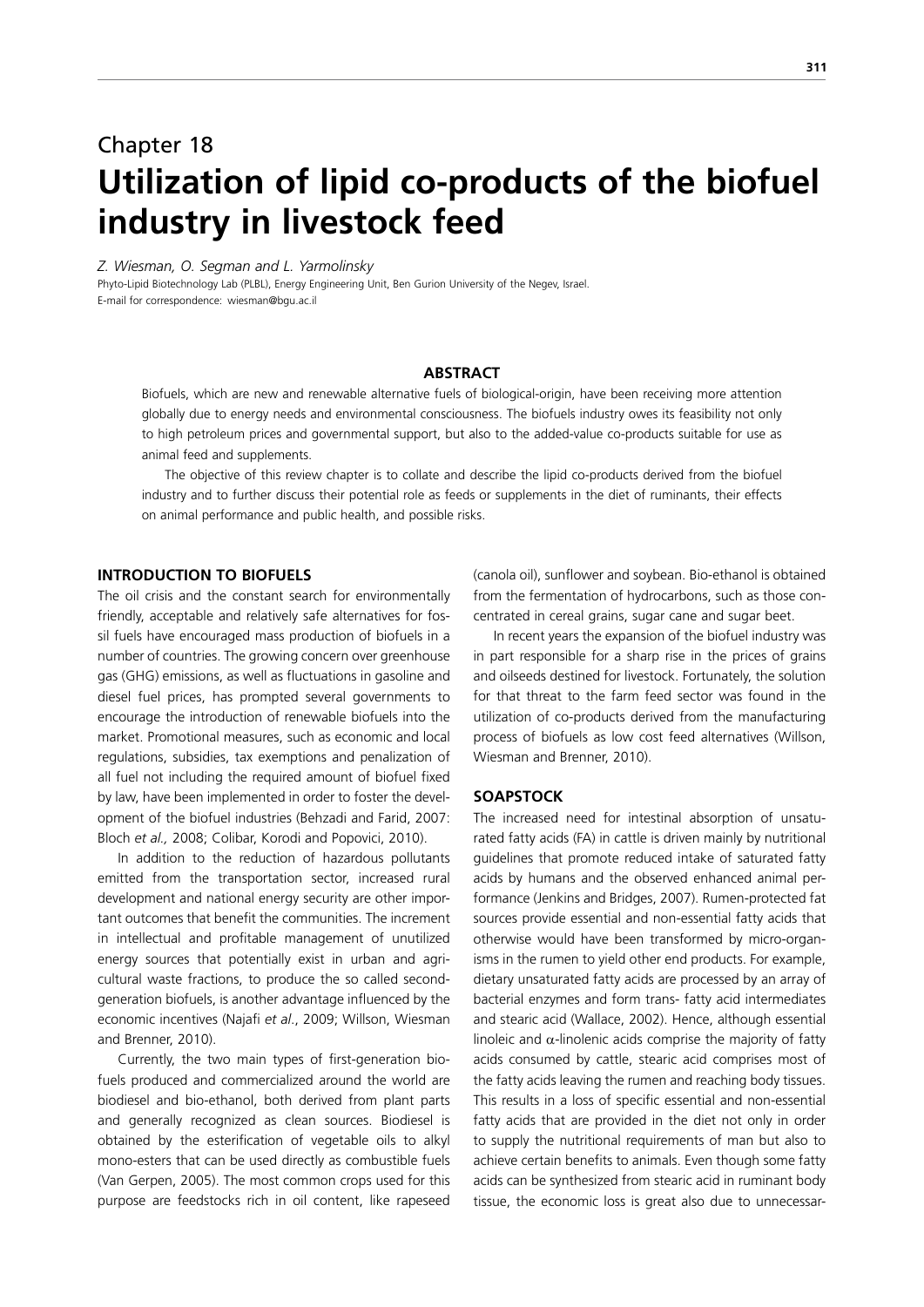# Chapter 18 **Utilization of lipid co-products of the biofuel industry in livestock feed**

*Z. Wiesman, O. Segman and L. Yarmolinsky*

Phyto-Lipid Biotechnology Lab (PLBL), Energy Engineering Unit, Ben Gurion University of the Negev, Israel. E-mail for correspondence: wiesman@bgu.ac.il

## **ABSTRACT**

Biofuels, which are new and renewable alternative fuels of biological-origin, have been receiving more attention globally due to energy needs and environmental consciousness. The biofuels industry owes its feasibility not only to high petroleum prices and governmental support, but also to the added-value co-products suitable for use as animal feed and supplements.

 The objective of this review chapter is to collate and describe the lipid co-products derived from the biofuel industry and to further discuss their potential role as feeds or supplements in the diet of ruminants, their effects on animal performance and public health, and possible risks.

## **INTRODUCTION TO BIOFUELS**

The oil crisis and the constant search for environmentally friendly, acceptable and relatively safe alternatives for fossil fuels have encouraged mass production of biofuels in a number of countries. The growing concern over greenhouse gas (GHG) emissions, as well as fluctuations in gasoline and diesel fuel prices, has prompted several governments to encourage the introduction of renewable biofuels into the market. Promotional measures, such as economic and local regulations, subsidies, tax exemptions and penalization of all fuel not including the required amount of biofuel fixed by law, have been implemented in order to foster the development of the biofuel industries (Behzadi and Farid, 2007: Bloch *et al.,* 2008; Colibar, Korodi and Popovici, 2010).

In addition to the reduction of hazardous pollutants emitted from the transportation sector, increased rural development and national energy security are other important outcomes that benefit the communities. The increment in intellectual and profitable management of unutilized energy sources that potentially exist in urban and agricultural waste fractions, to produce the so called secondgeneration biofuels, is another advantage influenced by the economic incentives (Najafi *et al*., 2009; Willson, Wiesman and Brenner, 2010).

Currently, the two main types of first-generation biofuels produced and commercialized around the world are biodiesel and bio-ethanol, both derived from plant parts and generally recognized as clean sources. Biodiesel is obtained by the esterification of vegetable oils to alkyl mono-esters that can be used directly as combustible fuels (Van Gerpen, 2005). The most common crops used for this purpose are feedstocks rich in oil content, like rapeseed (canola oil), sunflower and soybean. Bio-ethanol is obtained from the fermentation of hydrocarbons, such as those concentrated in cereal grains, sugar cane and sugar beet.

In recent years the expansion of the biofuel industry was in part responsible for a sharp rise in the prices of grains and oilseeds destined for livestock. Fortunately, the solution for that threat to the farm feed sector was found in the utilization of co-products derived from the manufacturing process of biofuels as low cost feed alternatives (Willson, Wiesman and Brenner, 2010).

### **SOAPSTOCK**

The increased need for intestinal absorption of unsaturated fatty acids (FA) in cattle is driven mainly by nutritional guidelines that promote reduced intake of saturated fatty acids by humans and the observed enhanced animal performance (Jenkins and Bridges, 2007). Rumen-protected fat sources provide essential and non-essential fatty acids that otherwise would have been transformed by micro-organisms in the rumen to yield other end products. For example, dietary unsaturated fatty acids are processed by an array of bacterial enzymes and form trans- fatty acid intermediates and stearic acid (Wallace, 2002). Hence, although essential linoleic and  $\alpha$ -linolenic acids comprise the majority of fatty acids consumed by cattle, stearic acid comprises most of the fatty acids leaving the rumen and reaching body tissues. This results in a loss of specific essential and non-essential fatty acids that are provided in the diet not only in order to supply the nutritional requirements of man but also to achieve certain benefits to animals. Even though some fatty acids can be synthesized from stearic acid in ruminant body tissue, the economic loss is great also due to unnecessar-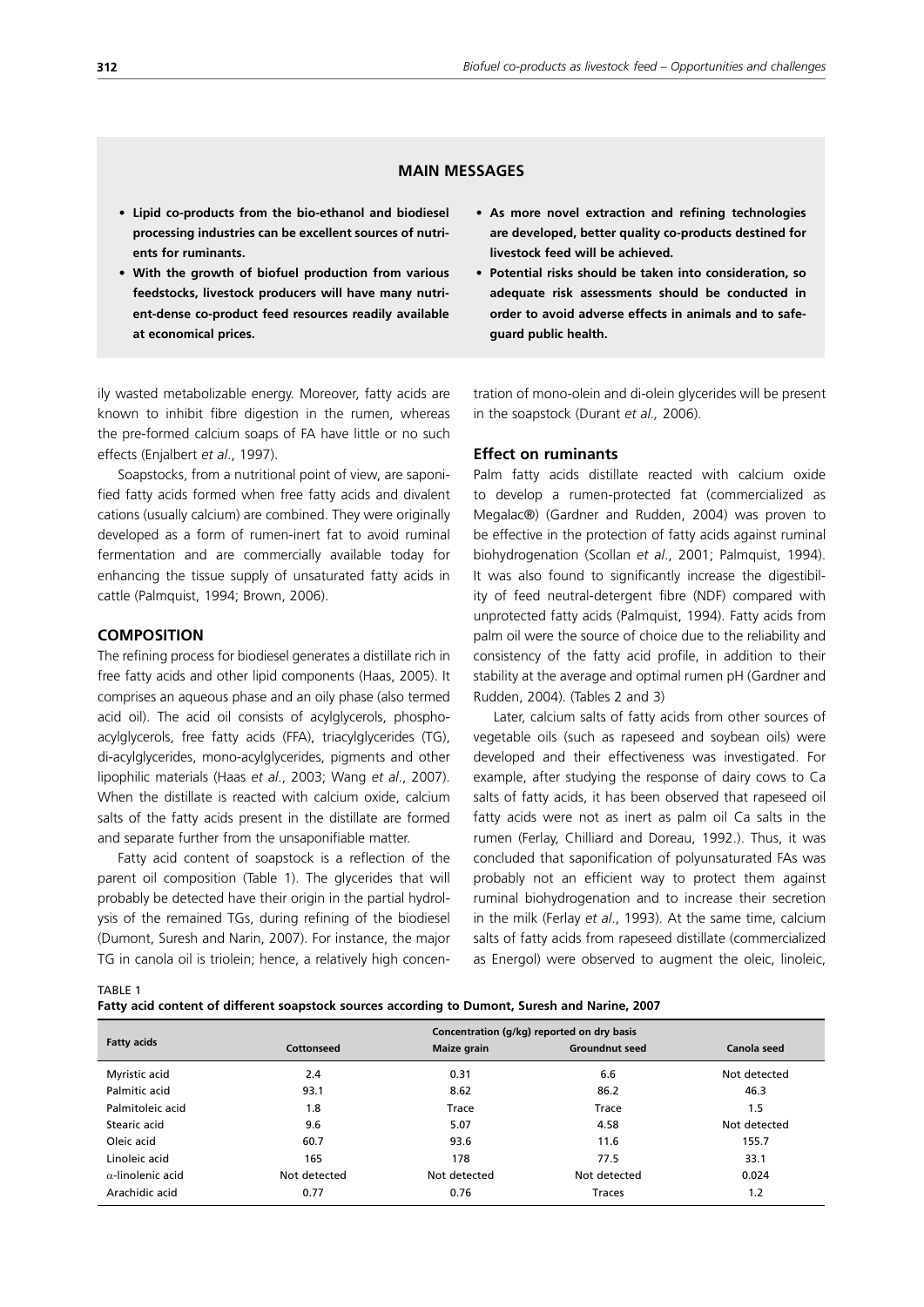# **MAIN MESSAGES**

- **• Lipid co-products from the bio-ethanol and biodiesel processing industries can be excellent sources of nutrients for ruminants.**
- **• With the growth of biofuel production from various feedstocks, livestock producers will have many nutrient-dense co-product feed resources readily available at economical prices.**

ily wasted metabolizable energy. Moreover, fatty acids are known to inhibit fibre digestion in the rumen, whereas the pre-formed calcium soaps of FA have little or no such effects (Enjalbert *et al*., 1997).

Soapstocks, from a nutritional point of view, are saponified fatty acids formed when free fatty acids and divalent cations (usually calcium) are combined. They were originally developed as a form of rumen-inert fat to avoid ruminal fermentation and are commercially available today for enhancing the tissue supply of unsaturated fatty acids in cattle (Palmquist, 1994; Brown, 2006).

### **COMPOSITION**

The refining process for biodiesel generates a distillate rich in free fatty acids and other lipid components (Haas, 2005). It comprises an aqueous phase and an oily phase (also termed acid oil). The acid oil consists of acylglycerols, phosphoacylglycerols, free fatty acids (FFA), triacylglycerides (TG), di-acylglycerides, mono-acylglycerides, pigments and other lipophilic materials (Haas *et al*., 2003; Wang *et al*., 2007). When the distillate is reacted with calcium oxide, calcium salts of the fatty acids present in the distillate are formed and separate further from the unsaponifiable matter.

Fatty acid content of soapstock is a reflection of the parent oil composition (Table 1). The glycerides that will probably be detected have their origin in the partial hydrolysis of the remained TGs, during refining of the biodiesel (Dumont, Suresh and Narin, 2007). For instance, the major TG in canola oil is triolein; hence, a relatively high concen-

- **• As more novel extraction and refining technologies are developed, better quality co-products destined for livestock feed will be achieved.**
- **• Potential risks should be taken into consideration, so adequate risk assessments should be conducted in order to avoid adverse effects in animals and to safeguard public health.**

tration of mono-olein and di-olein glycerides will be present in the soapstock (Durant *et al.,* 2006).

### **Effect on ruminants**

Palm fatty acids distillate reacted with calcium oxide to develop a rumen-protected fat (commercialized as Megalac®) (Gardner and Rudden, 2004) was proven to be effective in the protection of fatty acids against ruminal biohydrogenation (Scollan *et al*., 2001; Palmquist, 1994). It was also found to significantly increase the digestibility of feed neutral-detergent fibre (NDF) compared with unprotected fatty acids (Palmquist, 1994). Fatty acids from palm oil were the source of choice due to the reliability and consistency of the fatty acid profile, in addition to their stability at the average and optimal rumen pH (Gardner and Rudden, 2004). (Tables 2 and 3)

Later, calcium salts of fatty acids from other sources of vegetable oils (such as rapeseed and soybean oils) were developed and their effectiveness was investigated. For example, after studying the response of dairy cows to Ca salts of fatty acids, it has been observed that rapeseed oil fatty acids were not as inert as palm oil Ca salts in the rumen (Ferlay, Chilliard and Doreau, 1992.). Thus, it was concluded that saponification of polyunsaturated FAs was probably not an efficient way to protect them against ruminal biohydrogenation and to increase their secretion in the milk (Ferlay *et al*., 1993). At the same time, calcium salts of fatty acids from rapeseed distillate (commercialized as Energol) were observed to augment the oleic, linoleic,

TABLE 1

| Fatty acid content of different soapstock sources according to Dumont, Suresh and Narine, 2007 |
|------------------------------------------------------------------------------------------------|
|------------------------------------------------------------------------------------------------|

|                          |              |              | Concentration (g/kg) reported on dry basis |              |
|--------------------------|--------------|--------------|--------------------------------------------|--------------|
| <b>Fatty acids</b>       | Cottonseed   | Maize grain  | <b>Groundnut seed</b>                      | Canola seed  |
| Myristic acid            | 2.4          | 0.31         | 6.6                                        | Not detected |
| Palmitic acid            | 93.1         | 8.62         | 86.2                                       | 46.3         |
| Palmitoleic acid         | 1.8          | Trace        | Trace                                      | 1.5          |
| Stearic acid             | 9.6          | 5.07         | 4.58                                       | Not detected |
| Oleic acid               | 60.7         | 93.6         | 11.6                                       | 155.7        |
| Linoleic acid            | 165          | 178          | 77.5                                       | 33.1         |
| $\alpha$ -linolenic acid | Not detected | Not detected | Not detected                               | 0.024        |
| Arachidic acid           | 0.77         | 0.76         | Traces                                     | 1.2          |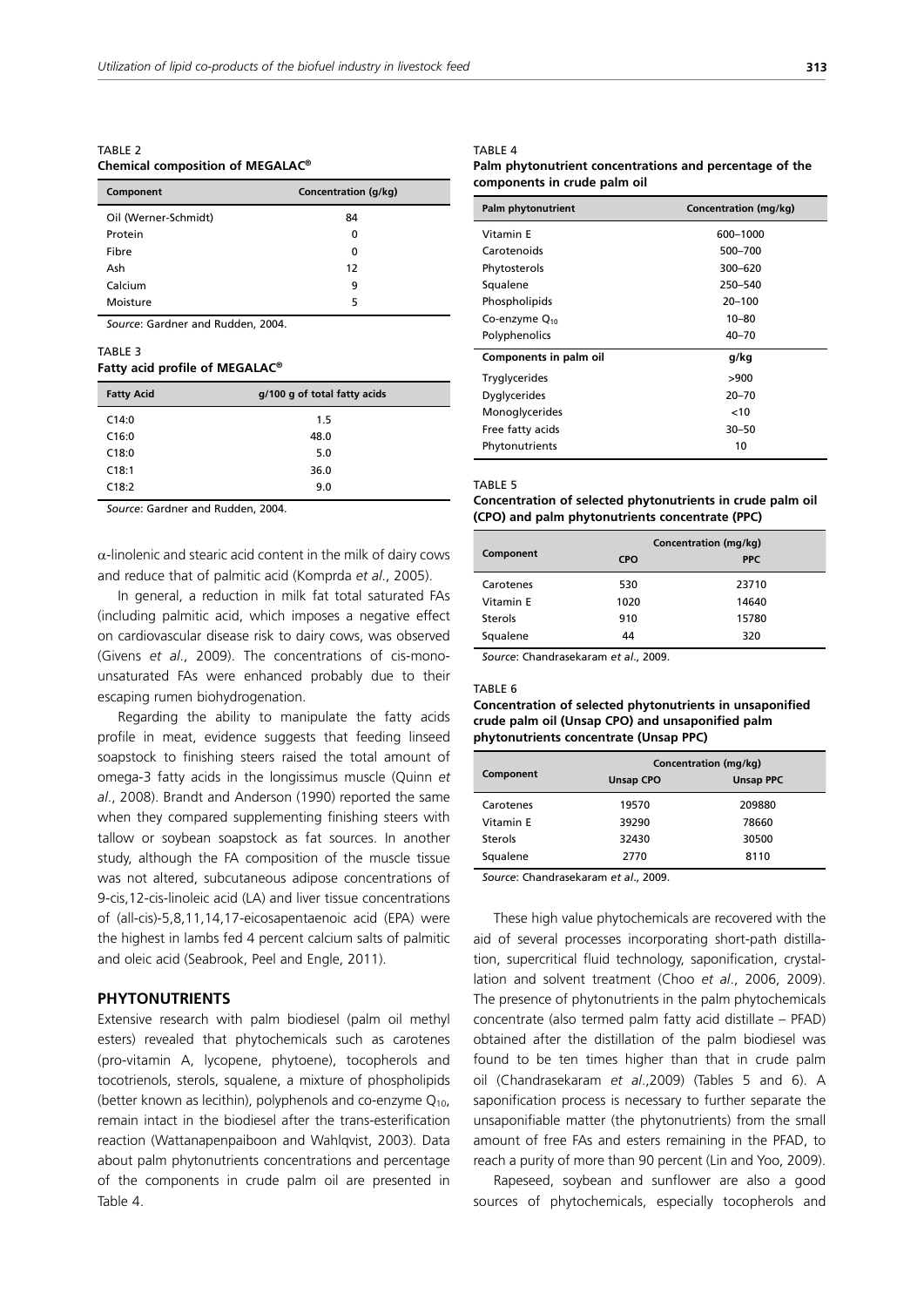TARI F<sub>2</sub> **Chemical composition of MEGALAC®**

| Component            | Concentration (g/kg) |  |  |
|----------------------|----------------------|--|--|
| Oil (Werner-Schmidt) | 84                   |  |  |
| Protein              | 0                    |  |  |
| Fibre                | 0                    |  |  |
| Ash                  | 12                   |  |  |
| Calcium              | 9                    |  |  |
| Moisture             | 5                    |  |  |

*Source*: Gardner and Rudden, 2004.

#### TABLE 3

# **Fatty acid profile of MEGALAC®**

| <b>Fatty Acid</b> | g/100 g of total fatty acids |  |  |
|-------------------|------------------------------|--|--|
| C14:0             | 1.5                          |  |  |
| C16:0             | 48.0                         |  |  |
| C18:0             | 5.0                          |  |  |
| C18:1             | 36.0                         |  |  |
| C18:2             | 9.0                          |  |  |
|                   |                              |  |  |

*Source*: Gardner and Rudden, 2004.

 $\alpha$ -linolenic and stearic acid content in the milk of dairy cows and reduce that of palmitic acid (Komprda *et al*., 2005).

In general, a reduction in milk fat total saturated FAs (including palmitic acid, which imposes a negative effect on cardiovascular disease risk to dairy cows, was observed (Givens *et al*., 2009). The concentrations of cis-monounsaturated FAs were enhanced probably due to their escaping rumen biohydrogenation.

Regarding the ability to manipulate the fatty acids profile in meat, evidence suggests that feeding linseed soapstock to finishing steers raised the total amount of omega-3 fatty acids in the longissimus muscle (Quinn *et al*., 2008). Brandt and Anderson (1990) reported the same when they compared supplementing finishing steers with tallow or soybean soapstock as fat sources. In another study, although the FA composition of the muscle tissue was not altered, subcutaneous adipose concentrations of 9-cis,12-cis-linoleic acid (LA) and liver tissue concentrations of (all-cis)-5,8,11,14,17-eicosapentaenoic acid (EPA) were the highest in lambs fed 4 percent calcium salts of palmitic and oleic acid (Seabrook, Peel and Engle, 2011).

## **PHYTONUTRIENTS**

Extensive research with palm biodiesel (palm oil methyl esters) revealed that phytochemicals such as carotenes (pro-vitamin A, lycopene, phytoene), tocopherols and tocotrienols, sterols, squalene, a mixture of phospholipids (better known as lecithin), polyphenols and co-enzyme  $Q_{10}$ , remain intact in the biodiesel after the trans-esterification reaction (Wattanapenpaiboon and Wahlqvist, 2003). Data about palm phytonutrients concentrations and percentage of the components in crude palm oil are presented in Table 4.

#### TABLE 4

#### **Palm phytonutrient concentrations and percentage of the components in crude palm oil**

| Palm phytonutrient        | Concentration (mg/kg) |
|---------------------------|-----------------------|
| Vitamin E                 | 600-1000              |
| Carotenoids               | 500-700               |
| Phytosterols              | 300-620               |
| Squalene                  | 250-540               |
| Phospholipids             | $20 - 100$            |
| Co-enzyme Q <sub>10</sub> | $10 - 80$             |
| Polyphenolics             | $40 - 70$             |
| Components in palm oil    | g/kg                  |
| <b>Tryglycerides</b>      | >900                  |
| Dyglycerides              | $20 - 70$             |
| Monoglycerides            | < 10                  |
| Free fatty acids          | $30 - 50$             |
| Phytonutrients            | 10                    |

#### TABLE 5

## **Concentration of selected phytonutrients in crude palm oil (CPO) and palm phytonutrients concentrate (PPC)**

|           | Concentration (mg/kg) |            |  |
|-----------|-----------------------|------------|--|
| Component | <b>CPO</b>            | <b>PPC</b> |  |
| Carotenes | 530                   | 23710      |  |
| Vitamin E | 1020                  | 14640      |  |
| Sterols   | 910                   | 15780      |  |
| Squalene  | 44                    | 320        |  |

*Source*: Chandrasekaram *et al*., 2009.

#### TABLE 6

### **Concentration of selected phytonutrients in unsaponified crude palm oil (Unsap CPO) and unsaponified palm phytonutrients concentrate (Unsap PPC)**

|           | Concentration (mg/kg) |                  |  |
|-----------|-----------------------|------------------|--|
| Component | <b>Unsap CPO</b>      | <b>Unsap PPC</b> |  |
| Carotenes | 19570                 | 209880           |  |
| Vitamin F | 39290                 | 78660            |  |
| Sterols   | 32430                 | 30500            |  |
| Squalene  | 2770                  | 8110             |  |

*Source*: Chandrasekaram *et al*., 2009.

These high value phytochemicals are recovered with the aid of several processes incorporating short-path distillation, supercritical fluid technology, saponification, crystallation and solvent treatment (Choo *et al*., 2006, 2009). The presence of phytonutrients in the palm phytochemicals concentrate (also termed palm fatty acid distillate – PFAD) obtained after the distillation of the palm biodiesel was found to be ten times higher than that in crude palm oil (Chandrasekaram *et al*.,2009) (Tables 5 and 6). A saponification process is necessary to further separate the unsaponifiable matter (the phytonutrients) from the small amount of free FAs and esters remaining in the PFAD, to reach a purity of more than 90 percent (Lin and Yoo, 2009).

Rapeseed, soybean and sunflower are also a good sources of phytochemicals, especially tocopherols and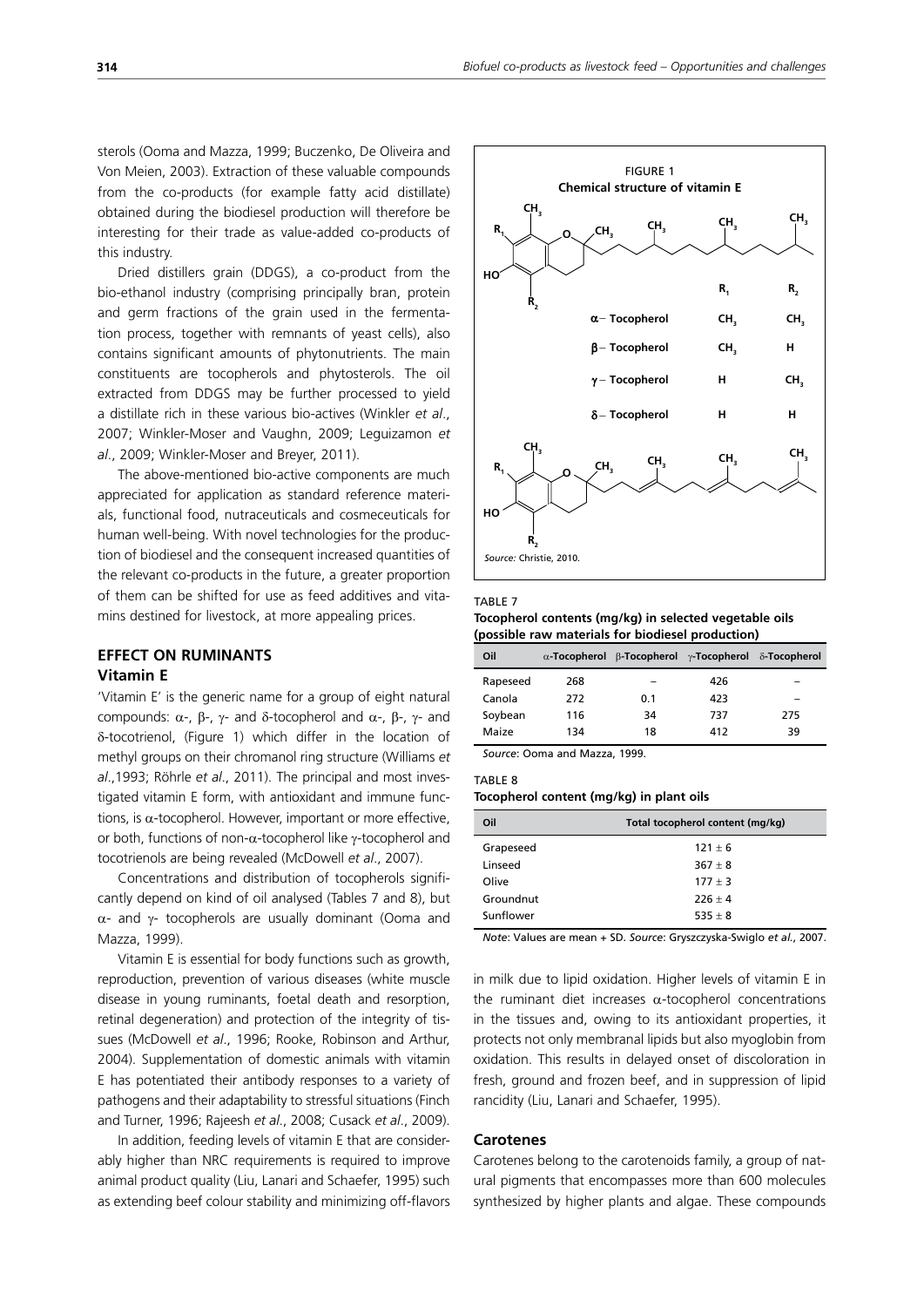sterols (Ooma and Mazza, 1999; Buczenko, De Oliveira and Von Meien, 2003). Extraction of these valuable compounds from the co-products (for example fatty acid distillate) obtained during the biodiesel production will therefore be interesting for their trade as value-added co-products of this industry.

Dried distillers grain (DDGS), a co-product from the bio-ethanol industry (comprising principally bran, protein and germ fractions of the grain used in the fermentation process, together with remnants of yeast cells), also contains significant amounts of phytonutrients. The main constituents are tocopherols and phytosterols. The oil extracted from DDGS may be further processed to yield a distillate rich in these various bio-actives (Winkler *et al*., 2007; Winkler-Moser and Vaughn, 2009; Leguizamon *et al*., 2009; Winkler-Moser and Breyer, 2011).

The above-mentioned bio-active components are much appreciated for application as standard reference materials, functional food, nutraceuticals and cosmeceuticals for human well-being. With novel technologies for the production of biodiesel and the consequent increased quantities of the relevant co-products in the future, a greater proportion of them can be shifted for use as feed additives and vitamins destined for livestock, at more appealing prices.

# **EFFECT ON RUMINANTS Vitamin E**

'Vitamin E' is the generic name for a group of eight natural compounds:  $\alpha$ -, β-, γ- and δ-tocopherol and  $\alpha$ -, β-, γ- and G-tocotrienol, (Figure 1) which differ in the location of methyl groups on their chromanol ring structure (Williams *et al*.,1993; Röhrle *et al*., 2011). The principal and most investigated vitamin E form, with antioxidant and immune functions, is  $\alpha$ -tocopherol. However, important or more effective, or both, functions of non- $α$ -tocopherol like γ-tocopherol and tocotrienols are being revealed (McDowell *et al*., 2007).

Concentrations and distribution of tocopherols significantly depend on kind of oil analysed (Tables 7 and 8), but  $\alpha$ - and γ- tocopherols are usually dominant (Ooma and Mazza, 1999).

Vitamin E is essential for body functions such as growth, reproduction, prevention of various diseases (white muscle disease in young ruminants, foetal death and resorption, retinal degeneration) and protection of the integrity of tissues (McDowell *et al*., 1996; Rooke, Robinson and Arthur, 2004). Supplementation of domestic animals with vitamin E has potentiated their antibody responses to a variety of pathogens and their adaptability to stressful situations (Finch and Turner, 1996; Rajeesh *et al*., 2008; Cusack *et al*., 2009).

In addition, feeding levels of vitamin E that are considerably higher than NRC requirements is required to improve animal product quality (Liu, Lanari and Schaefer, 1995) such as extending beef colour stability and minimizing off-flavors



#### TABLE 7

**Tocopherol contents (mg/kg) in selected vegetable oils (possible raw materials for biodiesel production)**

| Oil      |     | α-Tocopherol β-Tocopherol γ-Tocopherol δ-Tocopherol |     |     |
|----------|-----|-----------------------------------------------------|-----|-----|
| Rapeseed | 268 |                                                     | 426 |     |
| Canola   | 272 | 0.1                                                 | 423 | -   |
| Soybean  | 116 | 34                                                  | 737 | 275 |
| Maize    | 134 | 18                                                  | 412 | 39  |

*Source*: Ooma and Mazza, 1999.

TABLE 8

**Tocopherol content (mg/kg) in plant oils**

| Oil       | Total tocopherol content (mg/kg) |
|-----------|----------------------------------|
| Grapeseed | $121 + 6$                        |
| Linseed   | $367 + 8$                        |
| Olive     | $177 + 3$                        |
| Groundnut | $226 + 4$                        |
| Sunflower | $535 + 8$                        |

*Note*: Values are mean + SD. *Source*: Gryszczyska-Swiglo *et al.*, 2007.

in milk due to lipid oxidation. Higher levels of vitamin E in the ruminant diet increases  $\alpha$ -tocopherol concentrations in the tissues and, owing to its antioxidant properties, it protects not only membranal lipids but also myoglobin from oxidation. This results in delayed onset of discoloration in fresh, ground and frozen beef, and in suppression of lipid rancidity (Liu, Lanari and Schaefer, 1995).

#### **Carotenes**

Carotenes belong to the carotenoids family, a group of natural pigments that encompasses more than 600 molecules synthesized by higher plants and algae. These compounds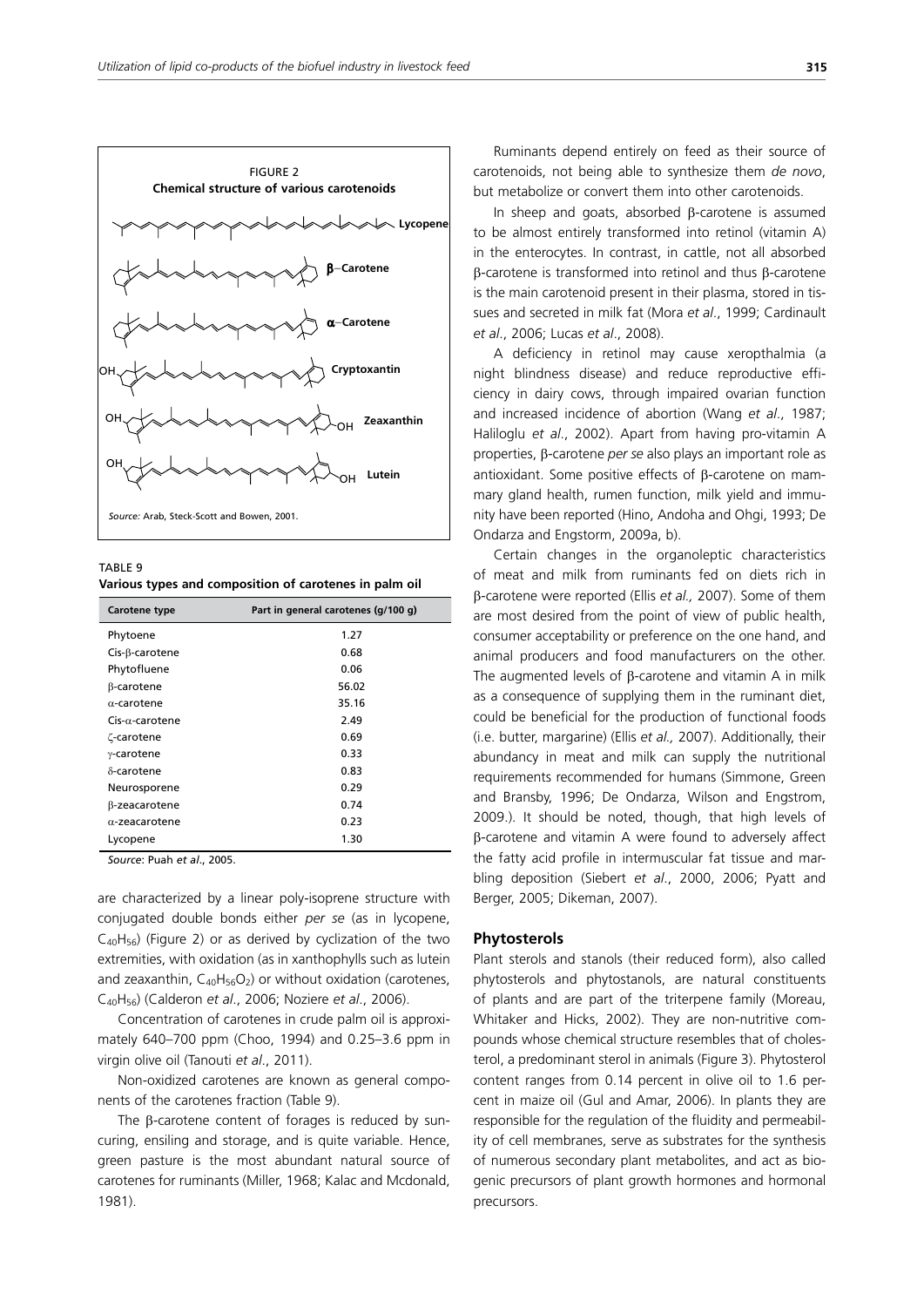

TABLE 9 **Various types and composition of carotenes in palm oil** 

| Part in general carotenes (g/100 g) |
|-------------------------------------|
| 1.27                                |
| 0.68                                |
| 0.06                                |
| 56.02                               |
| 35.16                               |
| 2.49                                |
| 0.69                                |
| 0.33                                |
| 0.83                                |
| 0.29                                |
| 0.74                                |
| 0.23                                |
| 1.30                                |
|                                     |

*Source*: Puah *et al*., 2005.

are characterized by a linear poly-isoprene structure with conjugated double bonds either *per se* (as in lycopene,  $C_{40}H_{56}$ ) (Figure 2) or as derived by cyclization of the two extremities, with oxidation (as in xanthophylls such as lutein and zeaxanthin,  $C_{40}H_{56}O_2$ ) or without oxidation (carotenes, C40H56) (Calderon *et al*., 2006; Noziere *et al*., 2006).

Concentration of carotenes in crude palm oil is approximately 640–700 ppm (Choo, 1994) and 0.25–3.6 ppm in virgin olive oil (Tanouti *et al*., 2011).

Non-oxidized carotenes are known as general components of the carotenes fraction (Table 9).

The β-carotene content of forages is reduced by suncuring, ensiling and storage, and is quite variable. Hence, green pasture is the most abundant natural source of carotenes for ruminants (Miller, 1968; Kalac and Mcdonald, 1981).

Ruminants depend entirely on feed as their source of carotenoids, not being able to synthesize them *de novo*, but metabolize or convert them into other carotenoids.

In sheep and goats, absorbed β-carotene is assumed to be almost entirely transformed into retinol (vitamin A) in the enterocytes. In contrast, in cattle, not all absorbed β-carotene is transformed into retinol and thus β-carotene is the main carotenoid present in their plasma, stored in tissues and secreted in milk fat (Mora *et al*., 1999; Cardinault *et al*., 2006; Lucas *et al*., 2008).

A deficiency in retinol may cause xeropthalmia (a night blindness disease) and reduce reproductive efficiency in dairy cows, through impaired ovarian function and increased incidence of abortion (Wang *et al*., 1987; Haliloglu *et al*., 2002). Apart from having pro-vitamin A properties, β-carotene *per se* also plays an important role as antioxidant. Some positive effects of β-carotene on mammary gland health, rumen function, milk yield and immunity have been reported (Hino, Andoha and Ohgi, 1993; De Ondarza and Engstorm, 2009a, b).

Certain changes in the organoleptic characteristics of meat and milk from ruminants fed on diets rich in β-carotene were reported (Ellis *et al.,* 2007). Some of them are most desired from the point of view of public health, consumer acceptability or preference on the one hand, and animal producers and food manufacturers on the other. The augmented levels of β-carotene and vitamin A in milk as a consequence of supplying them in the ruminant diet, could be beneficial for the production of functional foods (i.e. butter, margarine) (Ellis *et al.,* 2007). Additionally, their abundancy in meat and milk can supply the nutritional requirements recommended for humans (Simmone, Green and Bransby, 1996; De Ondarza, Wilson and Engstrom, 2009.). It should be noted, though, that high levels of β-carotene and vitamin A were found to adversely affect the fatty acid profile in intermuscular fat tissue and marbling deposition (Siebert *et al*., 2000, 2006; Pyatt and Berger, 2005; Dikeman, 2007).

#### **Phytosterols**

Plant sterols and stanols (their reduced form), also called phytosterols and phytostanols, are natural constituents of plants and are part of the triterpene family (Moreau, Whitaker and Hicks, 2002). They are non-nutritive compounds whose chemical structure resembles that of cholesterol, a predominant sterol in animals (Figure 3). Phytosterol content ranges from 0.14 percent in olive oil to 1.6 percent in maize oil (Gul and Amar, 2006). In plants they are responsible for the regulation of the fluidity and permeability of cell membranes, serve as substrates for the synthesis of numerous secondary plant metabolites, and act as biogenic precursors of plant growth hormones and hormonal precursors.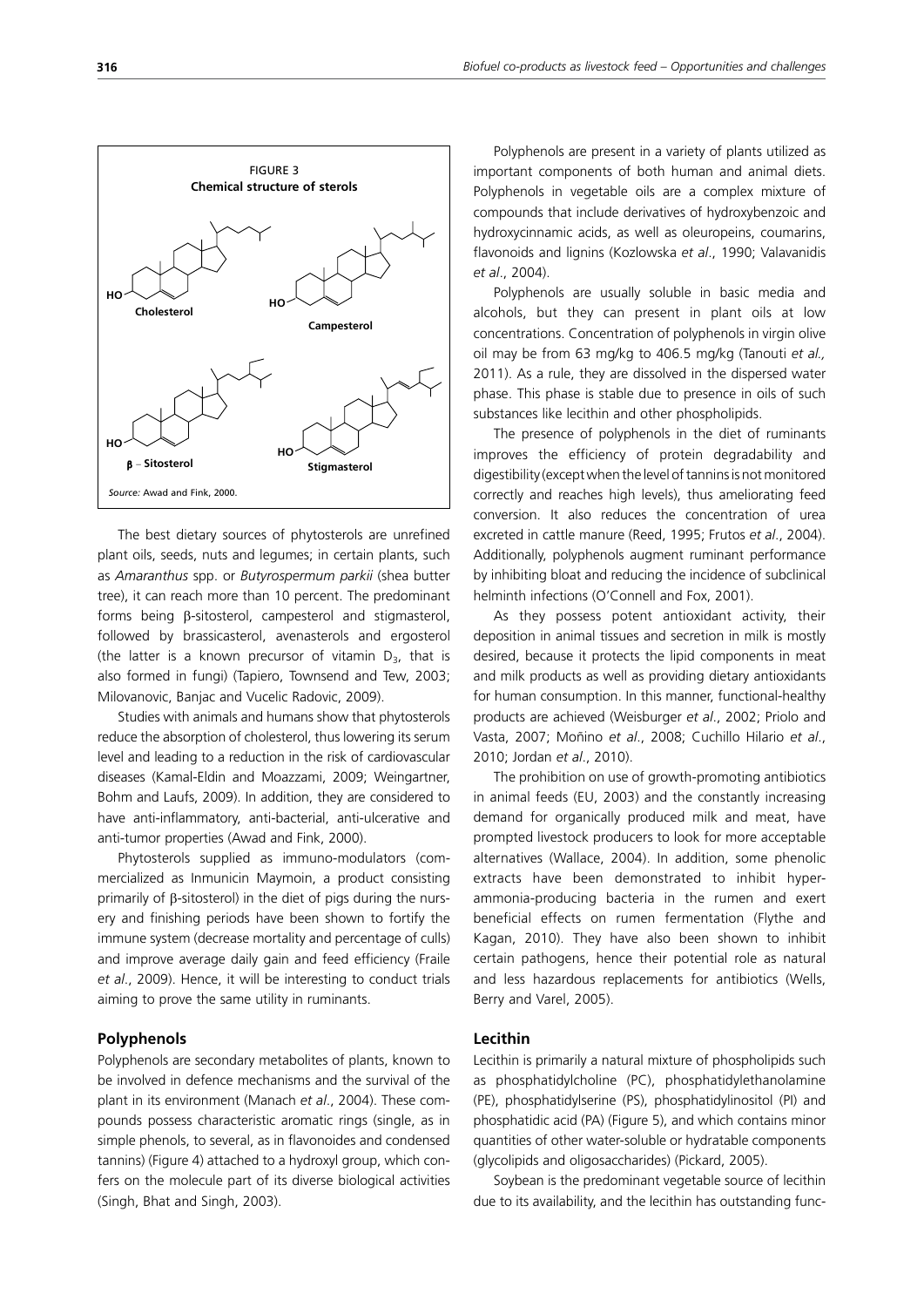

The best dietary sources of phytosterols are unrefined plant oils, seeds, nuts and legumes; in certain plants, such as *Amaranthus* spp. or *Butyrospermum parkii* (shea butter tree), it can reach more than 10 percent. The predominant forms being β-sitosterol, campesterol and stigmasterol, followed by brassicasterol, avenasterols and ergosterol (the latter is a known precursor of vitamin  $D_3$ , that is also formed in fungi) (Tapiero, Townsend and Tew, 2003; Milovanovic, Banjac and Vucelic Radovic, 2009).

Studies with animals and humans show that phytosterols reduce the absorption of cholesterol, thus lowering its serum level and leading to a reduction in the risk of cardiovascular diseases (Kamal-Eldin and Moazzami, 2009; Weingartner, Bohm and Laufs, 2009). In addition, they are considered to have anti-inflammatory, anti-bacterial, anti-ulcerative and anti-tumor properties (Awad and Fink, 2000).

Phytosterols supplied as immuno-modulators (commercialized as Inmunicin Maymoin, a product consisting primarily of β-sitosterol) in the diet of pigs during the nursery and finishing periods have been shown to fortify the immune system (decrease mortality and percentage of culls) and improve average daily gain and feed efficiency (Fraile *et al*., 2009). Hence, it will be interesting to conduct trials aiming to prove the same utility in ruminants.

#### **Polyphenols**

Polyphenols are secondary metabolites of plants, known to be involved in defence mechanisms and the survival of the plant in its environment (Manach *et al*., 2004). These compounds possess characteristic aromatic rings (single, as in simple phenols, to several, as in flavonoides and condensed tannins) (Figure 4) attached to a hydroxyl group, which confers on the molecule part of its diverse biological activities (Singh, Bhat and Singh, 2003).

Polyphenols are present in a variety of plants utilized as important components of both human and animal diets. Polyphenols in vegetable oils are a complex mixture of compounds that include derivatives of hydroxybenzoic and hydroxycinnamic acids, as well as oleuropeins, coumarins, flavonoids and lignins (Kozlowska *et al*., 1990; Valavanidis *et al*., 2004).

Polyphenols are usually soluble in basic media and alcohols, but they can present in plant oils at low concentrations. Concentration of polyphenols in virgin olive oil may be from 63 mg/kg to 406.5 mg/kg (Tanouti *et al.,* 2011). As a rule, they are dissolved in the dispersed water phase. This phase is stable due to presence in oils of such substances like lecithin and other phospholipids.

The presence of polyphenols in the diet of ruminants improves the efficiency of protein degradability and digestibility (except when the level of tannins is not monitored correctly and reaches high levels), thus ameliorating feed conversion. It also reduces the concentration of urea excreted in cattle manure (Reed, 1995; Frutos *et al*., 2004). Additionally, polyphenols augment ruminant performance by inhibiting bloat and reducing the incidence of subclinical helminth infections (O'Connell and Fox, 2001).

As they possess potent antioxidant activity, their deposition in animal tissues and secretion in milk is mostly desired, because it protects the lipid components in meat and milk products as well as providing dietary antioxidants for human consumption. In this manner, functional-healthy products are achieved (Weisburger *et al*., 2002; Priolo and Vasta, 2007; Moñino *et al*., 2008; Cuchillo Hilario *et al*., 2010; Jordan *et al*., 2010).

The prohibition on use of growth-promoting antibiotics in animal feeds (EU, 2003) and the constantly increasing demand for organically produced milk and meat, have prompted livestock producers to look for more acceptable alternatives (Wallace, 2004). In addition, some phenolic extracts have been demonstrated to inhibit hyperammonia-producing bacteria in the rumen and exert beneficial effects on rumen fermentation (Flythe and Kagan, 2010). They have also been shown to inhibit certain pathogens, hence their potential role as natural and less hazardous replacements for antibiotics (Wells, Berry and Varel, 2005).

#### **Lecithin**

Lecithin is primarily a natural mixture of phospholipids such as phosphatidylcholine (PC), phosphatidylethanolamine (PE), phosphatidylserine (PS), phosphatidylinositol (PI) and phosphatidic acid (PA) (Figure 5), and which contains minor quantities of other water-soluble or hydratable components (glycolipids and oligosaccharides) (Pickard, 2005).

Soybean is the predominant vegetable source of lecithin due to its availability, and the lecithin has outstanding func-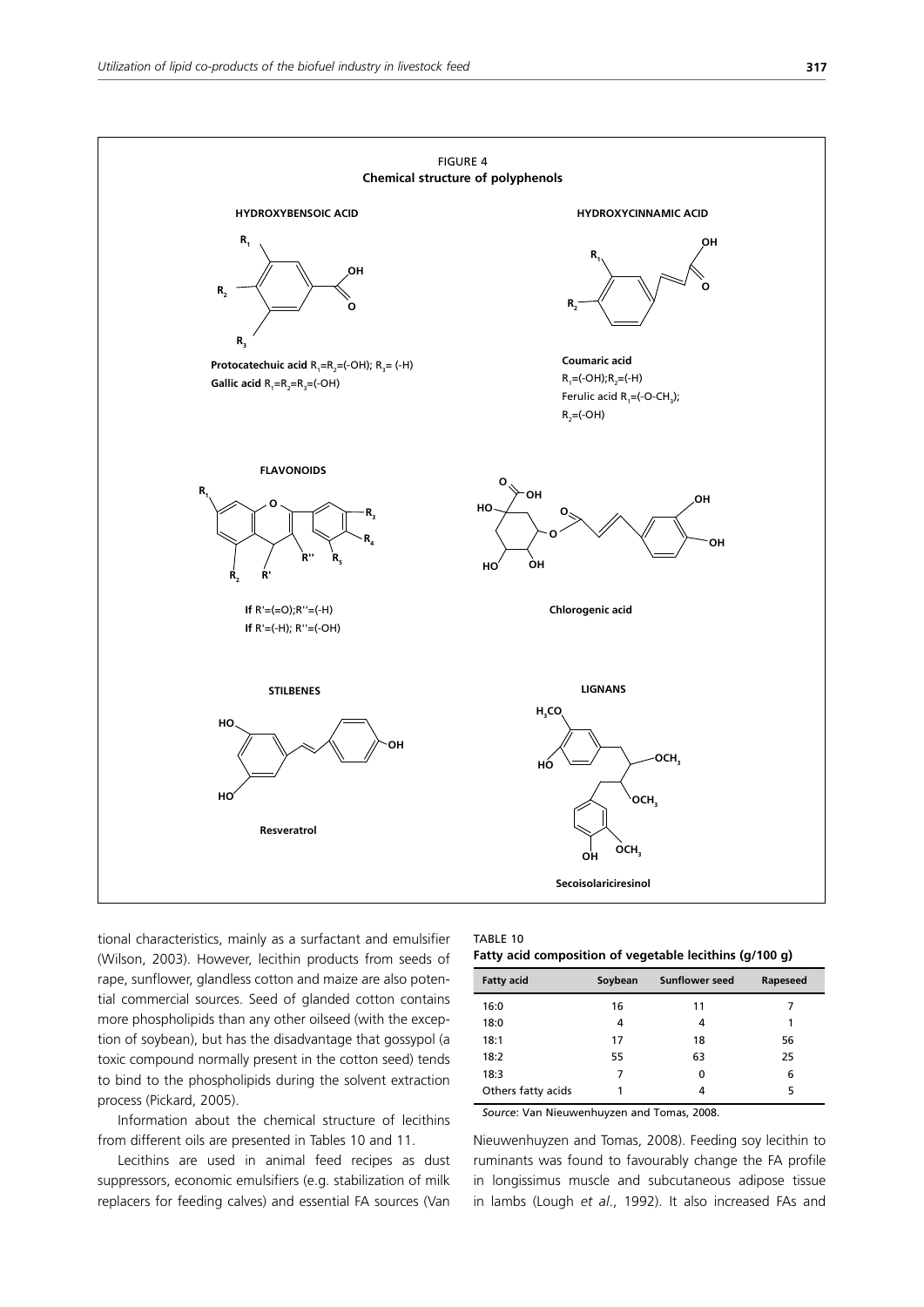

tional characteristics, mainly as a surfactant and emulsifier (Wilson, 2003). However, lecithin products from seeds of rape, sunflower, glandless cotton and maize are also potential commercial sources. Seed of glanded cotton contains more phospholipids than any other oilseed (with the exception of soybean), but has the disadvantage that gossypol (a toxic compound normally present in the cotton seed) tends to bind to the phospholipids during the solvent extraction process (Pickard, 2005).

Information about the chemical structure of lecithins from different oils are presented in Tables 10 and 11.

Lecithins are used in animal feed recipes as dust suppressors, economic emulsifiers (e.g. stabilization of milk replacers for feeding calves) and essential FA sources (Van

| IABLE 10 |  |  |
|----------|--|--|
|          |  |  |

| <b>Fatty acid</b>  | Soybean | <b>Sunflower seed</b> | Rapeseed |
|--------------------|---------|-----------------------|----------|
| 16:0               | 16      | 11                    |          |
| 18:0               | 4       | 4                     |          |
| 18:1               | 17      | 18                    | 56       |
| 18:2               | 55      | 63                    | 25       |
| 18:3               |         | 0                     | 6        |
| Others fatty acids |         | 4                     | 5        |

*Source*: Van Nieuwenhuyzen and Tomas, 2008.

Nieuwenhuyzen and Tomas, 2008). Feeding soy lecithin to ruminants was found to favourably change the FA profile in longissimus muscle and subcutaneous adipose tissue in lambs (Lough *et al*., 1992). It also increased FAs and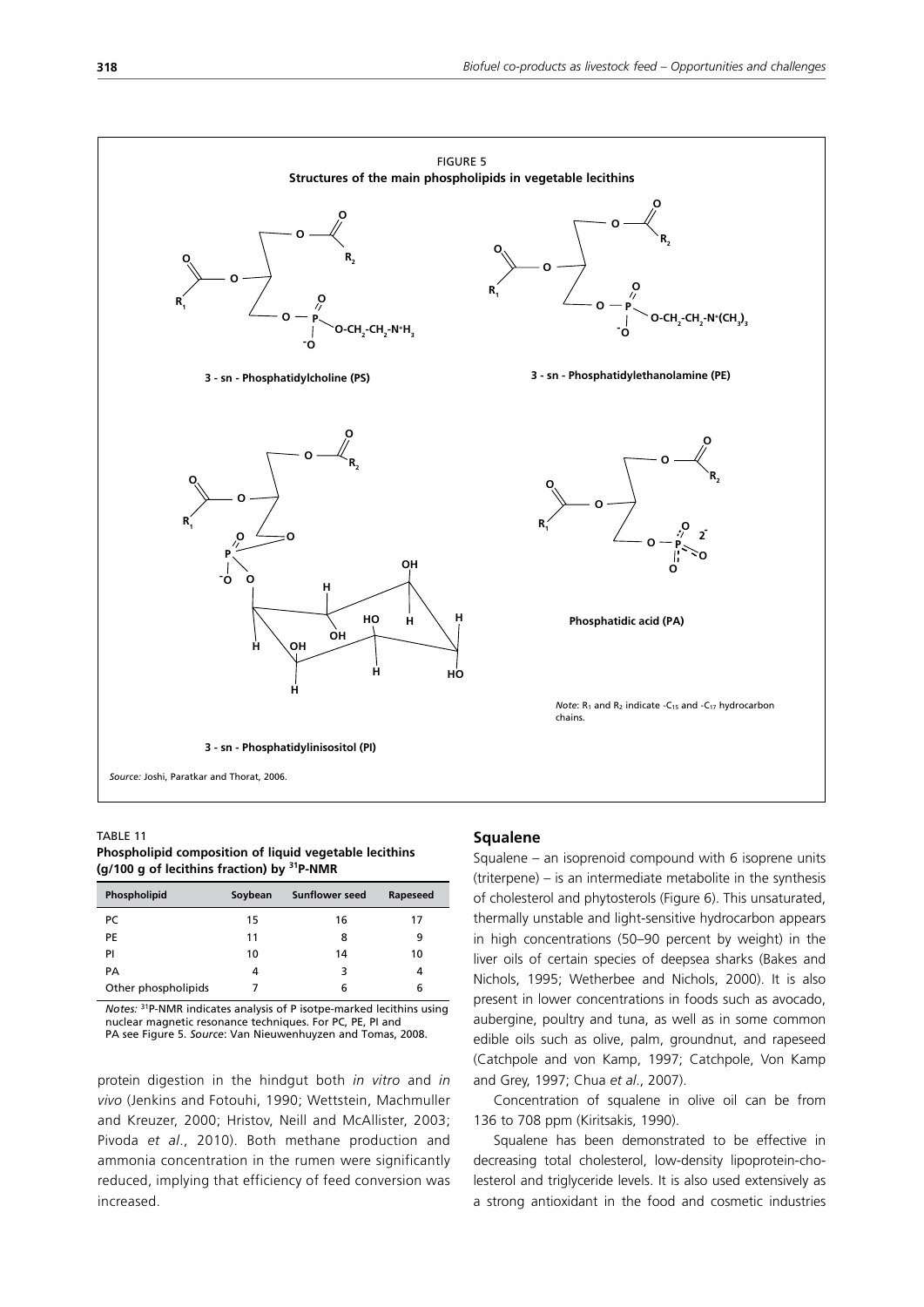

TABLE 11 **Phospholipid composition of liquid vegetable lecithins (g/100 g of lecithins fraction) by 31P-NMR**

| Phospholipid        | Soybean | <b>Sunflower seed</b> | Rapeseed |
|---------------------|---------|-----------------------|----------|
| PC                  | 15      | 16                    | 17       |
| PE                  | 11      | 8                     | 9        |
| PI                  | 10      | 14                    | 10       |
| PА                  | 4       | З                     | 4        |
| Other phospholipids |         | 6                     | 6        |

*Notes:* 31P-NMR indicates analysis of P isotpe-marked lecithins using nuclear magnetic resonance techniques. For PC, PE, PI and PA see Figure 5. *Source*: Van Nieuwenhuyzen and Tomas, 2008.

protein digestion in the hindgut both *in vitro* and *in vivo* (Jenkins and Fotouhi, 1990; Wettstein, Machmuller and Kreuzer, 2000; Hristov, Neill and McAllister, 2003; Pivoda *et al*., 2010). Both methane production and ammonia concentration in the rumen were significantly reduced, implying that efficiency of feed conversion was increased.

### **Squalene**

Squalene – an isoprenoid compound with 6 isoprene units (triterpene) – is an intermediate metabolite in the synthesis of cholesterol and phytosterols (Figure 6). This unsaturated, thermally unstable and light-sensitive hydrocarbon appears in high concentrations (50–90 percent by weight) in the liver oils of certain species of deepsea sharks (Bakes and Nichols, 1995; Wetherbee and Nichols, 2000). It is also present in lower concentrations in foods such as avocado, aubergine, poultry and tuna, as well as in some common edible oils such as olive, palm, groundnut, and rapeseed (Catchpole and von Kamp, 1997; Catchpole, Von Kamp and Grey, 1997; Chua *et al*., 2007).

Concentration of squalene in olive oil can be from 136 to 708 ppm (Kiritsakis, 1990).

Squalene has been demonstrated to be effective in decreasing total cholesterol, low-density lipoprotein-cholesterol and triglyceride levels. It is also used extensively as a strong antioxidant in the food and cosmetic industries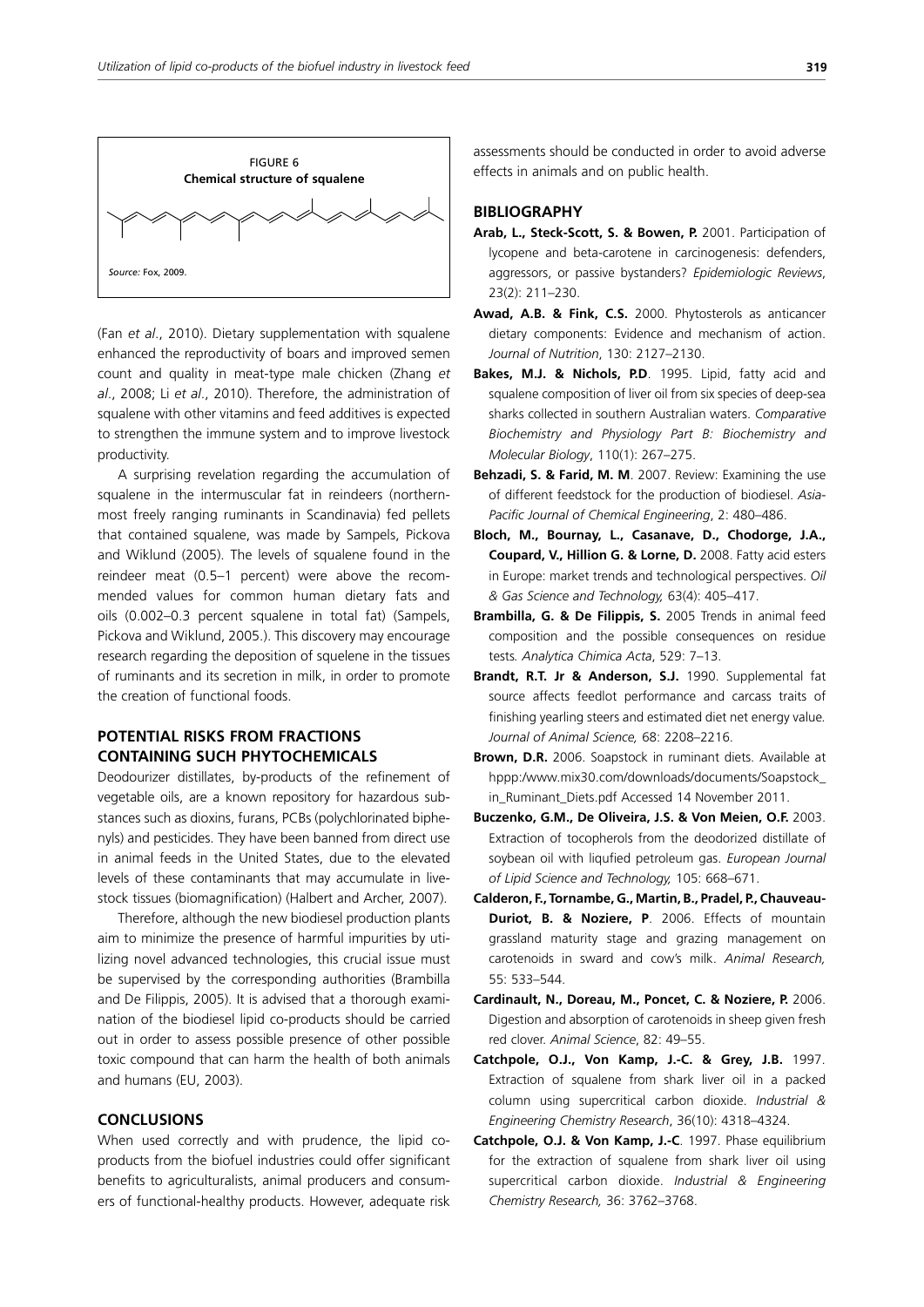

(Fan *et al*., 2010). Dietary supplementation with squalene enhanced the reproductivity of boars and improved semen count and quality in meat-type male chicken (Zhang *et al*., 2008; Li *et al*., 2010). Therefore, the administration of squalene with other vitamins and feed additives is expected to strengthen the immune system and to improve livestock productivity.

A surprising revelation regarding the accumulation of squalene in the intermuscular fat in reindeers (northernmost freely ranging ruminants in Scandinavia) fed pellets that contained squalene, was made by Sampels, Pickova and Wiklund (2005). The levels of squalene found in the reindeer meat (0.5–1 percent) were above the recommended values for common human dietary fats and oils (0.002–0.3 percent squalene in total fat) (Sampels, Pickova and Wiklund, 2005.). This discovery may encourage research regarding the deposition of squelene in the tissues of ruminants and its secretion in milk, in order to promote the creation of functional foods.

# **POTENTIAL RISKS FROM FRACTIONS CONTAINING SUCH PHYTOCHEMICALS**

Deodourizer distillates, by-products of the refinement of vegetable oils, are a known repository for hazardous substances such as dioxins, furans, PCBs (polychlorinated biphenyls) and pesticides. They have been banned from direct use in animal feeds in the United States, due to the elevated levels of these contaminants that may accumulate in livestock tissues (biomagnification) (Halbert and Archer, 2007).

Therefore, although the new biodiesel production plants aim to minimize the presence of harmful impurities by utilizing novel advanced technologies, this crucial issue must be supervised by the corresponding authorities (Brambilla and De Filippis, 2005). It is advised that a thorough examination of the biodiesel lipid co-products should be carried out in order to assess possible presence of other possible toxic compound that can harm the health of both animals and humans (EU, 2003).

# **CONCLUSIONS**

When used correctly and with prudence, the lipid coproducts from the biofuel industries could offer significant benefits to agriculturalists, animal producers and consumers of functional-healthy products. However, adequate risk assessments should be conducted in order to avoid adverse effects in animals and on public health.

### **BIBLIOGRAPHY**

- **Arab, L., Steck-Scott, S. & Bowen, P.** 2001. Participation of lycopene and beta-carotene in carcinogenesis: defenders, aggressors, or passive bystanders? *Epidemiologic Reviews*, 23(2): 211–230.
- **Awad, A.B. & Fink, C.S.** 2000. Phytosterols as anticancer dietary components: Evidence and mechanism of action. *Journal of Nutrition*, 130: 2127–2130.
- **Bakes, M.J. & Nichols, P.D**. 1995. Lipid, fatty acid and squalene composition of liver oil from six species of deep-sea sharks collected in southern Australian waters. *Comparative Biochemistry and Physiology Part B: Biochemistry and Molecular Biology*, 110(1): 267–275.
- **Behzadi, S. & Farid, M. M**. 2007. Review: Examining the use of different feedstock for the production of biodiesel. *Asia-Pacific Journal of Chemical Engineering*, 2: 480–486.
- **Bloch, M., Bournay, L., Casanave, D., Chodorge, J.A., Coupard, V., Hillion G. & Lorne, D.** 2008. Fatty acid esters in Europe: market trends and technological perspectives. *Oil & Gas Science and Technology,* 63(4): 405–417.
- **Brambilla, G. & De Filippis, S.** 2005 Trends in animal feed composition and the possible consequences on residue tests*. Analytica Chimica Acta*, 529: 7–13.
- **Brandt, R.T. Jr & Anderson, S.J.** 1990. Supplemental fat source affects feedlot performance and carcass traits of finishing yearling steers and estimated diet net energy value*. Journal of Animal Science,* 68: 2208–2216.
- **Brown, D.R.** 2006. Soapstock in ruminant diets. Available at hppp:/www.mix30.com/downloads/documents/Soapstock\_ in\_Ruminant\_Diets.pdf Accessed 14 November 2011.
- **Buczenko, G.M., De Oliveira, J.S. & Von Meien, O.F.** 2003. Extraction of tocopherols from the deodorized distillate of soybean oil with liqufied petroleum gas. *European Journal of Lipid Science and Technology,* 105: 668–671.
- **Calderon, F., Tornambe, G., Martin, B., Pradel, P., Chauveau-Duriot, B. & Noziere, P**. 2006. Effects of mountain grassland maturity stage and grazing management on carotenoids in sward and cow's milk. *Animal Research,* 55: 533–544.
- **Cardinault, N., Doreau, M., Poncet, C. & Noziere, P.** 2006. Digestion and absorption of carotenoids in sheep given fresh red clover. *Animal Science*, 82: 49–55.
- **Catchpole, O.J., Von Kamp, J.-C. & Grey, J.B.** 1997. Extraction of squalene from shark liver oil in a packed column using supercritical carbon dioxide. *Industrial & Engineering Chemistry Research*, 36(10): 4318–4324.
- **Catchpole, O.J. & Von Kamp, J.-C**. 1997. Phase equilibrium for the extraction of squalene from shark liver oil using supercritical carbon dioxide. *Industrial & Engineering Chemistry Research,* 36: 3762–3768.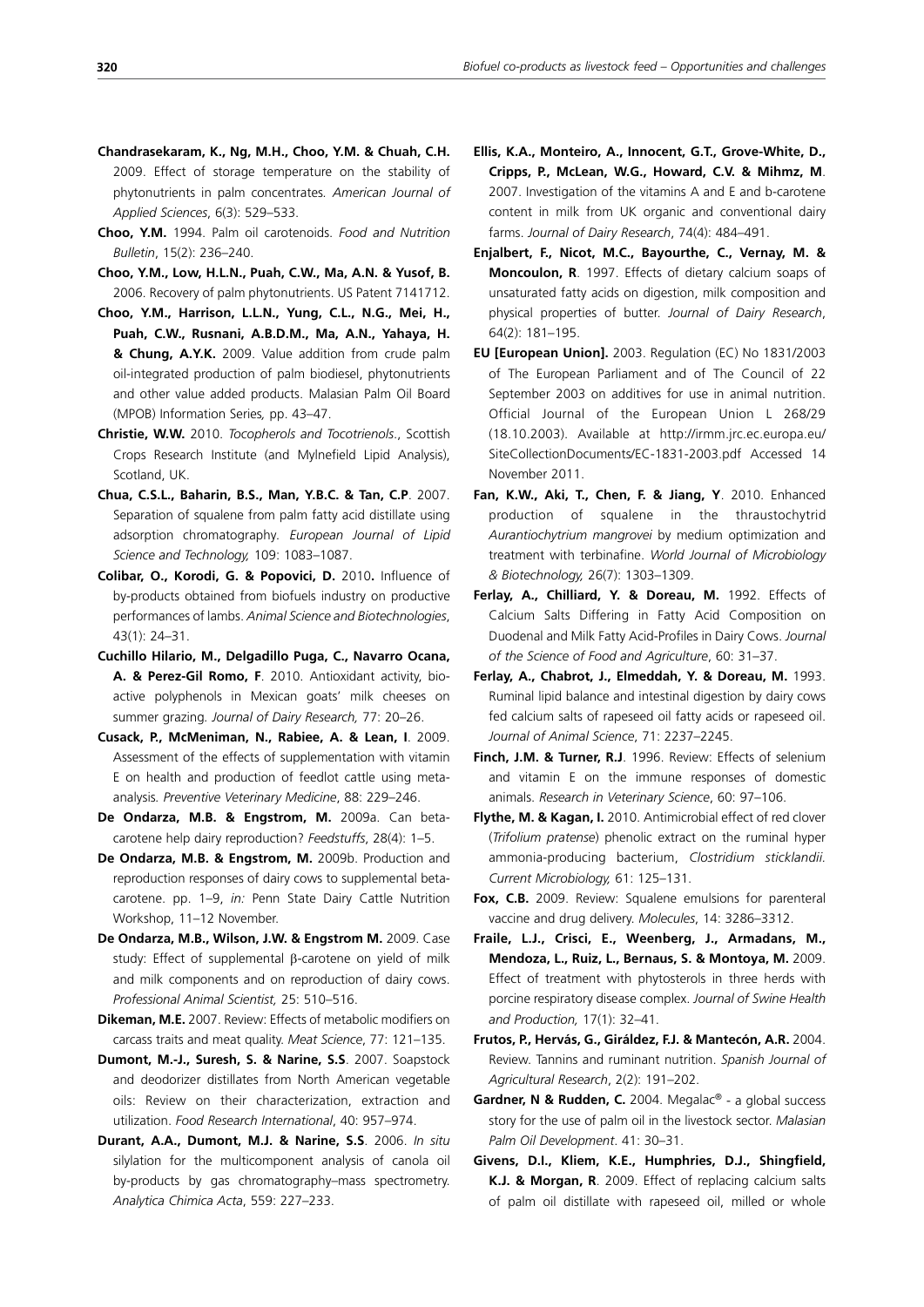- **Chandrasekaram, K., Ng, M.H., Choo, Y.M. & Chuah, C.H.** 2009. Effect of storage temperature on the stability of phytonutrients in palm concentrates*. American Journal of Applied Sciences*, 6(3): 529–533.
- **Choo, Y.M.** 1994. Palm oil carotenoids. *Food and Nutrition Bulletin*, 15(2): 236–240.
- **Choo, Y.M., Low, H.L.N., Puah, C.W., Ma, A.N. & Yusof, B.** 2006. Recovery of palm phytonutrients. US Patent 7141712.
- **Choo, Y.M., Harrison, L.L.N., Yung, C.L., N.G., Mei, H., Puah, C.W., Rusnani, A.B.D.M., Ma, A.N., Yahaya, H. & Chung, A.Y.K.** 2009. Value addition from crude palm oil-integrated production of palm biodiesel, phytonutrients and other value added products. Malasian Palm Oil Board (MPOB) Information Series*,* pp. 43–47.
- **Christie, W.W.** 2010. *Tocopherols and Tocotrienols*., Scottish Crops Research Institute (and Mylnefield Lipid Analysis), Scotland, UK.
- **Chua, C.S.L., Baharin, B.S., Man, Y.B.C. & Tan, C.P**. 2007. Separation of squalene from palm fatty acid distillate using adsorption chromatography*. European Journal of Lipid Science and Technology,* 109: 1083–1087.
- **Colibar, O., Korodi, G. & Popovici, D.** 2010**.** Influence of by-products obtained from biofuels industry on productive performances of lambs. *Animal Science and Biotechnologies*, 43(1): 24–31.
- **Cuchillo Hilario, M., Delgadillo Puga, C., Navarro Ocana, A. & Perez-Gil Romo, F**. 2010. Antioxidant activity, bioactive polyphenols in Mexican goats' milk cheeses on summer grazing*. Journal of Dairy Research,* 77: 20–26.
- **Cusack, P., McMeniman, N., Rabiee, A. & Lean, I**. 2009. Assessment of the effects of supplementation with vitamin E on health and production of feedlot cattle using metaanalysis*. Preventive Veterinary Medicine*, 88: 229–246.
- **De Ondarza, M.B. & Engstrom, M.** 2009a. Can betacarotene help dairy reproduction? *Feedstuffs*, 28(4): 1–5.
- De Ondarza, M.B. & Engstrom, M. 2009b. Production and reproduction responses of dairy cows to supplemental betacarotene. pp. 1–9, *in:* Penn State Dairy Cattle Nutrition Workshop, 11–12 November.
- **De Ondarza, M.B., Wilson, J.W. & Engstrom M.** 2009. Case study: Effect of supplemental β-carotene on yield of milk and milk components and on reproduction of dairy cows. *Professional Animal Scientist,* 25: 510–516.
- **Dikeman, M.E.** 2007. Review: Effects of metabolic modifiers on carcass traits and meat quality. *Meat Science*, 77: 121–135.
- **Dumont, M.-J., Suresh, S. & Narine, S.S**. 2007. Soapstock and deodorizer distillates from North American vegetable oils: Review on their characterization, extraction and utilization. *Food Research International*, 40: 957–974.
- **Durant, A.A., Dumont, M.J. & Narine, S.S**. 2006. *In situ* silylation for the multicomponent analysis of canola oil by-products by gas chromatography–mass spectrometry. *Analytica Chimica Acta*, 559: 227–233.
- **Ellis, K.A., Monteiro, A., Innocent, G.T., Grove-White, D., Cripps, P., McLean, W.G., Howard, C.V. & Mihmz, M**. 2007. Investigation of the vitamins A and E and b-carotene content in milk from UK organic and conventional dairy farms. *Journal of Dairy Research*, 74(4): 484–491.
- **Enjalbert, F., Nicot, M.C., Bayourthe, C., Vernay, M. & Moncoulon, R**. 1997. Effects of dietary calcium soaps of unsaturated fatty acids on digestion, milk composition and physical properties of butter. *Journal of Dairy Research*, 64(2): 181–195.
- **EU [European Union].** 2003. Regulation (EC) No 1831/2003 of The European Parliament and of The Council of 22 September 2003 on additives for use in animal nutrition. Official Journal of the European Union L 268/29 (18.10.2003). Available at http://irmm.jrc.ec.europa.eu/ SiteCollectionDocuments/EC-1831-2003.pdf Accessed 14 November 2011.
- **Fan, K.W., Aki, T., Chen, F. & Jiang, Y**. 2010. Enhanced production of squalene in the thraustochytrid *Aurantiochytrium mangrovei* by medium optimization and treatment with terbinafine. *World Journal of Microbiology & Biotechnology,* 26(7): 1303–1309.
- **Ferlay, A., Chilliard, Y. & Doreau, M.** 1992. Effects of Calcium Salts Differing in Fatty Acid Composition on Duodenal and Milk Fatty Acid-Profiles in Dairy Cows. *Journal of the Science of Food and Agriculture*, 60: 31–37.
- **Ferlay, A., Chabrot, J., Elmeddah, Y. & Doreau, M.** 1993. Ruminal lipid balance and intestinal digestion by dairy cows fed calcium salts of rapeseed oil fatty acids or rapeseed oil. *Journal of Animal Science*, 71: 2237–2245.
- **Finch, J.M. & Turner, R.J**. 1996. Review: Effects of selenium and vitamin E on the immune responses of domestic animals. *Research in Veterinary Science*, 60: 97–106.
- **Flythe, M. & Kagan, I.** 2010. Antimicrobial effect of red clover (*Trifolium pratense*) phenolic extract on the ruminal hyper ammonia-producing bacterium, *Clostridium sticklandii. Current Microbiology,* 61: 125–131.
- **Fox, C.B.** 2009. Review: Squalene emulsions for parenteral vaccine and drug delivery. *Molecules*, 14: 3286–3312.
- **Fraile, L.J., Crisci, E., Weenberg, J., Armadans, M., Mendoza, L., Ruiz, L., Bernaus, S. & Montoya, M.** 2009. Effect of treatment with phytosterols in three herds with porcine respiratory disease complex. *Journal of Swine Health and Production,* 17(1): 32–41.
- **Frutos, P., Hervás, G., Giráldez, F.J. & Mantecón, A.R.** 2004. Review. Tannins and ruminant nutrition. *Spanish Journal of Agricultural Research*, 2(2): 191–202.
- Gardner, N & Rudden, C. 2004. Megalac<sup>®</sup> a global success story for the use of palm oil in the livestock sector. *Malasian Palm Oil Development*. 41: 30–31.
- **Givens, D.I., Kliem, K.E., Humphries, D.J., Shingfield, K.J. & Morgan, R**. 2009. Effect of replacing calcium salts of palm oil distillate with rapeseed oil, milled or whole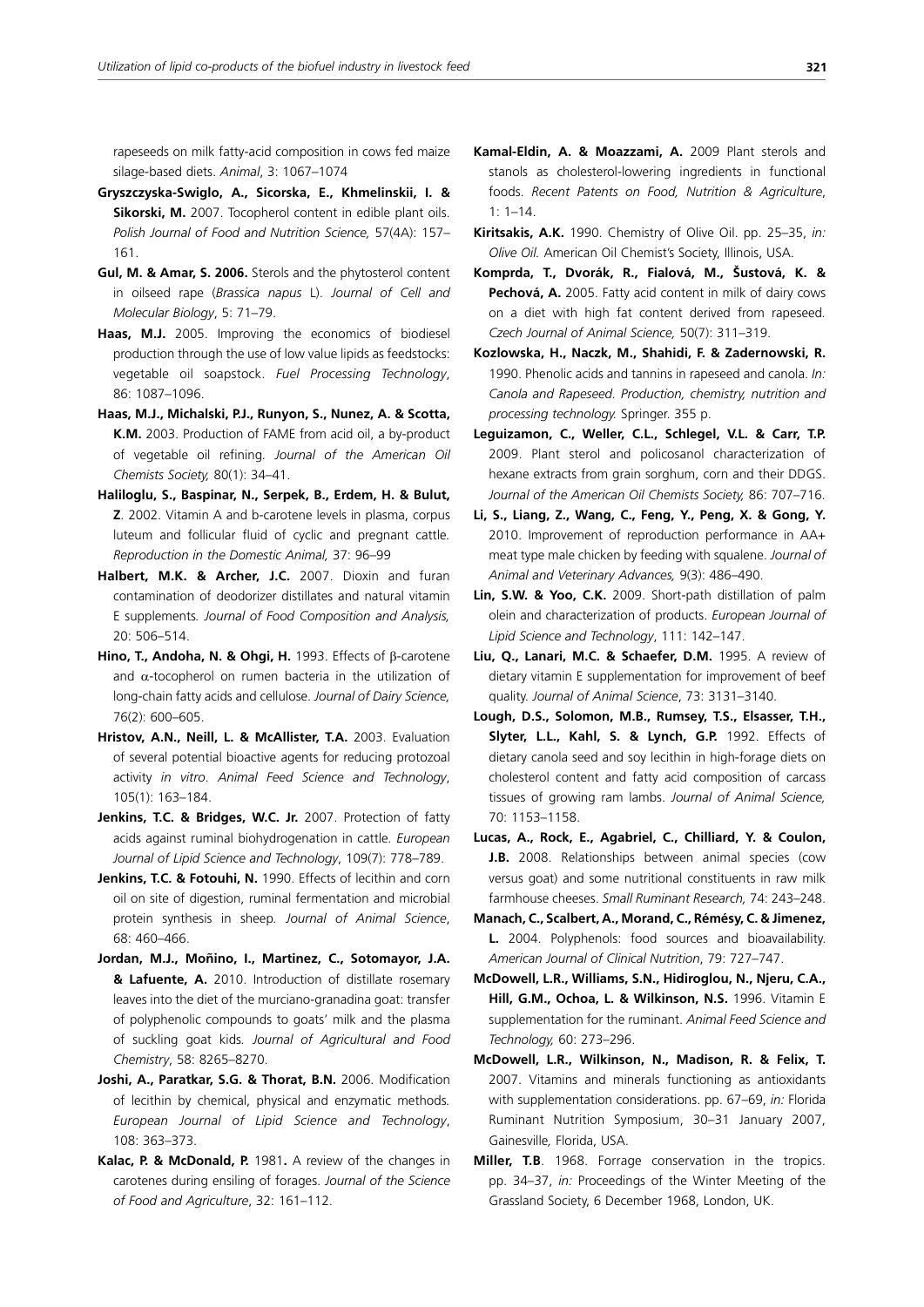rapeseeds on milk fatty-acid composition in cows fed maize silage-based diets. *Animal*, 3: 1067–1074

- **Gryszczyska-Swiglo, A., Sicorska, E., Khmelinskii, I. & Sikorski, M.** 2007. Tocopherol content in edible plant oils. *Polish Journal of Food and Nutrition Science,* 57(4A): 157– 161.
- **Gul, M. & Amar, S. 2006.** Sterols and the phytosterol content in oilseed rape (*Brassica napus* L). *Journal of Cell and Molecular Biology*, 5: 71–79.
- **Haas, M.J.** 2005. Improving the economics of biodiesel production through the use of low value lipids as feedstocks: vegetable oil soapstock. *Fuel Processing Technology*, 86: 1087–1096.
- **Haas, M.J., Michalski, P.J., Runyon, S., Nunez, A. & Scotta, K.M.** 2003. Production of FAME from acid oil, a by-product of vegetable oil refining*. Journal of the American Oil Chemists Society,* 80(1): 34–41.
- **Haliloglu, S., Baspinar, N., Serpek, B., Erdem, H. & Bulut, Z**. 2002. Vitamin A and b-carotene levels in plasma, corpus luteum and follicular fluid of cyclic and pregnant cattle*. Reproduction in the Domestic Animal,* 37: 96–99
- **Halbert, M.K. & Archer, J.C.** 2007. Dioxin and furan contamination of deodorizer distillates and natural vitamin E supplements*. Journal of Food Composition and Analysis,* 20: 506–514.
- **Hino, T., Andoha, N. & Ohgi, H.** 1993. Effects of β-carotene and  $\alpha$ -tocopherol on rumen bacteria in the utilization of long-chain fatty acids and cellulose. *Journal of Dairy Science,* 76(2): 600–605.
- **Hristov, A.N., Neill, L. & McAllister, T.A.** 2003. Evaluation of several potential bioactive agents for reducing protozoal activity *in vitro*. *Animal Feed Science and Technology*, 105(1): 163–184.
- **Jenkins, T.C. & Bridges, W.C. Jr.** 2007. Protection of fatty acids against ruminal biohydrogenation in cattle*. European Journal of Lipid Science and Technology*, 109(7): 778–789.
- Jenkins, T.C. & Fotouhi, N. 1990. Effects of lecithin and corn oil on site of digestion, ruminal fermentation and microbial protein synthesis in sheep*. Journal of Animal Science*, 68: 460–466.
- **Jordan, M.J., Moñino, I., Martinez, C., Sotomayor, J.A. & Lafuente, A.** 2010. Introduction of distillate rosemary leaves into the diet of the murciano-granadina goat: transfer of polyphenolic compounds to goats' milk and the plasma of suckling goat kids*. Journal of Agricultural and Food Chemistry*, 58: 8265–8270.
- **Joshi, A., Paratkar, S.G. & Thorat, B.N.** 2006. Modification of lecithin by chemical, physical and enzymatic methods*. European Journal of Lipid Science and Technology*, 108: 363–373.
- **Kalac, P. & McDonald, P.** 1981**.** A review of the changes in carotenes during ensiling of forages. *Journal of the Science of Food and Agriculture*, 32: 161–112.
- **Kamal-Eldin, A. & Moazzami, A.** 2009 Plant sterols and stanols as cholesterol-lowering ingredients in functional foods. *Recent Patents on Food, Nutrition & Agriculture*, 1: 1–14.
- **Kiritsakis, A.K.** 1990. Chemistry of Olive Oil. pp. 25–35, *in: Olive Oil.* American Oil Chemist's Society, Illinois, USA.
- **Komprda, T., Dvorák, R., Fialová, M., Šustová, K. &**  Pechová, A. 2005. Fatty acid content in milk of dairy cows on a diet with high fat content derived from rapeseed*. Czech Journal of Animal Science,* 50(7): 311–319.
- **Kozlowska, H., Naczk, M., Shahidi, F. & Zadernowski, R.**  1990. Phenolic acids and tannins in rapeseed and canola. *In: Canola and Rapeseed. Production, chemistry, nutrition and processing technology.* Springer. 355 p.
- **Leguizamon, C., Weller, C.L., Schlegel, V.L. & Carr, T.P.** 2009. Plant sterol and policosanol characterization of hexane extracts from grain sorghum, corn and their DDGS. *Journal of the American Oil Chemists Society,* 86: 707–716.
- **Li, S., Liang, Z., Wang, C., Feng, Y., Peng, X. & Gong, Y.**  2010. Improvement of reproduction performance in AA+ meat type male chicken by feeding with squalene. *Journal of Animal and Veterinary Advances,* 9(3): 486–490.
- **Lin, S.W. & Yoo, C.K.** 2009. Short-path distillation of palm olein and characterization of products. *European Journal of Lipid Science and Technology*, 111: 142–147.
- **Liu, Q., Lanari, M.C. & Schaefer, D.M.** 1995. A review of dietary vitamin E supplementation for improvement of beef quality. *Journal of Animal Science*, 73: 3131–3140.
- **Lough, D.S., Solomon, M.B., Rumsey, T.S., Elsasser, T.H., Slyter, L.L., Kahl, S. & Lynch, G.P.** 1992. Effects of dietary canola seed and soy lecithin in high-forage diets on cholesterol content and fatty acid composition of carcass tissues of growing ram lambs. *Journal of Animal Science,* 70: 1153–1158.
- **Lucas, A., Rock, E., Agabriel, C., Chilliard, Y. & Coulon, J.B.** 2008. Relationships between animal species (cow versus goat) and some nutritional constituents in raw milk farmhouse cheeses. *Small Ruminant Research,* 74: 243–248.
- **Manach, C., Scalbert, A., Morand, C., Rémésy, C. & Jimenez, L.** 2004. Polyphenols: food sources and bioavailability. *American Journal of Clinical Nutrition*, 79: 727–747.
- **McDowell, L.R., Williams, S.N., Hidiroglou, N., Njeru, C.A., Hill, G.M., Ochoa, L. & Wilkinson, N.S.** 1996. Vitamin E supplementation for the ruminant. *Animal Feed Science and Technology,* 60: 273–296.
- **McDowell, L.R., Wilkinson, N., Madison, R. & Felix, T.** 2007. Vitamins and minerals functioning as antioxidants with supplementation considerations. pp. 67–69, *in:* Florida Ruminant Nutrition Symposium, 30–31 January 2007, Gainesville*,* Florida, USA.
- **Miller, T.B**. 1968. Forrage conservation in the tropics. pp. 34–37, *in:* Proceedings of the Winter Meeting of the Grassland Society, 6 December 1968, London, UK.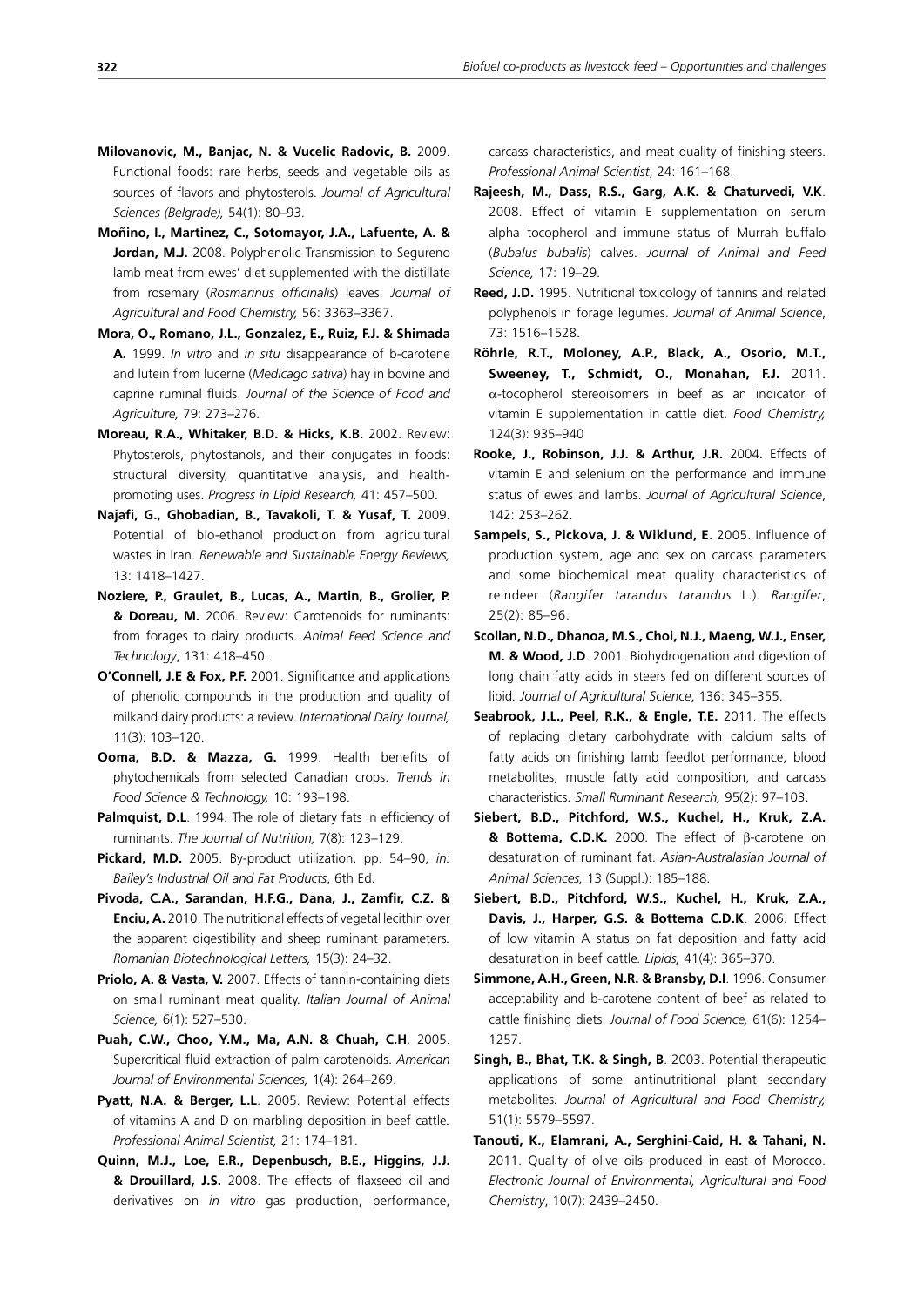- **Milovanovic, M., Banjac, N. & Vucelic Radovic, B.** 2009. Functional foods: rare herbs, seeds and vegetable oils as sources of flavors and phytosterols. *Journal of Agricultural Sciences (Belgrade),* 54(1): 80–93.
- **Moñino, I., Martinez, C., Sotomayor, J.A., Lafuente, A. &**  Jordan, M.J. 2008. Polyphenolic Transmission to Segureno lamb meat from ewes' diet supplemented with the distillate from rosemary (*Rosmarinus officinalis*) leaves. *Journal of Agricultural and Food Chemistry,* 56: 3363–3367.
- **Mora, O., Romano, J.L., Gonzalez, E., Ruiz, F.J. & Shimada A.** 1999. *In vitro* and *in situ* disappearance of b-carotene and lutein from lucerne (*Medicago sativa*) hay in bovine and caprine ruminal fluids. *Journal of the Science of Food and Agriculture,* 79: 273–276.
- **Moreau, R.A., Whitaker, B.D. & Hicks, K.B.** 2002. Review: Phytosterols, phytostanols, and their conjugates in foods: structural diversity, quantitative analysis, and healthpromoting uses. *Progress in Lipid Research,* 41: 457–500.
- **Najafi, G., Ghobadian, B., Tavakoli, T. & Yusaf, T.** 2009. Potential of bio-ethanol production from agricultural wastes in Iran. *Renewable and Sustainable Energy Reviews,* 13: 1418–1427.
- **Noziere, P., Graulet, B., Lucas, A., Martin, B., Grolier, P. & Doreau, M.** 2006. Review: Carotenoids for ruminants: from forages to dairy products. *Animal Feed Science and Technology*, 131: 418–450.
- **O'Connell, J.E & Fox, P.F.** 2001. Significance and applications of phenolic compounds in the production and quality of milkand dairy products: a review. *International Dairy Journal,*  11(3): 103–120.
- **Ooma, B.D. & Mazza, G.** 1999. Health benefits of phytochemicals from selected Canadian crops. *Trends in Food Science & Technology,* 10: 193–198.
- **Palmquist, D.L.** 1994. The role of dietary fats in efficiency of ruminants. *The Journal of Nutrition,* 7(8): 123–129.
- **Pickard, M.D.** 2005. By-product utilization. pp. 54–90, *in: Bailey's Industrial Oil and Fat Products*, 6th Ed.
- **Pivoda, C.A., Sarandan, H.F.G., Dana, J., Zamfir, C.Z. & Enciu, A.** 2010. The nutritional effects of vegetal lecithin over the apparent digestibility and sheep ruminant parameters*. Romanian Biotechnological Letters,* 15(3): 24–32.
- **Priolo, A. & Vasta, V.** 2007. Effects of tannin-containing diets on small ruminant meat quality. *Italian Journal of Animal Science,* 6(1): 527–530.
- **Puah, C.W., Choo, Y.M., Ma, A.N. & Chuah, C.H**. 2005. Supercritical fluid extraction of palm carotenoids. *American Journal of Environmental Sciences,* 1(4): 264–269.
- **Pyatt, N.A. & Berger, L.L**. 2005. Review: Potential effects of vitamins A and D on marbling deposition in beef cattle*. Professional Animal Scientist,* 21: 174–181.
- **Quinn, M.J., Loe, E.R., Depenbusch, B.E., Higgins, J.J. & Drouillard, J.S.** 2008. The effects of flaxseed oil and derivatives on *in vitro* gas production, performance,

carcass characteristics, and meat quality of finishing steers. *Professional Animal Scientist*, 24: 161–168.

- **Rajeesh, M., Dass, R.S., Garg, A.K. & Chaturvedi, V.K**. 2008. Effect of vitamin E supplementation on serum alpha tocopherol and immune status of Murrah buffalo (*Bubalus bubalis*) calves. *Journal of Animal and Feed Science,* 17: 19–29.
- **Reed, J.D.** 1995. Nutritional toxicology of tannins and related polyphenols in forage legumes. *Journal of Animal Science*, 73: 1516–1528.
- **Röhrle, R.T., Moloney, A.P., Black, A., Osorio, M.T., Sweeney, T., Schmidt, O., Monahan, F.J.** 2011.  $\alpha$ -tocopherol stereoisomers in beef as an indicator of vitamin E supplementation in cattle diet. *Food Chemistry,* 124(3): 935–940
- **Rooke, J., Robinson, J.J. & Arthur, J.R.** 2004. Effects of vitamin E and selenium on the performance and immune status of ewes and lambs. *Journal of Agricultural Science*, 142: 253–262.
- **Sampels, S., Pickova, J. & Wiklund, E**. 2005. Influence of production system, age and sex on carcass parameters and some biochemical meat quality characteristics of reindeer (*Rangifer tarandus tarandus* L.). *Rangifer*, 25(2): 85–96.
- **Scollan, N.D., Dhanoa, M.S., Choi, N.J., Maeng, W.J., Enser, M. & Wood, J.D**. 2001. Biohydrogenation and digestion of long chain fatty acids in steers fed on different sources of lipid*. Journal of Agricultural Science*, 136: 345–355.
- **Seabrook, J.L., Peel, R.K., & Engle, T.E.** 2011. The effects of replacing dietary carbohydrate with calcium salts of fatty acids on finishing lamb feedlot performance, blood metabolites, muscle fatty acid composition, and carcass characteristics. *Small Ruminant Research,* 95(2): 97–103.
- **Siebert, B.D., Pitchford, W.S., Kuchel, H., Kruk, Z.A. & Bottema, C.D.K.** 2000. The effect of β-carotene on desaturation of ruminant fat. *Asian-Australasian Journal of Animal Sciences,* 13 (Suppl.): 185–188.
- **Siebert, B.D., Pitchford, W.S., Kuchel, H., Kruk, Z.A., Davis, J., Harper, G.S. & Bottema C.D.K**. 2006. Effect of low vitamin A status on fat deposition and fatty acid desaturation in beef cattle*. Lipids,* 41(4): 365–370.
- **Simmone, A.H., Green, N.R. & Bransby, D.I**. 1996. Consumer acceptability and b-carotene content of beef as related to cattle finishing diets. *Journal of Food Science,* 61(6): 1254– 1257.
- **Singh, B., Bhat, T.K. & Singh, B**. 2003. Potential therapeutic applications of some antinutritional plant secondary metabolites*. Journal of Agricultural and Food Chemistry,* 51(1): 5579–5597.
- **Tanouti, K., Elamrani, A., Serghini-Caid, H. & Tahani, N.** 2011. Quality of olive oils produced in east of Morocco. *Electronic Journal of Environmental, Agricultural and Food Chemistry*, 10(7): 2439–2450.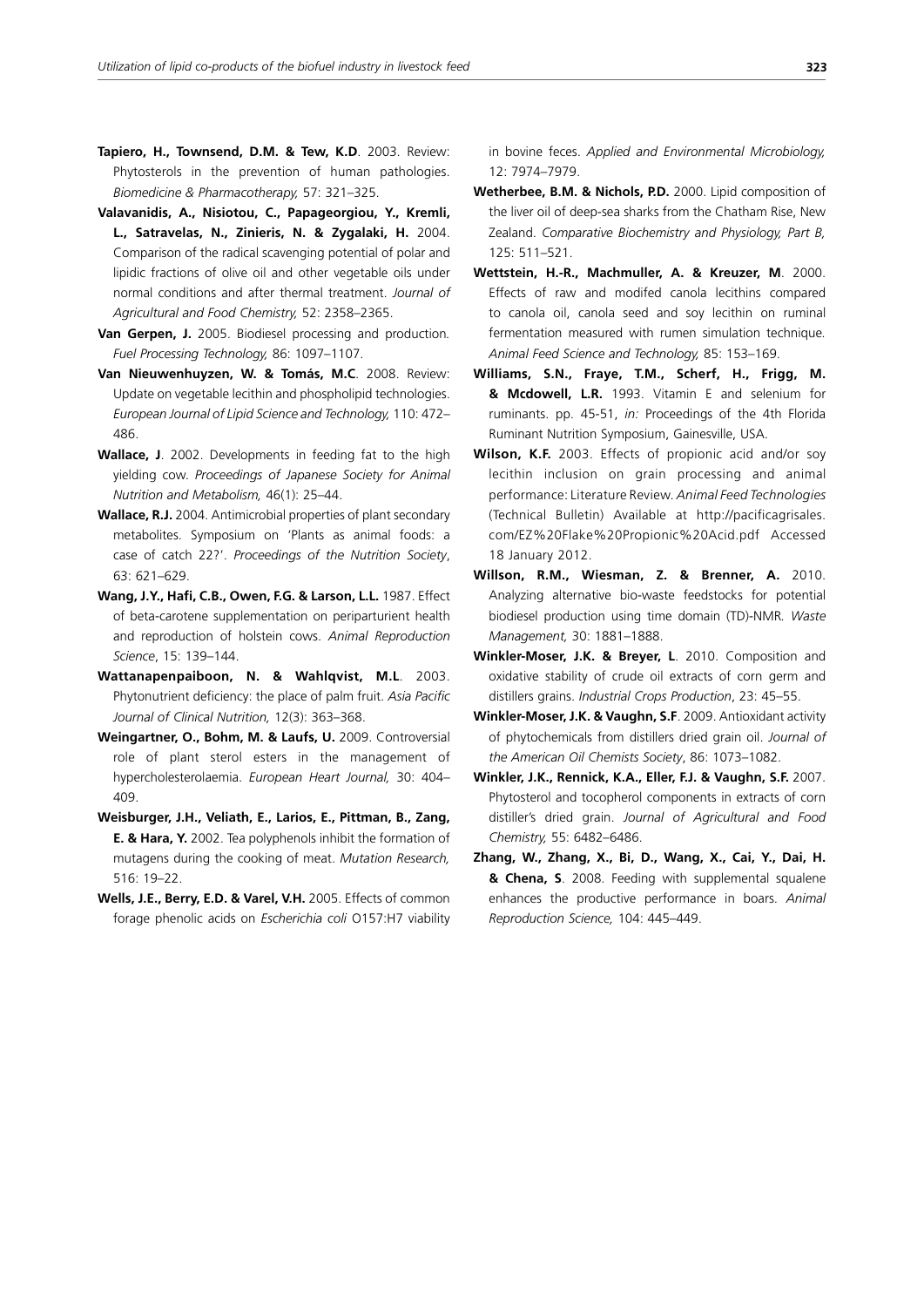- **Tapiero, H., Townsend, D.M. & Tew, K.D**. 2003. Review: Phytosterols in the prevention of human pathologies. *Biomedicine & Pharmacotherapy,* 57: 321–325.
- **Valavanidis, A., Nisiotou, C., Papageorgiou, Y., Kremli, L., Satravelas, N., Zinieris, N. & Zygalaki, H.** 2004. Comparison of the radical scavenging potential of polar and lipidic fractions of olive oil and other vegetable oils under normal conditions and after thermal treatment. *Journal of Agricultural and Food Chemistry,* 52: 2358–2365.
- **Van Gerpen, J.** 2005. Biodiesel processing and production*. Fuel Processing Technology,* 86: 1097–1107.
- **Van Nieuwenhuyzen, W. & Tomás, M.C**. 2008. Review: Update on vegetable lecithin and phospholipid technologies. *European Journal of Lipid Science and Technology,* 110: 472– 486.
- **Wallace, J**. 2002. Developments in feeding fat to the high yielding cow. *Proceedings of Japanese Society for Animal Nutrition and Metabolism,* 46(1): 25–44.
- **Wallace, R.J.** 2004. Antimicrobial properties of plant secondary metabolites. Symposium on 'Plants as animal foods: a case of catch 22?'. *Proceedings of the Nutrition Society*, 63: 621–629.
- **Wang, J.Y., Hafi, C.B., Owen, F.G. & Larson, L.L.** 1987. Effect of beta-carotene supplementation on periparturient health and reproduction of holstein cows. *Animal Reproduction Science*, 15: 139–144.
- **Wattanapenpaiboon, N. & Wahlqvist, M.L**. 2003. Phytonutrient deficiency: the place of palm fruit. *Asia Pacific Journal of Clinical Nutrition,* 12(3): 363–368.
- **Weingartner, O., Bohm, M. & Laufs, U.** 2009. Controversial role of plant sterol esters in the management of hypercholesterolaemia. *European Heart Journal,* 30: 404– 409.
- **Weisburger, J.H., Veliath, E., Larios, E., Pittman, B., Zang, E. & Hara, Y.** 2002. Tea polyphenols inhibit the formation of mutagens during the cooking of meat. *Mutation Research,* 516: 19–22.
- **Wells, J.E., Berry, E.D. & Varel, V.H.** 2005. Effects of common forage phenolic acids on *Escherichia coli* O157:H7 viability

in bovine feces. *Applied and Environmental Microbiology,*  12: 7974–7979.

- **Wetherbee, B.M. & Nichols, P.D.** 2000. Lipid composition of the liver oil of deep-sea sharks from the Chatham Rise, New Zealand. *Comparative Biochemistry and Physiology, Part B,*  $125: 511 - 521$
- **Wettstein, H.-R., Machmuller, A. & Kreuzer, M**. 2000. Effects of raw and modifed canola lecithins compared to canola oil, canola seed and soy lecithin on ruminal fermentation measured with rumen simulation technique*. Animal Feed Science and Technology,* 85: 153–169.
- **Williams, S.N., Fraye, T.M., Scherf, H., Frigg, M. & Mcdowell, L.R.** 1993. Vitamin E and selenium for ruminants. pp. 45-51, *in:* Proceedings of the 4th Florida Ruminant Nutrition Symposium, Gainesville, USA.
- **Wilson, K.F.** 2003. Effects of propionic acid and/or soy lecithin inclusion on grain processing and animal performance: Literature Review. *Animal Feed Technologies* (Technical Bulletin) Available at http://pacificagrisales. com/EZ%20Flake%20Propionic%20Acid.pdf Accessed 18 January 2012.
- **Willson, R.M., Wiesman, Z. & Brenner, A.** 2010. Analyzing alternative bio-waste feedstocks for potential biodiesel production using time domain (TD)-NMR*. Waste Management,* 30: 1881–1888.
- **Winkler-Moser, J.K. & Breyer, L**. 2010. Composition and oxidative stability of crude oil extracts of corn germ and distillers grains. *Industrial Crops Production*, 23: 45–55.
- **Winkler-Moser, J.K. & Vaughn, S.F**. 2009. Antioxidant activity of phytochemicals from distillers dried grain oil. *Journal of the American Oil Chemists Society*, 86: 1073–1082.
- **Winkler, J.K., Rennick, K.A., Eller, F.J. & Vaughn, S.F.** 2007. Phytosterol and tocopherol components in extracts of corn distiller's dried grain. *Journal of Agricultural and Food Chemistry,* 55: 6482–6486.
- **Zhang, W., Zhang, X., Bi, D., Wang, X., Cai, Y., Dai, H. & Chena, S**. 2008. Feeding with supplemental squalene enhances the productive performance in boars. *Animal Reproduction Science,* 104: 445–449.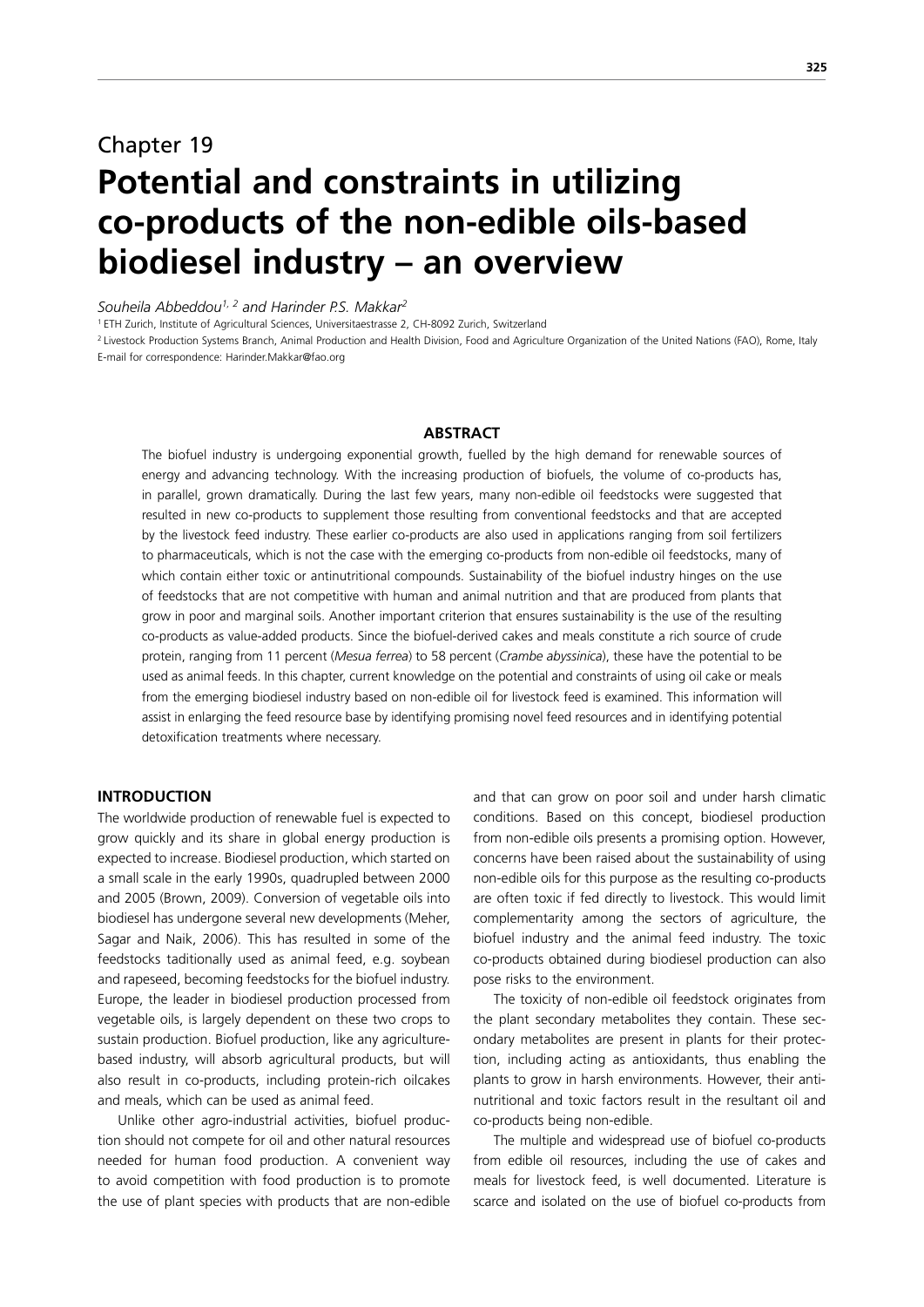# Chapter 19 **Potential and constraints in utilizing co-products of the non-edible oils-based biodiesel industry – an overview**

*Souheila Abbeddou1, 2 and Harinder P.S. Makkar2*

1 ETH Zurich, Institute of Agricultural Sciences, Universitaestrasse 2, CH-8092 Zurich, Switzerland

<sup>2</sup> Livestock Production Systems Branch, Animal Production and Health Division, Food and Agriculture Organization of the United Nations (FAO), Rome, Italy E-mail for correspondence: Harinder.Makkar@fao.org

## **ABSTRACT**

The biofuel industry is undergoing exponential growth, fuelled by the high demand for renewable sources of energy and advancing technology. With the increasing production of biofuels, the volume of co-products has, in parallel, grown dramatically. During the last few years, many non-edible oil feedstocks were suggested that resulted in new co-products to supplement those resulting from conventional feedstocks and that are accepted by the livestock feed industry. These earlier co-products are also used in applications ranging from soil fertilizers to pharmaceuticals, which is not the case with the emerging co-products from non-edible oil feedstocks, many of which contain either toxic or antinutritional compounds. Sustainability of the biofuel industry hinges on the use of feedstocks that are not competitive with human and animal nutrition and that are produced from plants that grow in poor and marginal soils. Another important criterion that ensures sustainability is the use of the resulting co-products as value-added products. Since the biofuel-derived cakes and meals constitute a rich source of crude protein, ranging from 11 percent (*Mesua ferrea*) to 58 percent (*Crambe abyssinica*), these have the potential to be used as animal feeds. In this chapter, current knowledge on the potential and constraints of using oil cake or meals from the emerging biodiesel industry based on non-edible oil for livestock feed is examined. This information will assist in enlarging the feed resource base by identifying promising novel feed resources and in identifying potential detoxification treatments where necessary.

# **INTRODUCTION**

The worldwide production of renewable fuel is expected to grow quickly and its share in global energy production is expected to increase. Biodiesel production, which started on a small scale in the early 1990s, quadrupled between 2000 and 2005 (Brown, 2009). Conversion of vegetable oils into biodiesel has undergone several new developments (Meher, Sagar and Naik, 2006). This has resulted in some of the feedstocks taditionally used as animal feed, e.g. soybean and rapeseed, becoming feedstocks for the biofuel industry. Europe, the leader in biodiesel production processed from vegetable oils, is largely dependent on these two crops to sustain production. Biofuel production, like any agriculturebased industry, will absorb agricultural products, but will also result in co-products, including protein-rich oilcakes and meals, which can be used as animal feed.

Unlike other agro-industrial activities, biofuel production should not compete for oil and other natural resources needed for human food production. A convenient way to avoid competition with food production is to promote the use of plant species with products that are non-edible and that can grow on poor soil and under harsh climatic conditions. Based on this concept, biodiesel production from non-edible oils presents a promising option. However, concerns have been raised about the sustainability of using non-edible oils for this purpose as the resulting co-products are often toxic if fed directly to livestock. This would limit complementarity among the sectors of agriculture, the biofuel industry and the animal feed industry. The toxic co-products obtained during biodiesel production can also pose risks to the environment.

The toxicity of non-edible oil feedstock originates from the plant secondary metabolites they contain. These secondary metabolites are present in plants for their protection, including acting as antioxidants, thus enabling the plants to grow in harsh environments. However, their antinutritional and toxic factors result in the resultant oil and co-products being non-edible.

The multiple and widespread use of biofuel co-products from edible oil resources, including the use of cakes and meals for livestock feed, is well documented. Literature is scarce and isolated on the use of biofuel co-products from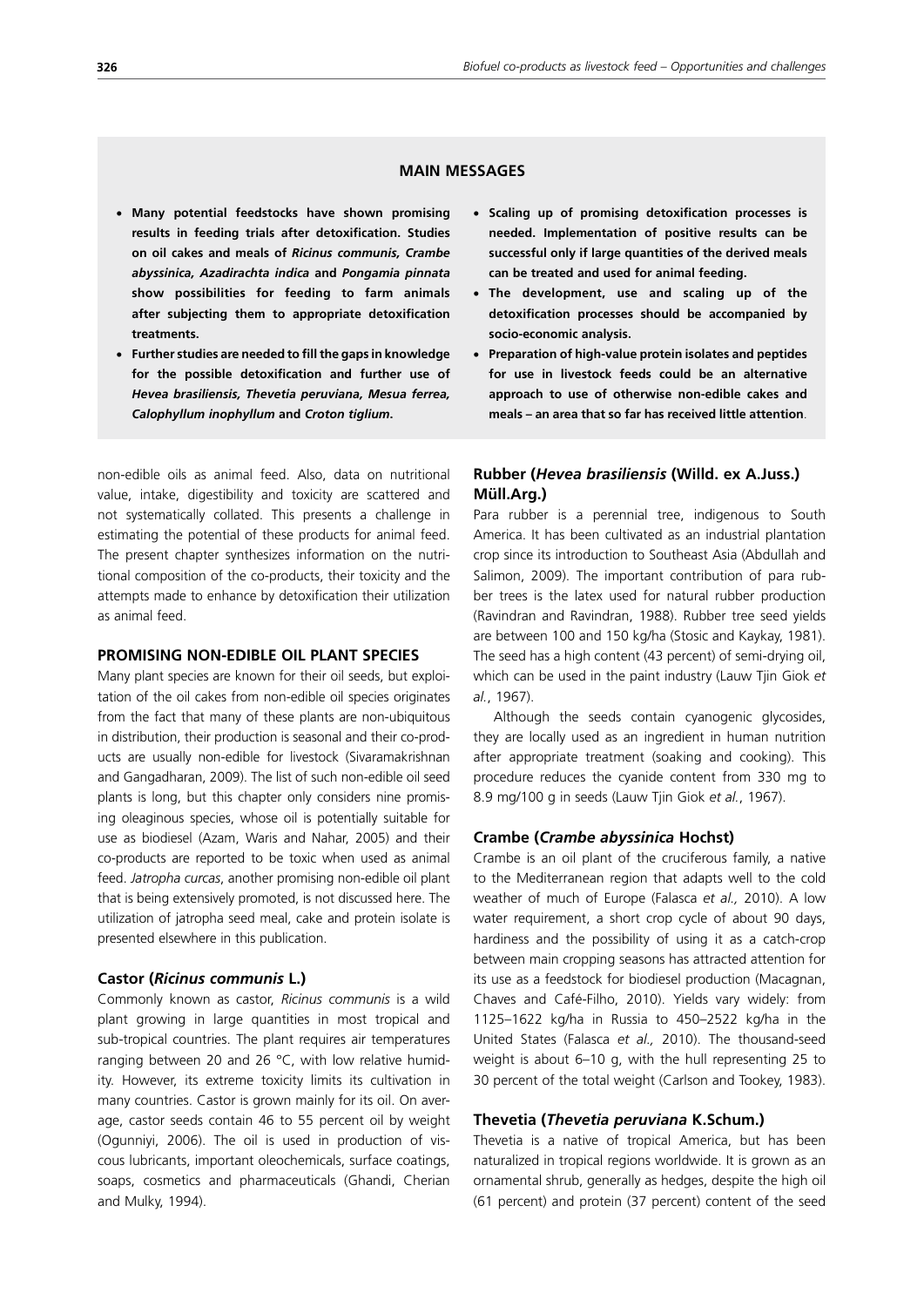# **MAIN MESSAGES**

- x **Many potential feedstocks have shown promising results in feeding trials after detoxification. Studies on oil cakes and meals of** *Ricinus communis, Crambe abyssinica, Azadirachta indica* **and** *Pongamia pinnata* **show possibilities for feeding to farm animals after subjecting them to appropriate detoxification treatments.**
- x **Further studies are needed to fill the gaps in knowledge for the possible detoxification and further use of**  *Hevea brasiliensis, Thevetia peruviana, Mesua ferrea, Calophyllum inophyllum* **and** *Croton tiglium***.**

non-edible oils as animal feed. Also, data on nutritional value, intake, digestibility and toxicity are scattered and not systematically collated. This presents a challenge in estimating the potential of these products for animal feed. The present chapter synthesizes information on the nutritional composition of the co-products, their toxicity and the attempts made to enhance by detoxification their utilization as animal feed.

## **PROMISING NON-EDIBLE OIL PLANT SPECIES**

Many plant species are known for their oil seeds, but exploitation of the oil cakes from non-edible oil species originates from the fact that many of these plants are non-ubiquitous in distribution, their production is seasonal and their co-products are usually non-edible for livestock (Sivaramakrishnan and Gangadharan, 2009). The list of such non-edible oil seed plants is long, but this chapter only considers nine promising oleaginous species, whose oil is potentially suitable for use as biodiesel (Azam, Waris and Nahar, 2005) and their co-products are reported to be toxic when used as animal feed. *Jatropha curcas*, another promising non-edible oil plant that is being extensively promoted, is not discussed here. The utilization of jatropha seed meal, cake and protein isolate is presented elsewhere in this publication.

#### **Castor (***Ricinus communis* **L.)**

Commonly known as castor, *Ricinus communis* is a wild plant growing in large quantities in most tropical and sub-tropical countries. The plant requires air temperatures ranging between 20 and 26 °C, with low relative humidity. However, its extreme toxicity limits its cultivation in many countries. Castor is grown mainly for its oil. On average, castor seeds contain 46 to 55 percent oil by weight (Ogunniyi, 2006). The oil is used in production of viscous lubricants, important oleochemicals, surface coatings, soaps, cosmetics and pharmaceuticals (Ghandi, Cherian and Mulky, 1994).

- x **Scaling up of promising detoxification processes is needed. Implementation of positive results can be successful only if large quantities of the derived meals can be treated and used for animal feeding.**
- x **The development, use and scaling up of the detoxification processes should be accompanied by socio-economic analysis.**
- **Preparation of high-value protein isolates and peptides for use in livestock feeds could be an alternative approach to use of otherwise non-edible cakes and meals – an area that so far has received little attention**.

# **Rubber (***Hevea brasiliensis* **(Willd. ex A.Juss.) Müll.Arg.)**

Para rubber is a perennial tree, indigenous to South America. It has been cultivated as an industrial plantation crop since its introduction to Southeast Asia (Abdullah and Salimon, 2009). The important contribution of para rubber trees is the latex used for natural rubber production (Ravindran and Ravindran, 1988). Rubber tree seed yields are between 100 and 150 kg/ha (Stosic and Kaykay, 1981). The seed has a high content (43 percent) of semi-drying oil, which can be used in the paint industry (Lauw Tjin Giok *et al.*, 1967).

Although the seeds contain cyanogenic glycosides, they are locally used as an ingredient in human nutrition after appropriate treatment (soaking and cooking). This procedure reduces the cyanide content from 330 mg to 8.9 mg/100 g in seeds (Lauw Tjin Giok *et al.*, 1967).

### **Crambe (***Crambe abyssinica* **Hochst)**

Crambe is an oil plant of the cruciferous family, a native to the Mediterranean region that adapts well to the cold weather of much of Europe (Falasca *et al.,* 2010). A low water requirement, a short crop cycle of about 90 days, hardiness and the possibility of using it as a catch-crop between main cropping seasons has attracted attention for its use as a feedstock for biodiesel production (Macagnan, Chaves and Café-Filho, 2010). Yields vary widely: from 1125–1622 kg/ha in Russia to 450–2522 kg/ha in the United States (Falasca *et al.,* 2010). The thousand-seed weight is about 6–10 g, with the hull representing 25 to 30 percent of the total weight (Carlson and Tookey, 1983).

### **Thevetia (***Thevetia peruviana* **K.Schum.)**

Thevetia is a native of tropical America, but has been naturalized in tropical regions worldwide. It is grown as an ornamental shrub, generally as hedges, despite the high oil (61 percent) and protein (37 percent) content of the seed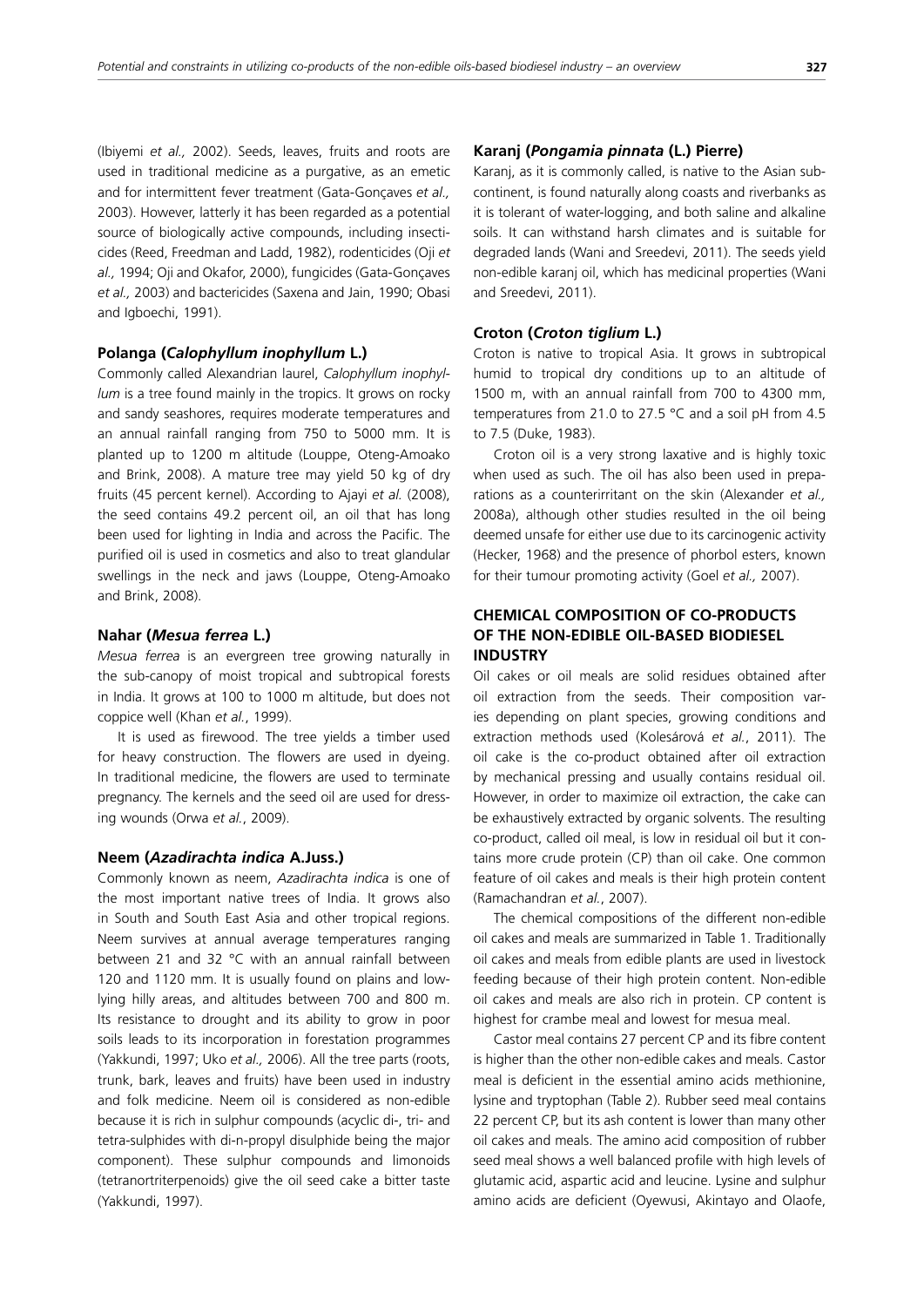(Ibiyemi *et al.,* 2002). Seeds, leaves, fruits and roots are used in traditional medicine as a purgative, as an emetic and for intermittent fever treatment (Gata-Gonçaves *et al.,* 2003). However, latterly it has been regarded as a potential source of biologically active compounds, including insecticides (Reed, Freedman and Ladd, 1982), rodenticides (Oji *et al.,* 1994; Oji and Okafor, 2000), fungicides (Gata-Gonçaves *et al.,* 2003) and bactericides (Saxena and Jain, 1990; Obasi and Igboechi, 1991).

# **Polanga (***Calophyllum inophyllum* **L.)**

Commonly called Alexandrian laurel, *Calophyllum inophyllum* is a tree found mainly in the tropics. It grows on rocky and sandy seashores, requires moderate temperatures and an annual rainfall ranging from 750 to 5000 mm. It is planted up to 1200 m altitude (Louppe, Oteng-Amoako and Brink, 2008). A mature tree may yield 50 kg of dry fruits (45 percent kernel). According to Ajayi *et al.* (2008), the seed contains 49.2 percent oil, an oil that has long been used for lighting in India and across the Pacific. The purified oil is used in cosmetics and also to treat glandular swellings in the neck and jaws (Louppe, Oteng-Amoako and Brink, 2008).

# **Nahar (***Mesua ferrea* **L.)**

*Mesua ferrea* is an evergreen tree growing naturally in the sub-canopy of moist tropical and subtropical forests in India. It grows at 100 to 1000 m altitude, but does not coppice well (Khan *et al.*, 1999).

It is used as firewood. The tree yields a timber used for heavy construction. The flowers are used in dyeing. In traditional medicine, the flowers are used to terminate pregnancy. The kernels and the seed oil are used for dressing wounds (Orwa *et al.*, 2009).

### **Neem (***Azadirachta indica* **A.Juss.)**

Commonly known as neem, *Azadirachta indica* is one of the most important native trees of India. It grows also in South and South East Asia and other tropical regions. Neem survives at annual average temperatures ranging between 21 and 32 °C with an annual rainfall between 120 and 1120 mm. It is usually found on plains and lowlying hilly areas, and altitudes between 700 and 800 m. Its resistance to drought and its ability to grow in poor soils leads to its incorporation in forestation programmes (Yakkundi, 1997; Uko *et al.,* 2006). All the tree parts (roots, trunk, bark, leaves and fruits) have been used in industry and folk medicine. Neem oil is considered as non-edible because it is rich in sulphur compounds (acyclic di-, tri- and tetra-sulphides with di-n-propyl disulphide being the major component). These sulphur compounds and limonoids (tetranor tri terpenoids) give the oil seed cake a bitter taste (Yakkundi, 1997).

#### **Karanj (***Pongamia pinnata* **(L.) Pierre)**

Karanj, as it is commonly called, is native to the Asian subcontinent, is found naturally along coasts and riverbanks as it is tolerant of water-logging, and both saline and alkaline soils. It can withstand harsh climates and is suitable for degraded lands (Wani and Sreedevi, 2011). The seeds yield non-edible karanj oil, which has medicinal properties (Wani and Sreedevi, 2011).

## **Croton (***Croton tiglium* **L.)**

Croton is native to tropical Asia. It grows in subtropical humid to tropical dry conditions up to an altitude of 1500 m, with an annual rainfall from 700 to 4300 mm, temperatures from 21.0 to 27.5 °C and a soil pH from 4.5 to 7.5 (Duke, 1983).

Croton oil is a very strong laxative and is highly toxic when used as such. The oil has also been used in preparations as a counterirritant on the skin (Alexander *et al.,* 2008a), although other studies resulted in the oil being deemed unsafe for either use due to its carcinogenic activity (Hecker, 1968) and the presence of phorbol esters, known for their tumour promoting activity (Goel *et al.,* 2007).

# **CHEMICAL COMPOSITION OF CO-PRODUCTS OF THE NON-EDIBLE OIL-BASED BIODIESEL INDUSTRY**

Oil cakes or oil meals are solid residues obtained after oil extraction from the seeds. Their composition varies depending on plant species, growing conditions and extraction methods used (Kolesárová *et al.*, 2011). The oil cake is the co-product obtained after oil extraction by mechanical pressing and usually contains residual oil. However, in order to maximize oil extraction, the cake can be exhaustively extracted by organic solvents. The resulting co-product, called oil meal, is low in residual oil but it contains more crude protein (CP) than oil cake. One common feature of oil cakes and meals is their high protein content (Ramachandran *et al.*, 2007).

The chemical compositions of the different non-edible oil cakes and meals are summarized in Table 1. Traditionally oil cakes and meals from edible plants are used in livestock feeding because of their high protein content. Non-edible oil cakes and meals are also rich in protein. CP content is highest for crambe meal and lowest for mesua meal.

Castor meal contains 27 percent CP and its fibre content is higher than the other non-edible cakes and meals. Castor meal is deficient in the essential amino acids methionine, lysine and tryptophan (Table 2). Rubber seed meal contains 22 percent CP, but its ash content is lower than many other oil cakes and meals. The amino acid composition of rubber seed meal shows a well balanced profile with high levels of glutamic acid, aspartic acid and leucine. Lysine and sulphur amino acids are deficient (Oyewusi, Akintayo and Olaofe,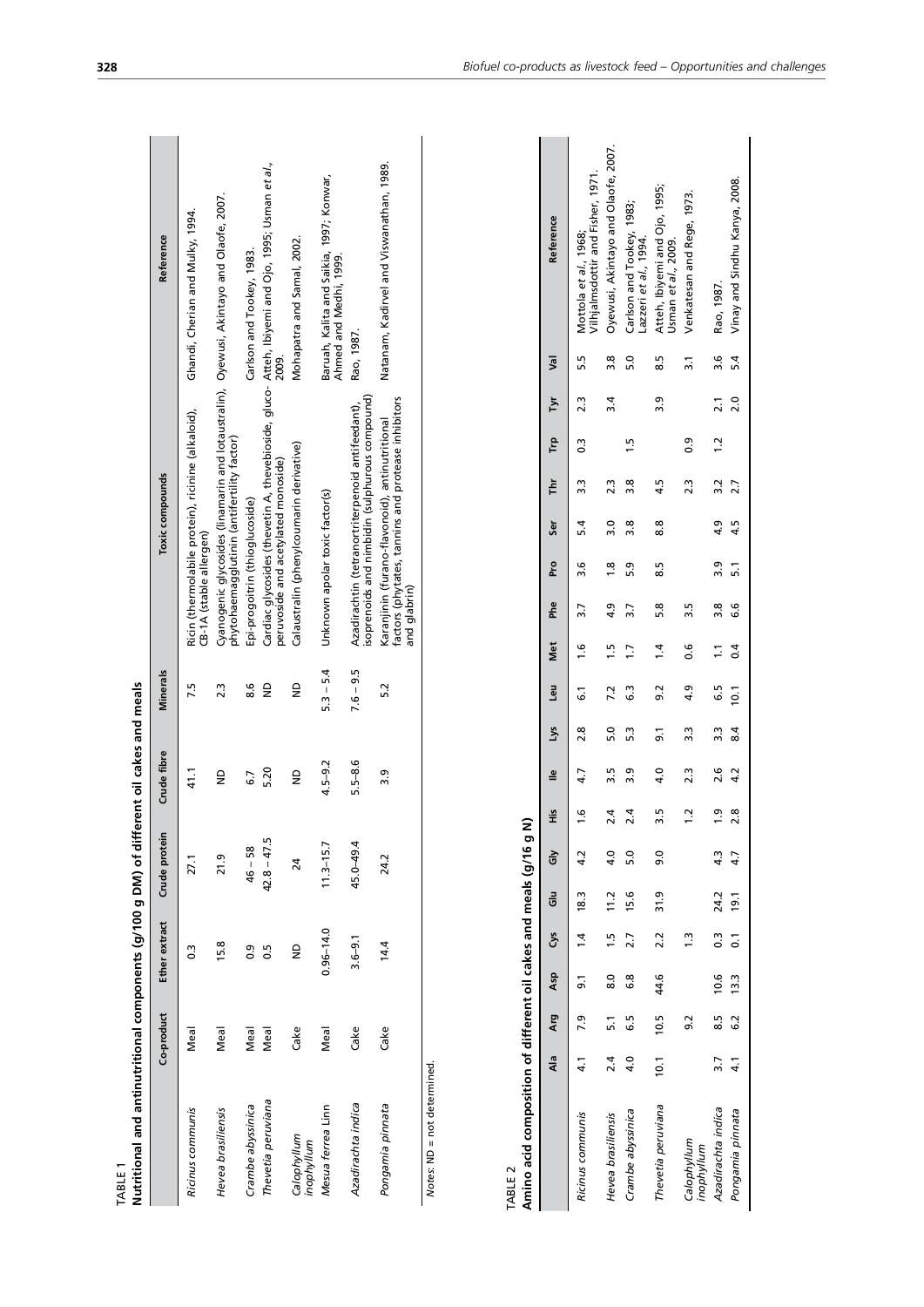| Nutritional and antinutritional components (g/100 g DM) of different oil cakes and meals<br>TABLE 1 |            |               |               |             |                 |                                                                                                                                         |                                                                    |
|-----------------------------------------------------------------------------------------------------|------------|---------------|---------------|-------------|-----------------|-----------------------------------------------------------------------------------------------------------------------------------------|--------------------------------------------------------------------|
|                                                                                                     | Co-product | Ether extract | Crude protein | Crude fibre | <b>Minerals</b> | Toxic compounds                                                                                                                         | Reference                                                          |
| Ricinus communis                                                                                    | Meal       |               | 27.1          | 11<br>1     | 7.5             | Ricin (thermolabile protein), ricinine (alkaloid),<br>CB-1A (stable allergen)                                                           | Ghandi, Cherian and Mulky, 1994.                                   |
| Hevea brasiliensis                                                                                  | Meal       | 15.8          | 21.9          | €           | 2.3             | Cyanogenic glycosides (linamarin and lotaustralin), Oyewusi, Akintayo and Olaofe, 2007.<br>phytohaemagglutinin (antifertility factor)   |                                                                    |
| Crambe abyssinica                                                                                   | Meal       | 0.9           | $46 - 58$     | 57          | 8.6             | Epi-progoitrin (thioglucoside)                                                                                                          | Carlson and Tookey, 1983.                                          |
| Thevetia peruviana                                                                                  | Meal       | 50            | $42.8 - 47.5$ | 5.20        | $\frac{1}{2}$   | Cardiac glycosides (thevetin A, thevebioside, gluco- Atteh, Ibiyemi and Ojo, 1995; Usman et al.,<br>peruvoside and acetylated monoside) | 2009.                                                              |
| Calophyllum<br>inophyllum                                                                           | Cake       | $\frac{1}{2}$ | 24            | €           | $\mathsf{e}$    | Calaustralin (phenylcoumarin derivative)                                                                                                | Mohapatra and Samal, 2002.                                         |
| Mesua ferrea Linn                                                                                   | Meal       | $0.96 - 14.0$ | $11.3 - 15.7$ | $4.5 - 9.2$ | $5.3 - 5.4$     | Unknown apolar toxic factor(s)                                                                                                          | Baruah, Kalita and Saikia, 1997; Konwar,<br>Ahmed and Medhi, 1999. |
| Azadirachta indica                                                                                  | Cake       | $3.6 - 9.1$   | 45.0-49.4     | $5.5 - 8.6$ | $7.6 - 9.5$     | isoprenoids and nimbidin (sulphurous compound)<br>Azadirachtin (tetranortriterpenoid antifeedant),                                      | Rao, 1987.                                                         |
| Pongamia pinnata                                                                                    | Cake       | 14.4          | 24.2          | თ.<br>ო     | 5.2             | factors (phytates, tannins and protease inhibitors<br>Karanjinin (furano-flavonoid), antinutritional<br>and qlabrin)                    | Natanam, Kadirvel and Viswanathan, 1989.                           |
| $\frac{1}{2}$                                                                                       |            |               |               |             |                 |                                                                                                                                         |                                                                    |

Notes: ND = not determined. *Notes*: ND = not determined.

meals (g/16 g N) **Amino acid composition of different oil cakes and meals (g/16 g N)** ہ<br>م ant nil rakes mnocition of differe  $\ddot{\cdot}$ TABLE 2<br>**Amino acid c** 

|                                                                              | Reference                   | Vilhjalmsdottir and Fisher, 1971.<br>Mottola et al., 1968; | Oyewusi, Akintayo and Olaofe, 2007. | Carlson and Tookey, 1983;<br>Lazzeri et al., 1994. | Atteh, Ibiyemi and Ojo, 1995;<br>Usman et al., 2009. | Venkatesan and Rege, 1973.<br>$\frac{1}{2}$ | 2.1 3.6 Rao, 1987.        | 5.4 Vinay and Sindhu Kanya, 2008. |
|------------------------------------------------------------------------------|-----------------------------|------------------------------------------------------------|-------------------------------------|----------------------------------------------------|------------------------------------------------------|---------------------------------------------|---------------------------|-----------------------------------|
|                                                                              |                             | $0.3$ 2.3 5.5                                              | 3.8                                 | 5.0                                                | 8.5                                                  |                                             |                           | 2.0                               |
|                                                                              |                             |                                                            | $\ddot{3}$                          |                                                    | 3.9                                                  |                                             |                           |                                   |
|                                                                              |                             |                                                            |                                     | 15                                                 |                                                      | $\overline{0}$                              | 1.2                       |                                   |
|                                                                              |                             |                                                            | 23                                  | 3.8                                                | 4.5                                                  | 2.3                                         |                           | 4.5 2.7                           |
|                                                                              |                             |                                                            | 3.0                                 | 3.8                                                | 8.8                                                  |                                             |                           |                                   |
|                                                                              | Phe Pro Ser Thr Trp Tyr Val |                                                            | $\frac{8}{10}$                      | 5.3                                                | 8.5                                                  |                                             | 3.8 $3.9$ 4.9 $3.2$       | 5.1                               |
|                                                                              |                             |                                                            | $\ddot{a}$                          | $\overline{\widetilde{\mathbf{z}}}$                | 5.8                                                  | 3.5                                         |                           | 6.6                               |
|                                                                              |                             |                                                            | 1.5                                 | $\ddot{5}$                                         | 1.4                                                  | 9.0                                         | $\frac{1}{2}$             | 0.4                               |
|                                                                              | His lie Lys Leu Met         | 1.6 $4.7$ 2.8 6.1 1.6 3.7 3.6 5.4 3.3                      | 7.2                                 | 3                                                  | 9.2                                                  | 4.9                                         | <u>5</u> .                | 8.4 10.1                          |
|                                                                              |                             |                                                            | 5.0                                 | 5.3                                                | 5.                                                   | 3.3                                         | 3.3                       |                                   |
|                                                                              |                             |                                                            | 3.5                                 | თ<br>უ                                             | 4.0                                                  | 2.3                                         |                           | 4.2                               |
|                                                                              |                             |                                                            | $^{2.4}$                            | 2.4                                                | 3.5                                                  | $\frac{1}{2}$                               | $1.9$ 2.6                 | 2.8                               |
|                                                                              |                             |                                                            | 4.0                                 | $\frac{0}{2}$                                      | 0.6                                                  |                                             |                           |                                   |
|                                                                              |                             |                                                            |                                     | 15.6                                               | 31.9                                                 |                                             |                           |                                   |
|                                                                              |                             |                                                            | $8.0$ 1.5 11.2                      | 2.7                                                | 2.2                                                  | $\frac{1}{2}$                               |                           |                                   |
|                                                                              | Ala Arg Asp Sys Glu Gly     | 4.1 7.9 9.1 1.4 18.3 4.2                                   |                                     | 6.8                                                | 44.6                                                 |                                             | 3.7 8.5 10.6 0.3 24.2 4.3 | 4.1 6.2 13.3 $0.1$ 19.1 4.7       |
|                                                                              |                             |                                                            | $2.4$ 5.1                           | 6.5                                                | 10.5                                                 | 92                                          |                           |                                   |
|                                                                              |                             |                                                            |                                     | 4.0                                                | 10.1                                                 |                                             |                           |                                   |
| (x) 5 a - (y) clublin prime caves in tribition is risinghinal prime original |                             | Ricinus communis                                           | Hevea brasiliensis                  | Crambe abyssinica                                  | Thevetia peruviana                                   | Calophyllum<br>inophyllum                   | Azadirachta indica        | Pongamia pinnata                  |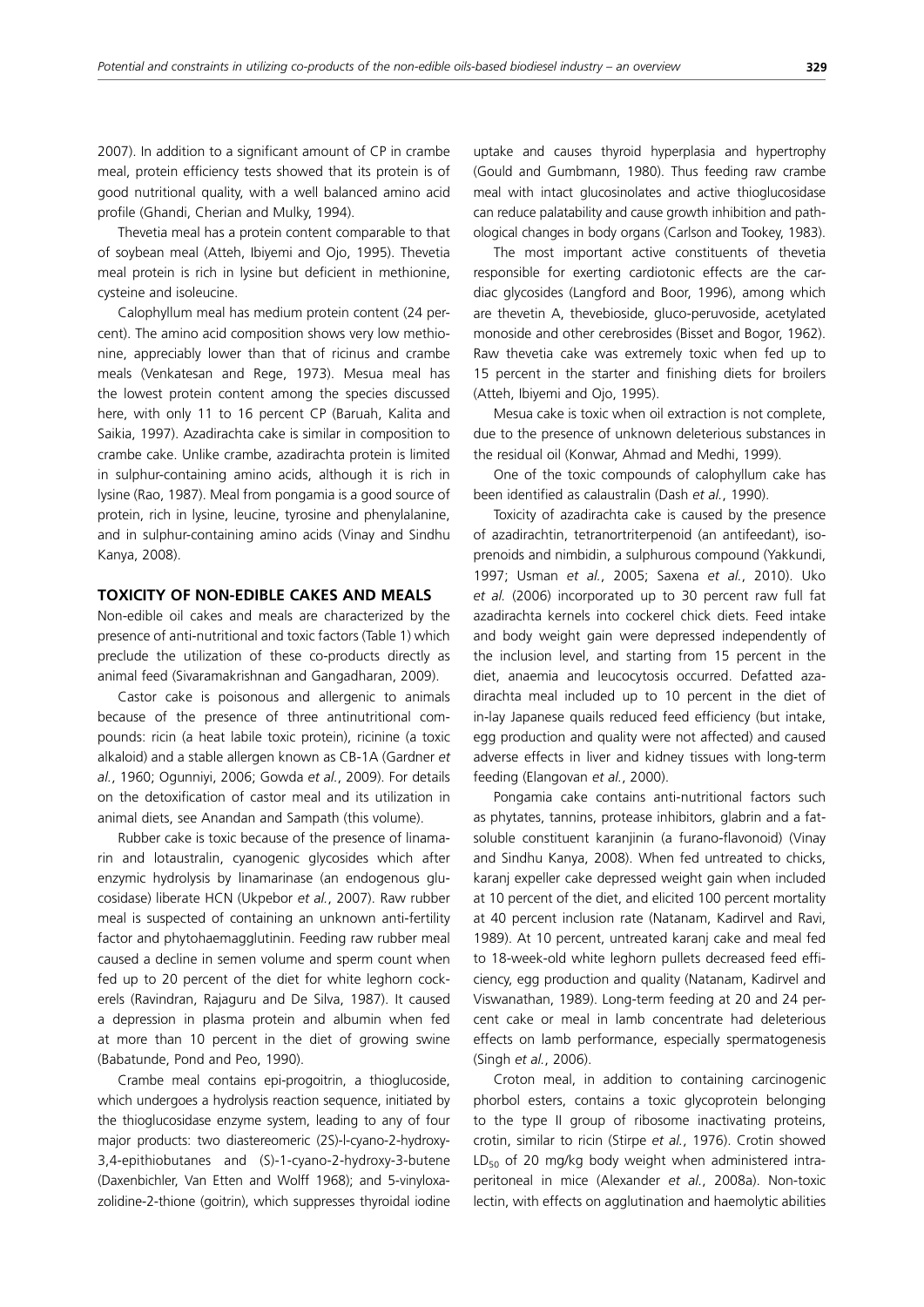2007). In addition to a significant amount of CP in crambe meal, protein efficiency tests showed that its protein is of good nutritional quality, with a well balanced amino acid profile (Ghandi, Cherian and Mulky, 1994).

Thevetia meal has a protein content comparable to that of soybean meal (Atteh, Ibiyemi and Ojo, 1995). Thevetia meal protein is rich in lysine but deficient in methionine, cysteine and isoleucine.

Calophyllum meal has medium protein content (24 percent). The amino acid composition shows very low methionine, appreciably lower than that of ricinus and crambe meals (Venkatesan and Rege, 1973). Mesua meal has the lowest protein content among the species discussed here, with only 11 to 16 percent CP (Baruah, Kalita and Saikia, 1997). Azadirachta cake is similar in composition to crambe cake. Unlike crambe, azadirachta protein is limited in sulphur-containing amino acids, although it is rich in lysine (Rao, 1987). Meal from pongamia is a good source of protein, rich in lysine, leucine, tyrosine and phenylalanine, and in sulphur-containing amino acids (Vinay and Sindhu Kanya, 2008).

# **TOXICITY OF NON-EDIBLE CAKES AND MEALS**

Non-edible oil cakes and meals are characterized by the presence of anti-nutritional and toxic factors (Table 1) which preclude the utilization of these co-products directly as animal feed (Sivaramakrishnan and Gangadharan, 2009).

Castor cake is poisonous and allergenic to animals because of the presence of three antinutritional compounds: ricin (a heat labile toxic protein), ricinine (a toxic alkaloid) and a stable allergen known as CB-1A (Gardner *et al.*, 1960; Ogunniyi, 2006; Gowda *et al.*, 2009). For details on the detoxification of castor meal and its utilization in animal diets, see Anandan and Sampath (this volume).

Rubber cake is toxic because of the presence of linamarin and lotaustralin, cyanogenic glycosides which after enzymic hydrolysis by linamarinase (an endogenous glucosidase) liberate HCN (Ukpebor *et al.*, 2007). Raw rubber meal is suspected of containing an unknown anti-fertility factor and phytohaemagglutinin. Feeding raw rubber meal caused a decline in semen volume and sperm count when fed up to 20 percent of the diet for white leghorn cockerels (Ravindran, Rajaguru and De Silva, 1987). It caused a depression in plasma protein and albumin when fed at more than 10 percent in the diet of growing swine (Babatunde, Pond and Peo, 1990).

Crambe meal contains epi-progoitrin, a thioglucoside, which undergoes a hydrolysis reaction sequence, initiated by the thioglucosidase enzyme system, leading to any of four major products: two diastereomeric (2S)-l-cyano-2-hydroxy-3,4-epithiobutanes and (S)-1-cyano-2-hydroxy-3-butene (Daxenbichler, Van Etten and Wolff 1968); and 5-vinyloxazolidine-2-thione (goitrin), which suppresses thyroidal iodine uptake and causes thyroid hyperplasia and hypertrophy (Gould and Gumbmann, 1980). Thus feeding raw crambe meal with intact glucosinolates and active thioglucosidase can reduce palatability and cause growth inhibition and pathological changes in body organs (Carlson and Tookey, 1983).

The most important active constituents of thevetia responsible for exerting cardiotonic effects are the cardiac glycosides (Langford and Boor, 1996), among which are thevetin A, thevebioside, gluco-peruvoside, acetylated monoside and other cerebrosides (Bisset and Bogor, 1962). Raw thevetia cake was extremely toxic when fed up to 15 percent in the starter and finishing diets for broilers (Atteh, Ibiyemi and Ojo, 1995).

Mesua cake is toxic when oil extraction is not complete, due to the presence of unknown deleterious substances in the residual oil (Konwar, Ahmad and Medhi, 1999).

One of the toxic compounds of calophyllum cake has been identified as calaustralin (Dash *et al.*, 1990).

Toxicity of azadirachta cake is caused by the presence of azadirachtin, tetranortriterpenoid (an antifeedant), isoprenoids and nimbidin, a sulphurous compound (Yakkundi, 1997; Usman *et al.*, 2005; Saxena *et al.*, 2010). Uko *et al.* (2006) incorporated up to 30 percent raw full fat azadirachta kernels into cockerel chick diets. Feed intake and body weight gain were depressed independently of the inclusion level, and starting from 15 percent in the diet, anaemia and leucocytosis occurred. Defatted azadirachta meal included up to 10 percent in the diet of in-lay Japanese quails reduced feed efficiency (but intake, egg production and quality were not affected) and caused adverse effects in liver and kidney tissues with long-term feeding (Elangovan *et al.*, 2000).

Pongamia cake contains anti-nutritional factors such as phytates, tannins, protease inhibitors, glabrin and a fatsoluble constituent karanjinin (a furano-flavonoid) (Vinay and Sindhu Kanya, 2008). When fed untreated to chicks, karanj expeller cake depressed weight gain when included at 10 percent of the diet, and elicited 100 percent mortality at 40 percent inclusion rate (Natanam, Kadirvel and Ravi, 1989). At 10 percent, untreated karanj cake and meal fed to 18-week-old white leghorn pullets decreased feed efficiency, egg production and quality (Natanam, Kadirvel and Viswanathan, 1989). Long-term feeding at 20 and 24 percent cake or meal in lamb concentrate had deleterious effects on lamb performance, especially spermatogenesis (Singh *et al.*, 2006).

Croton meal, in addition to containing carcinogenic phorbol esters, contains a toxic glycoprotein belonging to the type II group of ribosome inactivating proteins, crotin, similar to ricin (Stirpe *et al.*, 1976). Crotin showed LD<sub>50</sub> of 20 mg/kg body weight when administered intraperitoneal in mice (Alexander *et al.*, 2008a). Non-toxic lectin, with effects on agglutination and haemolytic abilities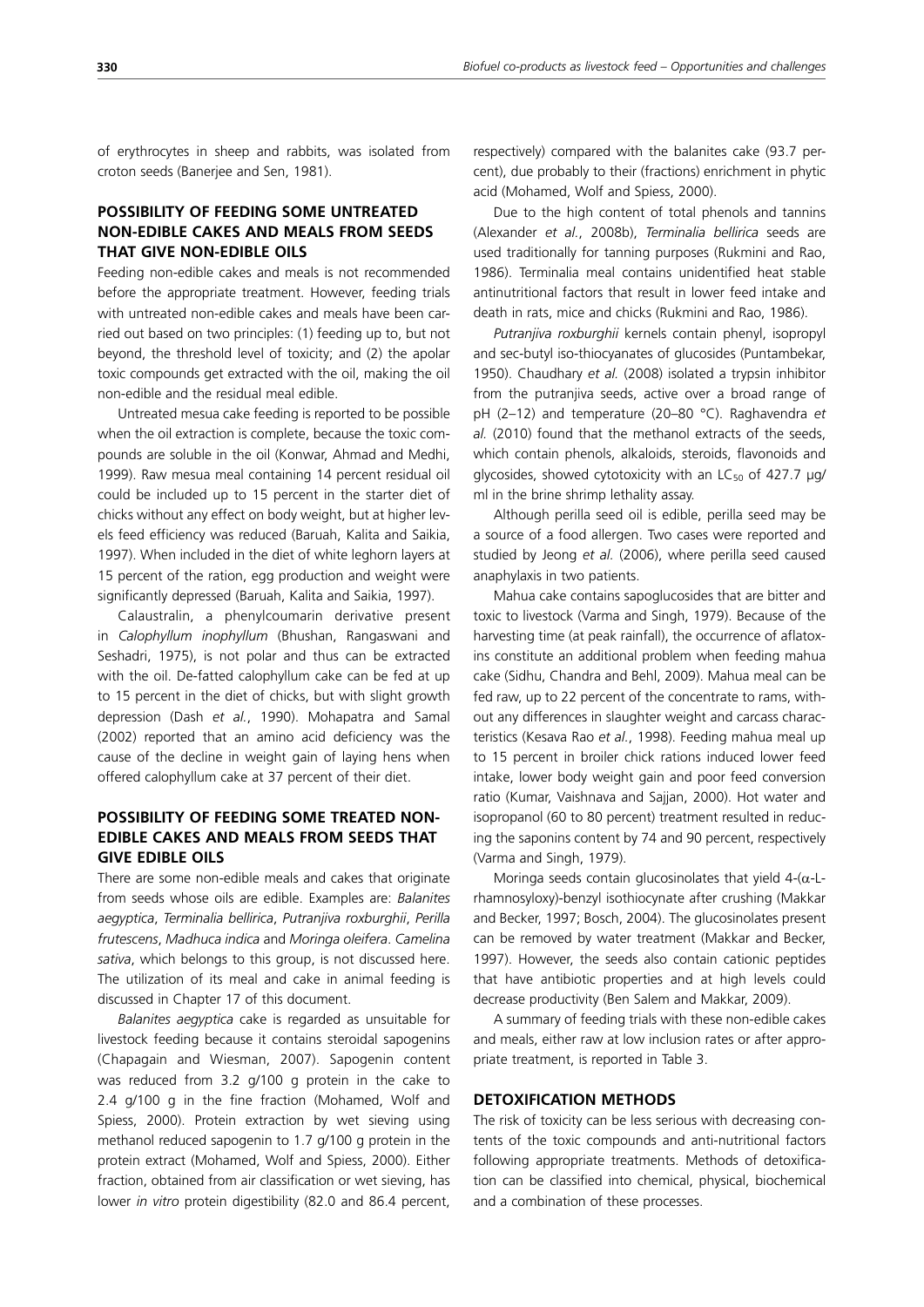of erythrocytes in sheep and rabbits, was isolated from croton seeds (Banerjee and Sen, 1981).

# **POSSIBILITY OF FEEDING SOME UNTREATED NON-EDIBLE CAKES AND MEALS FROM SEEDS THAT GIVE NON-EDIBLE OILS**

Feeding non-edible cakes and meals is not recommended before the appropriate treatment. However, feeding trials with untreated non-edible cakes and meals have been carried out based on two principles: (1) feeding up to, but not beyond, the threshold level of toxicity; and (2) the apolar toxic compounds get extracted with the oil, making the oil non-edible and the residual meal edible.

Untreated mesua cake feeding is reported to be possible when the oil extraction is complete, because the toxic compounds are soluble in the oil (Konwar, Ahmad and Medhi, 1999). Raw mesua meal containing 14 percent residual oil could be included up to 15 percent in the starter diet of chicks without any effect on body weight, but at higher levels feed efficiency was reduced (Baruah, Kalita and Saikia, 1997). When included in the diet of white leghorn layers at 15 percent of the ration, egg production and weight were significantly depressed (Baruah, Kalita and Saikia, 1997).

Calaustralin, a phenylcoumarin derivative present in *Calophyllum inophyllum* (Bhushan, Rangaswani and Seshadri, 1975), is not polar and thus can be extracted with the oil. De-fatted calophyllum cake can be fed at up to 15 percent in the diet of chicks, but with slight growth depression (Dash *et al.*, 1990). Mohapatra and Samal (2002) reported that an amino acid deficiency was the cause of the decline in weight gain of laying hens when offered calophyllum cake at 37 percent of their diet.

# **POSSIBILITY OF FEEDING SOME TREATED NON-EDIBLE CAKES AND MEALS FROM SEEDS THAT GIVE EDIBLE OILS**

There are some non-edible meals and cakes that originate from seeds whose oils are edible. Examples are: *Balanites aegyptica*, *Terminalia bellirica*, *Putranjiva roxburghii*, *Perilla frutescens*, *Madhuca indica* and *Moringa oleifera*. *Camelina sativa*, which belongs to this group, is not discussed here. The utilization of its meal and cake in animal feeding is discussed in Chapter 17 of this document.

*Balanites aegyptica* cake is regarded as unsuitable for livestock feeding because it contains steroidal sapogenins (Chapagain and Wiesman, 2007). Sapogenin content was reduced from 3.2 g/100 g protein in the cake to 2.4 g/100 g in the fine fraction (Mohamed, Wolf and Spiess, 2000). Protein extraction by wet sieving using methanol reduced sapogenin to 1.7 g/100 g protein in the protein extract (Mohamed, Wolf and Spiess, 2000). Either fraction, obtained from air classification or wet sieving, has lower *in vitro* protein digestibility (82.0 and 86.4 percent, respectively) compared with the balanites cake (93.7 percent), due probably to their (fractions) enrichment in phytic acid (Mohamed, Wolf and Spiess, 2000).

Due to the high content of total phenols and tannins (Alexander *et al.*, 2008b), *Terminalia bellirica* seeds are used traditionally for tanning purposes (Rukmini and Rao, 1986). Terminalia meal contains unidentified heat stable antinutritional factors that result in lower feed intake and death in rats, mice and chicks (Rukmini and Rao, 1986).

*Putranjiva roxburghii* kernels contain phenyl, isopropyl and sec-butyl iso-thiocyanates of glucosides (Puntambekar, 1950). Chaudhary *et al.* (2008) isolated a trypsin inhibitor from the putranjiva seeds, active over a broad range of pH (2–12) and temperature (20–80 °C). Raghavendra *et al.* (2010) found that the methanol extracts of the seeds, which contain phenols, alkaloids, steroids, flavonoids and glycosides, showed cytotoxicity with an  $LC_{50}$  of 427.7  $\mu$ g/ ml in the brine shrimp lethality assay.

Although perilla seed oil is edible, perilla seed may be a source of a food allergen. Two cases were reported and studied by Jeong *et al.* (2006), where perilla seed caused anaphylaxis in two patients.

Mahua cake contains sapoglucosides that are bitter and toxic to livestock (Varma and Singh, 1979). Because of the harvesting time (at peak rainfall), the occurrence of aflatoxins constitute an additional problem when feeding mahua cake (Sidhu, Chandra and Behl, 2009). Mahua meal can be fed raw, up to 22 percent of the concentrate to rams, without any differences in slaughter weight and carcass characteristics (Kesava Rao *et al.*, 1998). Feeding mahua meal up to 15 percent in broiler chick rations induced lower feed intake, lower body weight gain and poor feed conversion ratio (Kumar, Vaishnava and Sajjan, 2000). Hot water and isopropanol (60 to 80 percent) treatment resulted in reducing the saponins content by 74 and 90 percent, respectively (Varma and Singh, 1979).

Moringa seeds contain glucosinolates that yield  $4-(\alpha-1)$ rhamnosyloxy)-benzyl isothiocynate after crushing (Makkar and Becker, 1997; Bosch, 2004). The glucosinolates present can be removed by water treatment (Makkar and Becker, 1997). However, the seeds also contain cationic peptides that have antibiotic properties and at high levels could decrease productivity (Ben Salem and Makkar, 2009).

A summary of feeding trials with these non-edible cakes and meals, either raw at low inclusion rates or after appropriate treatment, is reported in Table 3.

# **DETOXIFICATION METHODS**

The risk of toxicity can be less serious with decreasing contents of the toxic compounds and anti-nutritional factors following appropriate treatments. Methods of detoxification can be classified into chemical, physical, biochemical and a combination of these processes.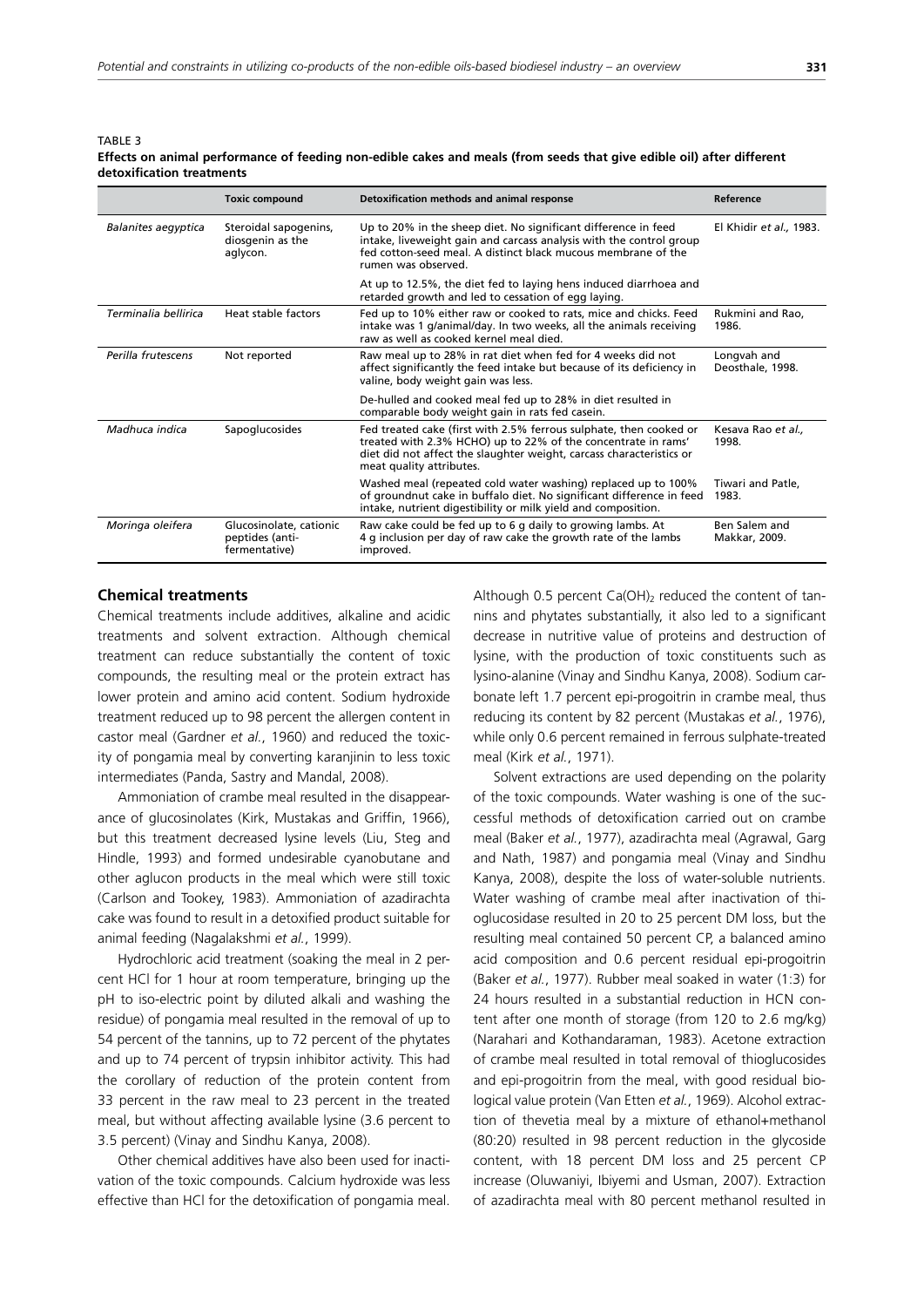TABLE 3

|                      | <b>Toxic compound</b>                                       | Detoxification methods and animal response                                                                                                                                                                                              | Reference                       |
|----------------------|-------------------------------------------------------------|-----------------------------------------------------------------------------------------------------------------------------------------------------------------------------------------------------------------------------------------|---------------------------------|
| Balanites aegyptica  | Steroidal sapogenins,<br>diosgenin as the<br>aglycon.       | Up to 20% in the sheep diet. No significant difference in feed<br>intake, liveweight gain and carcass analysis with the control group<br>fed cotton-seed meal. A distinct black mucous membrane of the<br>rumen was observed.           | El Khidir et al., 1983.         |
|                      |                                                             | At up to 12.5%, the diet fed to laying hens induced diarrhoea and<br>retarded growth and led to cessation of egg laying.                                                                                                                |                                 |
| Terminalia bellirica | Heat stable factors                                         | Fed up to 10% either raw or cooked to rats, mice and chicks. Feed<br>intake was 1 g/animal/day. In two weeks, all the animals receiving<br>raw as well as cooked kernel meal died.                                                      | Rukmini and Rao,<br>1986.       |
| Perilla frutescens   | Not reported                                                | Raw meal up to 28% in rat diet when fed for 4 weeks did not<br>affect significantly the feed intake but because of its deficiency in<br>valine, body weight gain was less.                                                              | Longvah and<br>Deosthale, 1998. |
|                      |                                                             | De-hulled and cooked meal fed up to 28% in diet resulted in<br>comparable body weight gain in rats fed casein.                                                                                                                          |                                 |
| Madhuca indica       | Sapoglucosides                                              | Fed treated cake (first with 2.5% ferrous sulphate, then cooked or<br>treated with 2.3% HCHO) up to 22% of the concentrate in rams'<br>diet did not affect the slaughter weight, carcass characteristics or<br>meat quality attributes. | Kesava Rao et al.,<br>1998.     |
|                      |                                                             | Washed meal (repeated cold water washing) replaced up to 100%<br>of groundnut cake in buffalo diet. No significant difference in feed<br>intake, nutrient digestibility or milk yield and composition.                                  | Tiwari and Patle,<br>1983.      |
| Moringa oleifera     | Glucosinolate, cationic<br>peptides (anti-<br>fermentative) | Raw cake could be fed up to 6 g daily to growing lambs. At<br>4 g inclusion per day of raw cake the growth rate of the lambs<br>improved.                                                                                               | Ben Salem and<br>Makkar, 2009.  |

**Effects on animal performance of feeding non-edible cakes and meals (from seeds that give edible oil) after different detoxification treatments**

### **Chemical treatments**

Chemical treatments include additives, alkaline and acidic treatments and solvent extraction. Although chemical treatment can reduce substantially the content of toxic compounds, the resulting meal or the protein extract has lower protein and amino acid content. Sodium hydroxide treatment reduced up to 98 percent the allergen content in castor meal (Gardner *et al.*, 1960) and reduced the toxicity of pongamia meal by converting karanjinin to less toxic intermediates (Panda, Sastry and Mandal, 2008).

Ammoniation of crambe meal resulted in the disappearance of glucosinolates (Kirk, Mustakas and Griffin, 1966), but this treatment decreased lysine levels (Liu, Steg and Hindle, 1993) and formed undesirable cyanobutane and other aglucon products in the meal which were still toxic (Carlson and Tookey, 1983). Ammoniation of azadirachta cake was found to result in a detoxified product suitable for animal feeding (Nagalakshmi *et al.*, 1999).

Hydrochloric acid treatment (soaking the meal in 2 percent HCl for 1 hour at room temperature, bringing up the pH to iso-electric point by diluted alkali and washing the residue) of pongamia meal resulted in the removal of up to 54 percent of the tannins, up to 72 percent of the phytates and up to 74 percent of trypsin inhibitor activity. This had the corollary of reduction of the protein content from 33 percent in the raw meal to 23 percent in the treated meal, but without affecting available lysine (3.6 percent to 3.5 percent) (Vinay and Sindhu Kanya, 2008).

Other chemical additives have also been used for inactivation of the toxic compounds. Calcium hydroxide was less effective than HCl for the detoxification of pongamia meal.

Although 0.5 percent  $Ca(OH)_2$  reduced the content of tannins and phytates substantially, it also led to a significant decrease in nutritive value of proteins and destruction of lysine, with the production of toxic constituents such as lysino-alanine (Vinay and Sindhu Kanya, 2008). Sodium carbonate left 1.7 percent epi-progoitrin in crambe meal, thus reducing its content by 82 percent (Mustakas *et al.*, 1976), while only 0.6 percent remained in ferrous sulphate-treated meal (Kirk *et al.*, 1971).

Solvent extractions are used depending on the polarity of the toxic compounds. Water washing is one of the successful methods of detoxification carried out on crambe meal (Baker *et al.*, 1977), azadirachta meal (Agrawal, Garg and Nath, 1987) and pongamia meal (Vinay and Sindhu Kanya, 2008), despite the loss of water-soluble nutrients. Water washing of crambe meal after inactivation of thioglucosidase resulted in 20 to 25 percent DM loss, but the resulting meal contained 50 percent CP, a balanced amino acid composition and 0.6 percent residual epi-progoitrin (Baker *et al.*, 1977). Rubber meal soaked in water (1:3) for 24 hours resulted in a substantial reduction in HCN content after one month of storage (from 120 to 2.6 mg/kg) (Narahari and Kothandaraman, 1983). Acetone extraction of crambe meal resulted in total removal of thioglucosides and epi-progoitrin from the meal, with good residual biological value protein (Van Etten *et al.*, 1969). Alcohol extraction of thevetia meal by a mixture of ethanol+methanol (80:20) resulted in 98 percent reduction in the glycoside content, with 18 percent DM loss and 25 percent CP increase (Oluwaniyi, Ibiyemi and Usman, 2007). Extraction of azadirachta meal with 80 percent methanol resulted in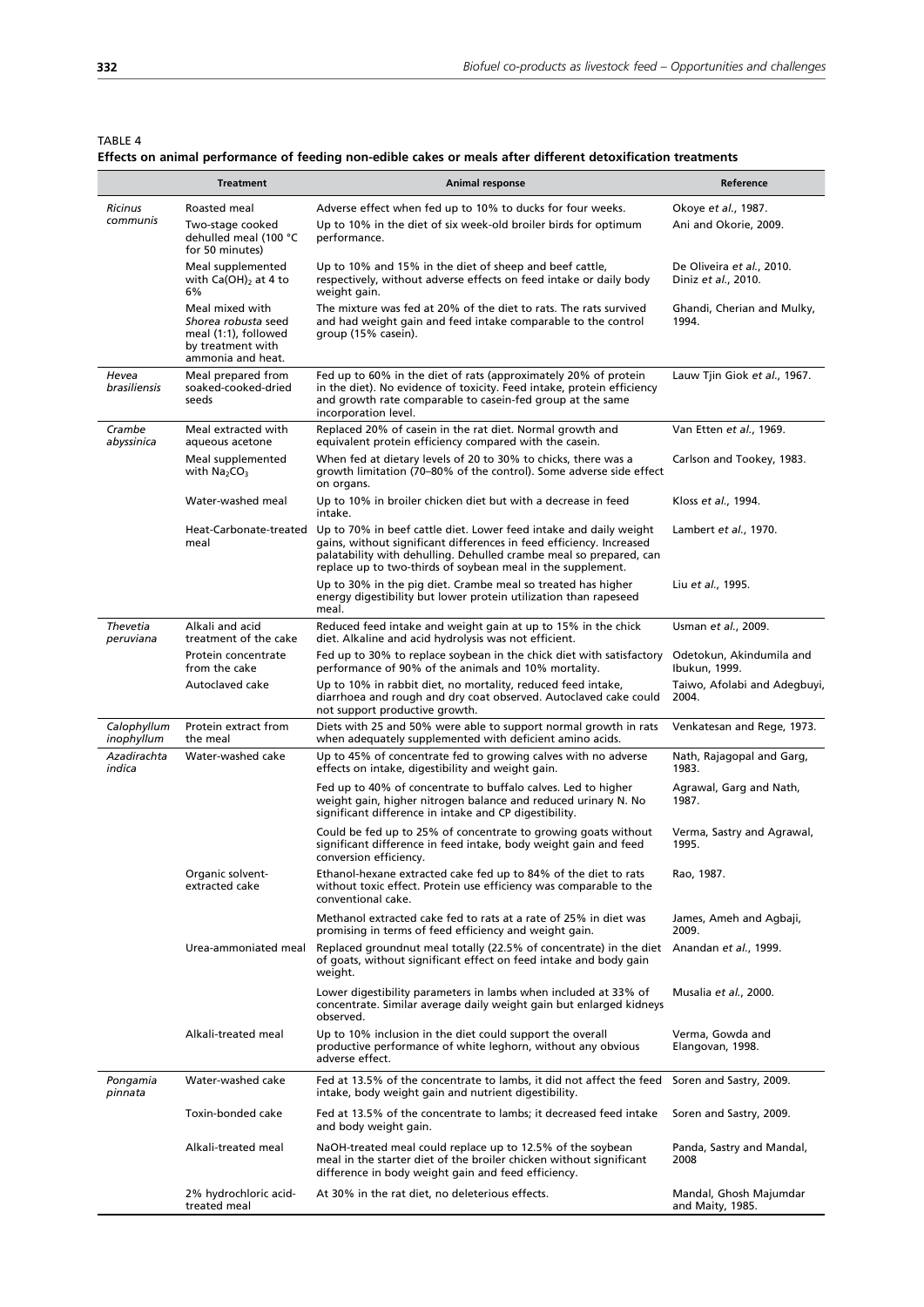TABLE 4

# **Effects on animal performance of feeding non-edible cakes or meals after different detoxification treatments**

|                           | <b>Treatment</b>                                                                                         | Animal response                                                                                                                                                                                                                                                                | Reference                                        |
|---------------------------|----------------------------------------------------------------------------------------------------------|--------------------------------------------------------------------------------------------------------------------------------------------------------------------------------------------------------------------------------------------------------------------------------|--------------------------------------------------|
| <b>Ricinus</b>            | Roasted meal                                                                                             | Adverse effect when fed up to 10% to ducks for four weeks.                                                                                                                                                                                                                     | Okoye et al., 1987.                              |
| communis                  | Two-stage cooked<br>dehulled meal (100 °C<br>for 50 minutes)                                             | Up to 10% in the diet of six week-old broiler birds for optimum<br>performance.                                                                                                                                                                                                | Ani and Okorie, 2009.                            |
|                           | Meal supplemented<br>with $Ca(OH)_2$ at 4 to<br>6%                                                       | Up to 10% and 15% in the diet of sheep and beef cattle,<br>respectively, without adverse effects on feed intake or daily body<br>weight gain.                                                                                                                                  | De Oliveira et al., 2010.<br>Diniz et al., 2010. |
|                           | Meal mixed with<br>Shorea robusta seed<br>meal (1:1), followed<br>by treatment with<br>ammonia and heat. | The mixture was fed at 20% of the diet to rats. The rats survived<br>and had weight gain and feed intake comparable to the control<br>group (15% casein).                                                                                                                      | Ghandi, Cherian and Mulky,<br>1994.              |
| Hevea<br>brasiliensis     | Meal prepared from<br>soaked-cooked-dried<br>seeds                                                       | Fed up to 60% in the diet of rats (approximately 20% of protein<br>in the diet). No evidence of toxicity. Feed intake, protein efficiency<br>and growth rate comparable to casein-fed group at the same<br>incorporation level.                                                | Lauw Tjin Giok et al., 1967.                     |
| Crambe<br>abyssinica      | Meal extracted with<br>aqueous acetone                                                                   | Replaced 20% of casein in the rat diet. Normal growth and<br>equivalent protein efficiency compared with the casein.                                                                                                                                                           | Van Etten et al., 1969.                          |
|                           | Meal supplemented<br>with $Na2CO3$                                                                       | When fed at dietary levels of 20 to 30% to chicks, there was a<br>growth limitation (70–80% of the control). Some adverse side effect<br>on organs.                                                                                                                            | Carlson and Tookey, 1983.                        |
|                           | Water-washed meal                                                                                        | Up to 10% in broiler chicken diet but with a decrease in feed<br>intake.                                                                                                                                                                                                       | Kloss et al., 1994.                              |
|                           | Heat-Carbonate-treated<br>meal                                                                           | Up to 70% in beef cattle diet. Lower feed intake and daily weight<br>gains, without significant differences in feed efficiency. Increased<br>palatability with dehulling. Dehulled crambe meal so prepared, can<br>replace up to two-thirds of soybean meal in the supplement. | Lambert et al., 1970.                            |
|                           |                                                                                                          | Up to 30% in the pig diet. Crambe meal so treated has higher<br>energy digestibility but lower protein utilization than rapeseed<br>meal.                                                                                                                                      | Liu et al., 1995.                                |
| Thevetia<br>peruviana     | Alkali and acid<br>treatment of the cake                                                                 | Reduced feed intake and weight gain at up to 15% in the chick<br>diet. Alkaline and acid hydrolysis was not efficient.                                                                                                                                                         | Usman et al., 2009.                              |
|                           | Protein concentrate<br>from the cake                                                                     | Fed up to 30% to replace soybean in the chick diet with satisfactory<br>performance of 90% of the animals and 10% mortality.                                                                                                                                                   | Odetokun, Akindumila and<br>Ibukun, 1999.        |
|                           | Autoclaved cake                                                                                          | Up to 10% in rabbit diet, no mortality, reduced feed intake,<br>diarrhoea and rough and dry coat observed. Autoclaved cake could<br>not support productive growth.                                                                                                             | Taiwo, Afolabi and Adegbuyi,<br>2004.            |
| Calophyllum<br>inophyllum | Protein extract from<br>the meal                                                                         | Diets with 25 and 50% were able to support normal growth in rats<br>when adequately supplemented with deficient amino acids.                                                                                                                                                   | Venkatesan and Rege, 1973.                       |
| Azadirachta<br>indica     | Water-washed cake                                                                                        | Up to 45% of concentrate fed to growing calves with no adverse<br>effects on intake, digestibility and weight gain.                                                                                                                                                            | Nath, Rajagopal and Garg,<br>1983.               |
|                           |                                                                                                          | Fed up to 40% of concentrate to buffalo calves. Led to higher<br>weight gain, higher nitrogen balance and reduced urinary N. No<br>significant difference in intake and CP digestibility.                                                                                      | Agrawal, Garg and Nath,<br>1987.                 |
|                           |                                                                                                          | Could be fed up to 25% of concentrate to growing goats without<br>significant difference in feed intake, body weight gain and feed<br>conversion efficiency.                                                                                                                   | Verma, Sastry and Agrawal,<br>1995.              |
|                           | Organic solvent-<br>extracted cake                                                                       | Ethanol-hexane extracted cake fed up to 84% of the diet to rats<br>without toxic effect. Protein use efficiency was comparable to the<br>conventional cake.                                                                                                                    | Rao, 1987.                                       |
|                           |                                                                                                          | Methanol extracted cake fed to rats at a rate of 25% in diet was<br>promising in terms of feed efficiency and weight gain.                                                                                                                                                     | James, Ameh and Agbaji,<br>2009.                 |
|                           | Urea-ammoniated meal                                                                                     | Replaced groundnut meal totally (22.5% of concentrate) in the diet Anandan et al., 1999.<br>of goats, without significant effect on feed intake and body gain<br>weight.                                                                                                       |                                                  |
|                           |                                                                                                          | Lower digestibility parameters in lambs when included at 33% of<br>concentrate. Similar average daily weight gain but enlarged kidneys<br>observed.                                                                                                                            | Musalia et al., 2000.                            |
|                           | Alkali-treated meal                                                                                      | Up to 10% inclusion in the diet could support the overall<br>productive performance of white leghorn, without any obvious<br>adverse effect.                                                                                                                                   | Verma, Gowda and<br>Elangovan, 1998.             |
| Pongamia<br>pinnata       | Water-washed cake                                                                                        | Fed at 13.5% of the concentrate to lambs, it did not affect the feed<br>intake, body weight gain and nutrient digestibility.                                                                                                                                                   | Soren and Sastry, 2009.                          |
|                           | Toxin-bonded cake                                                                                        | Fed at 13.5% of the concentrate to lambs; it decreased feed intake<br>and body weight gain.                                                                                                                                                                                    | Soren and Sastry, 2009.                          |
|                           | Alkali-treated meal                                                                                      | NaOH-treated meal could replace up to 12.5% of the soybean<br>meal in the starter diet of the broiler chicken without significant<br>difference in body weight gain and feed efficiency.                                                                                       | Panda, Sastry and Mandal,<br>2008                |
|                           | 2% hydrochloric acid-<br>treated meal                                                                    | At 30% in the rat diet, no deleterious effects.                                                                                                                                                                                                                                | Mandal, Ghosh Majumdar<br>and Maity, 1985.       |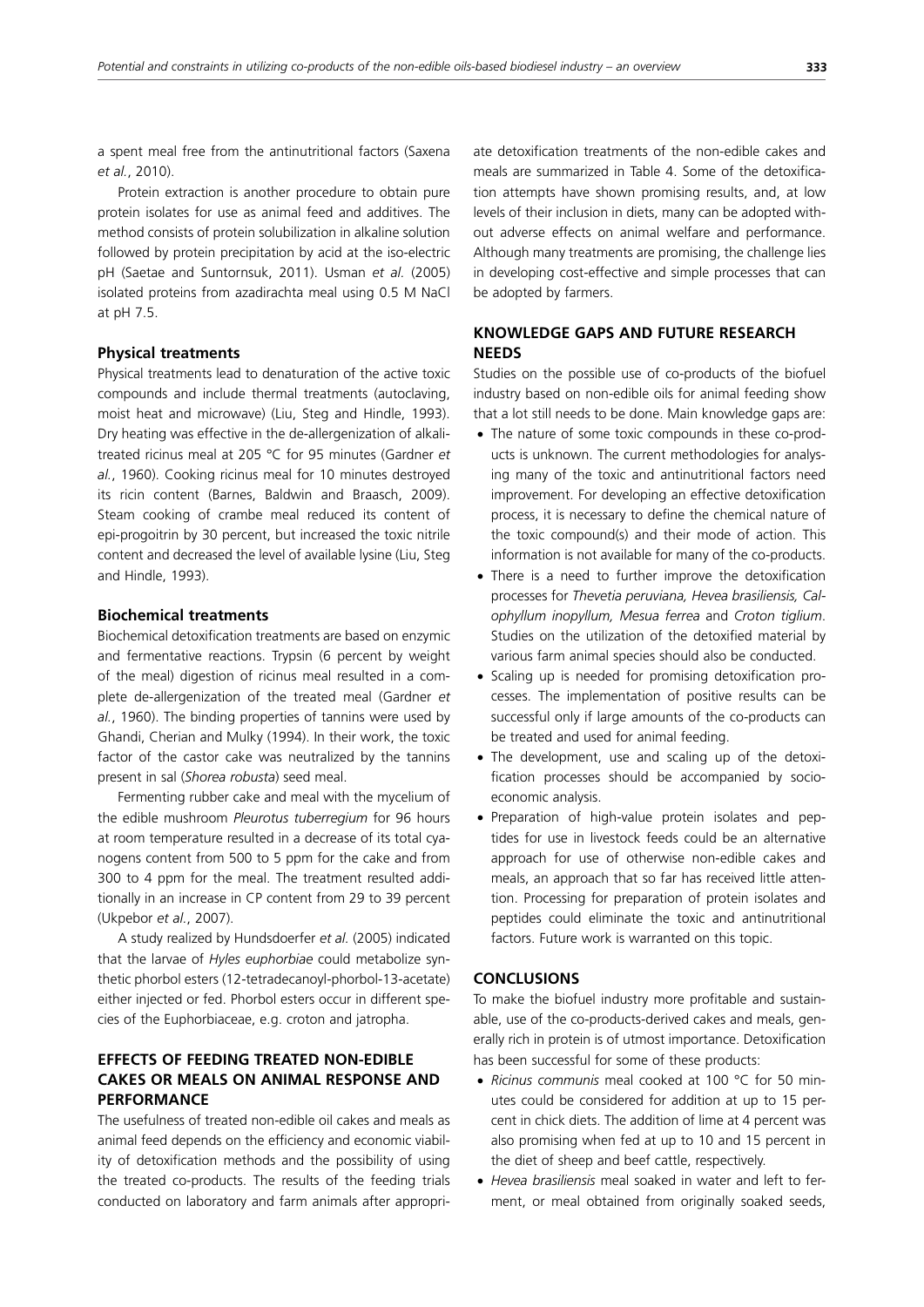a spent meal free from the antinutritional factors (Saxena *et al.*, 2010).

Protein extraction is another procedure to obtain pure protein isolates for use as animal feed and additives. The method consists of protein solubilization in alkaline solution followed by protein precipitation by acid at the iso-electric pH (Saetae and Suntornsuk, 2011). Usman *et al.* (2005) isolated proteins from azadirachta meal using 0.5 M NaCl at pH 7.5.

#### **Physical treatments**

Physical treatments lead to denaturation of the active toxic compounds and include thermal treatments (autoclaving, moist heat and microwave) (Liu, Steg and Hindle, 1993). Dry heating was effective in the de-allergenization of alkalitreated ricinus meal at 205 °C for 95 minutes (Gardner *et al.*, 1960). Cooking ricinus meal for 10 minutes destroyed its ricin content (Barnes, Baldwin and Braasch, 2009). Steam cooking of crambe meal reduced its content of epi-progoitrin by 30 percent, but increased the toxic nitrile content and decreased the level of available lysine (Liu, Steg and Hindle, 1993).

### **Biochemical treatments**

Biochemical detoxification treatments are based on enzymic and fermentative reactions. Trypsin (6 percent by weight of the meal) digestion of ricinus meal resulted in a complete de-allergenization of the treated meal (Gardner *et al.*, 1960). The binding properties of tannins were used by Ghandi, Cherian and Mulky (1994). In their work, the toxic factor of the castor cake was neutralized by the tannins present in sal (*Shorea robusta*) seed meal.

Fermenting rubber cake and meal with the mycelium of the edible mushroom *Pleurotus tuberregium* for 96 hours at room temperature resulted in a decrease of its total cyanogens content from 500 to 5 ppm for the cake and from 300 to 4 ppm for the meal. The treatment resulted additionally in an increase in CP content from 29 to 39 percent (Ukpebor *et al.*, 2007).

A study realized by Hundsdoerfer *et al.* (2005) indicated that the larvae of *Hyles euphorbiae* could metabolize synthetic phorbol esters (12-tetradecanoyl-phorbol-13-acetate) either injected or fed. Phorbol esters occur in different species of the Euphorbiaceae, e.g. croton and jatropha.

# **EFFECTS OF FEEDING TREATED NON-EDIBLE CAKES OR MEALS ON ANIMAL RESPONSE AND PERFORMANCE**

The usefulness of treated non-edible oil cakes and meals as animal feed depends on the efficiency and economic viability of detoxification methods and the possibility of using the treated co-products. The results of the feeding trials conducted on laboratory and farm animals after appropriate detoxification treatments of the non-edible cakes and meals are summarized in Table 4. Some of the detoxification attempts have shown promising results, and, at low levels of their inclusion in diets, many can be adopted without adverse effects on animal welfare and performance. Although many treatments are promising, the challenge lies in developing cost-effective and simple processes that can be adopted by farmers.

# **KNOWLEDGE GAPS AND FUTURE RESEARCH NEEDS**

Studies on the possible use of co-products of the biofuel industry based on non-edible oils for animal feeding show that a lot still needs to be done. Main knowledge gaps are:

- The nature of some toxic compounds in these co-products is unknown. The current methodologies for analysing many of the toxic and antinutritional factors need improvement. For developing an effective detoxification process, it is necessary to define the chemical nature of the toxic compound(s) and their mode of action. This information is not available for many of the co-products.
- There is a need to further improve the detoxification processes for *Thevetia peruviana, Hevea brasiliensis, Calophyllum inopyllum, Mesua ferrea* and *Croton tiglium*. Studies on the utilization of the detoxified material by various farm animal species should also be conducted.
- Scaling up is needed for promising detoxification processes. The implementation of positive results can be successful only if large amounts of the co-products can be treated and used for animal feeding.
- The development, use and scaling up of the detoxification processes should be accompanied by socioeconomic analysis.
- Preparation of high-value protein isolates and peptides for use in livestock feeds could be an alternative approach for use of otherwise non-edible cakes and meals, an approach that so far has received little attention. Processing for preparation of protein isolates and peptides could eliminate the toxic and antinutritional factors. Future work is warranted on this topic.

## **CONCLUSIONS**

To make the biofuel industry more profitable and sustainable, use of the co-products-derived cakes and meals, generally rich in protein is of utmost importance. Detoxification has been successful for some of these products:

- *Ricinus communis* meal cooked at 100 °C for 50 minutes could be considered for addition at up to 15 percent in chick diets. The addition of lime at 4 percent was also promising when fed at up to 10 and 15 percent in the diet of sheep and beef cattle, respectively.
- x *Hevea brasiliensis* meal soaked in water and left to ferment, or meal obtained from originally soaked seeds,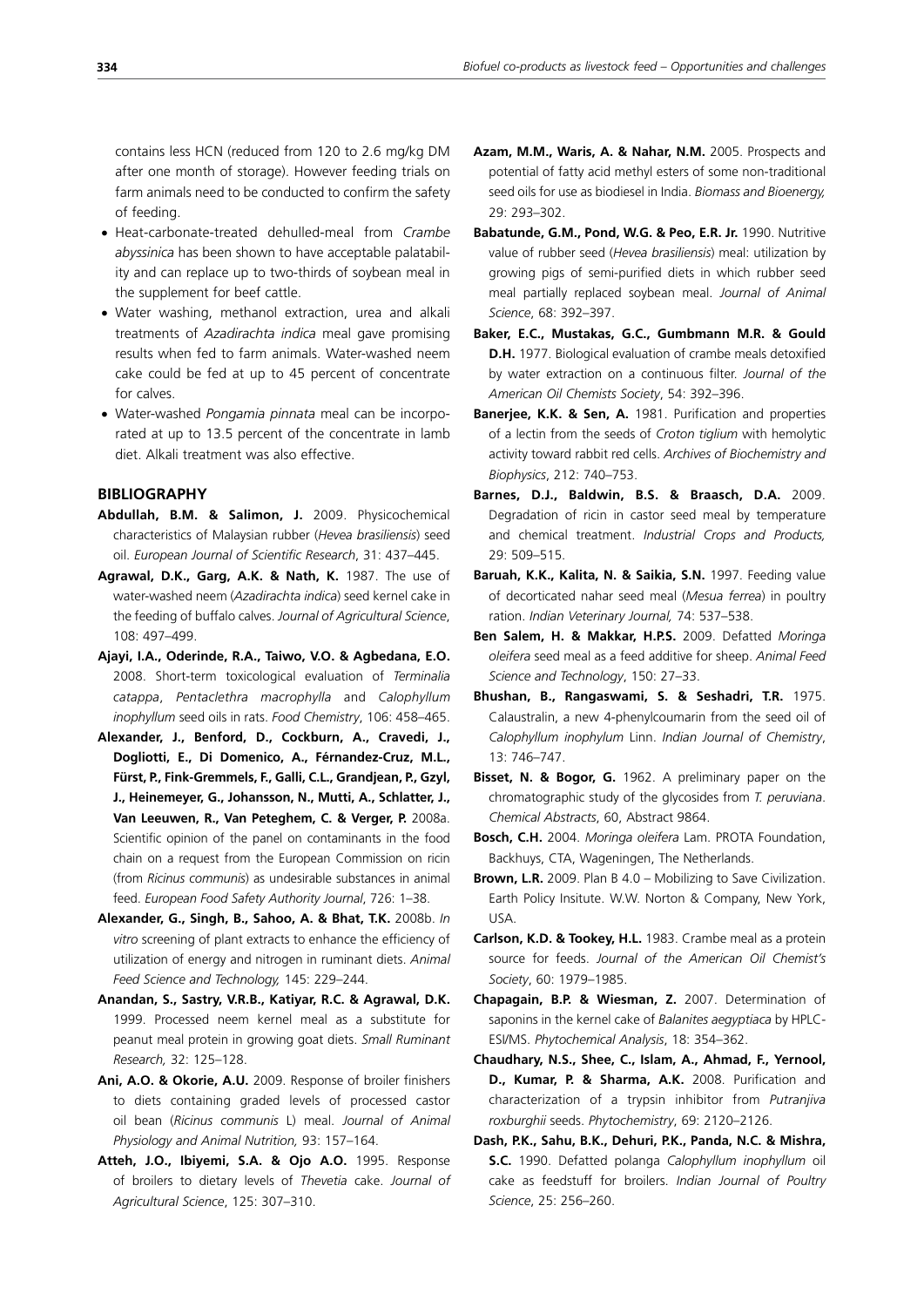contains less HCN (reduced from 120 to 2.6 mg/kg DM after one month of storage). However feeding trials on farm animals need to be conducted to confirm the safety of feeding.

- x Heat-carbonate-treated dehulled-meal from *Crambe abyssinica* has been shown to have acceptable palatability and can replace up to two-thirds of soybean meal in the supplement for beef cattle.
- Water washing, methanol extraction, urea and alkali treatments of *Azadirachta indica* meal gave promising results when fed to farm animals. Water-washed neem cake could be fed at up to 45 percent of concentrate for calves.
- x Water-washed *Pongamia pinnata* meal can be incorporated at up to 13.5 percent of the concentrate in lamb diet. Alkali treatment was also effective.

## **BIBLIOGRAPHY**

- **Abdullah, B.M. & Salimon, J.** 2009. Physicochemical characteristics of Malaysian rubber (*Hevea brasiliensis*) seed oil. *European Journal of Scientific Research*, 31: 437–445.
- **Agrawal, D.K., Garg, A.K. & Nath, K.** 1987. The use of water-washed neem (*Azadirachta indica*) seed kernel cake in the feeding of buffalo calves. *Journal of Agricultural Science*, 108: 497–499.
- **Ajayi, I.A., Oderinde, R.A., Taiwo, V.O. & Agbedana, E.O.** 2008. Short-term toxicological evaluation of *Terminalia catappa*, *Pentaclethra macrophylla* and *Calophyllum inophyllum* seed oils in rats. *Food Chemistry*, 106: 458–465.
- **Alexander, J., Benford, D., Cockburn, A., Cravedi, J., Dogliotti, E., Di Domenico, A., Férnandez-Cruz, M.L., Fürst, P., Fink-Gremmels, F., Galli, C.L., Grandjean, P., Gzyl, J., Heinemeyer, G., Johansson, N., Mutti, A., Schlatter, J.,**  Van Leeuwen, R., Van Peteghem, C. & Verger, P. 2008a. Scientific opinion of the panel on contaminants in the food chain on a request from the European Commission on ricin (from *Ricinus communis*) as undesirable substances in animal feed. *European Food Safety Authority Journal*, 726: 1–38.
- **Alexander, G., Singh, B., Sahoo, A. & Bhat, T.K.** 2008b. *In vitro* screening of plant extracts to enhance the efficiency of utilization of energy and nitrogen in ruminant diets. *Animal Feed Science and Technology,* 145: 229–244.
- **Anandan, S., Sastry, V.R.B., Katiyar, R.C. & Agrawal, D.K.**  1999. Processed neem kernel meal as a substitute for peanut meal protein in growing goat diets. *Small Ruminant Research,* 32: 125–128.
- **Ani, A.O. & Okorie, A.U.** 2009. Response of broiler finishers to diets containing graded levels of processed castor oil bean (*Ricinus communis* L) meal. *Journal of Animal Physiology and Animal Nutrition,* 93: 157–164.
- **Atteh, J.O., Ibiyemi, S.A. & Ojo A.O.** 1995. Response of broilers to dietary levels of *Thevetia* cake. *Journal of Agricultural Science*, 125: 307–310.
- **Azam, M.M., Waris, A. & Nahar, N.M.** 2005. Prospects and potential of fatty acid methyl esters of some non-traditional seed oils for use as biodiesel in India. *Biomass and Bioenergy,* 29: 293–302.
- **Babatunde, G.M., Pond, W.G. & Peo, E.R. Jr.** 1990. Nutritive value of rubber seed (*Hevea brasiliensis*) meal: utilization by growing pigs of semi-purified diets in which rubber seed meal partially replaced soybean meal. *Journal of Animal Science*, 68: 392–397.
- **Baker, E.C., Mustakas, G.C., Gumbmann M.R. & Gould D.H.** 1977. Biological evaluation of crambe meals detoxified by water extraction on a continuous filter. *Journal of the American Oil Chemists Society*, 54: 392–396.
- **Banerjee, K.K. & Sen, A.** 1981. Purification and properties of a lectin from the seeds of *Croton tiglium* with hemolytic activity toward rabbit red cells. *Archives of Biochemistry and Biophysics*, 212: 740–753.
- **Barnes, D.J., Baldwin, B.S. & Braasch, D.A.** 2009. Degradation of ricin in castor seed meal by temperature and chemical treatment. *Industrial Crops and Products,* 29: 509–515.
- **Baruah, K.K., Kalita, N. & Saikia, S.N.** 1997. Feeding value of decorticated nahar seed meal (*Mesua ferrea*) in poultry ration. *Indian Veterinary Journal,* 74: 537–538.
- **Ben Salem, H. & Makkar, H.P.S.** 2009. Defatted *Moringa oleifera* seed meal as a feed additive for sheep. *Animal Feed Science and Technology*, 150: 27–33.
- **Bhushan, B., Rangaswami, S. & Seshadri, T.R.** 1975. Calaustralin, a new 4-phenylcoumarin from the seed oil of *Calophyllum inophylum* Linn. *Indian Journal of Chemistry*, 13: 746–747.
- **Bisset, N. & Bogor, G.** 1962. A preliminary paper on the chromatographic study of the glycosides from *T. peruviana*. *Chemical Abstracts*, 60, Abstract 9864.
- **Bosch, C.H.** 2004. *Moringa oleifera* Lam. PROTA Foundation, Backhuys, CTA, Wageningen, The Netherlands.
- **Brown, L.R.** 2009. Plan B 4.0 Mobilizing to Save Civilization. Earth Policy Insitute. W.W. Norton & Company, New York, USA.
- **Carlson, K.D. & Tookey, H.L.** 1983. Crambe meal as a protein source for feeds. *Journal of the American Oil Chemist's Society*, 60: 1979–1985.
- **Chapagain, B.P. & Wiesman, Z.** 2007. Determination of saponins in the kernel cake of *Balanites aegyptiaca* by HPLC-ESI/MS. *Phytochemical Analysis*, 18: 354–362.
- **Chaudhary, N.S., Shee, C., Islam, A., Ahmad, F., Yernool, D., Kumar, P. & Sharma, A.K.** 2008. Purification and characterization of a trypsin inhibitor from *Putranjiva roxburghii* seeds. *Phytochemistry*, 69: 2120–2126.
- **Dash, P.K., Sahu, B.K., Dehuri, P.K., Panda, N.C. & Mishra, S.C.** 1990. Defatted polanga *Calophyllum inophyllum* oil cake as feedstuff for broilers. *Indian Journal of Poultry Science*, 25: 256–260.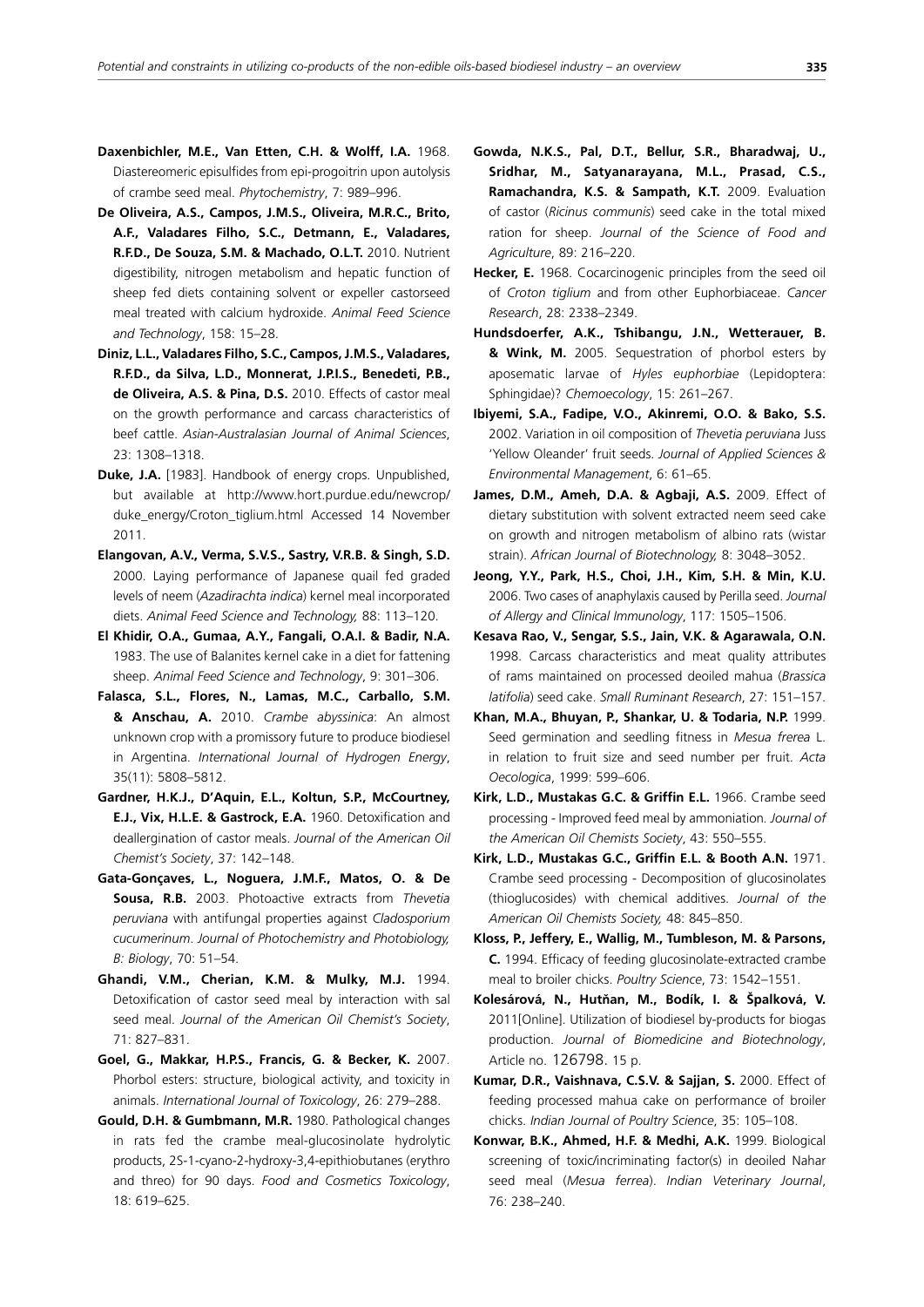- **Daxenbichler, M.E., Van Etten, C.H. & Wolff, I.A.** 1968. Diastereomeric episulfides from epi-progoitrin upon autolysis of crambe seed meal. *Phytochemistry*, 7: 989–996.
- **De Oliveira, A.S., Campos, J.M.S., Oliveira, M.R.C., Brito, A.F., Valadares Filho, S.C., Detmann, E., Valadares, R.F.D., De Souza, S.M. & Machado, O.L.T.** 2010. Nutrient digestibility, nitrogen metabolism and hepatic function of sheep fed diets containing solvent or expeller castorseed meal treated with calcium hydroxide. *Animal Feed Science and Technology*, 158: 15–28.
- **Diniz, L.L., Valadares Filho, S.C., Campos, J.M.S., Valadares, R.F.D., da Silva, L.D., Monnerat, J.P.I.S., Benedeti, P.B., de Oliveira, A.S. & Pina, D.S.** 2010. Effects of castor meal on the growth performance and carcass characteristics of beef cattle. *Asian-Australasian Journal of Animal Sciences*, 23: 1308–1318.
- **Duke, J.A.** [1983]. Handbook of energy crops. Unpublished, but available at http://www.hort.purdue.edu/newcrop/ duke\_energy/Croton\_tiglium.html Accessed 14 November 2011.
- **Elangovan, A.V., Verma, S.V.S., Sastry, V.R.B. & Singh, S.D.**  2000. Laying performance of Japanese quail fed graded levels of neem (*Azadirachta indica*) kernel meal incorporated diets. *Animal Feed Science and Technology,* 88: 113–120.
- **El Khidir, O.A., Gumaa, A.Y., Fangali, O.A.I. & Badir, N.A.** 1983. The use of Balanites kernel cake in a diet for fattening sheep. *Animal Feed Science and Technology*, 9: 301–306.
- **Falasca, S.L., Flores, N., Lamas, M.C., Carballo, S.M. & Anschau, A.** 2010. *Crambe abyssinica*: An almost unknown crop with a promissory future to produce biodiesel in Argentina. *International Journal of Hydrogen Energy*, 35(11): 5808–5812.
- **Gardner, H.K.J., D'Aquin, E.L., Koltun, S.P., McCourtney, E.J., Vix, H.L.E. & Gastrock, E.A.** 1960. Detoxification and deallergination of castor meals. *Journal of the American Oil Chemist's Society*, 37: 142–148.
- **Gata-Gonçaves, L., Noguera, J.M.F., Matos, O. & De Sousa, R.B.** 2003. Photoactive extracts from *Thevetia peruviana* with antifungal properties against *Cladosporium cucumerinum*. *Journal of Photochemistry and Photobiology, B: Biology*, 70: 51–54.
- **Ghandi, V.M., Cherian, K.M. & Mulky, M.J.** 1994. Detoxification of castor seed meal by interaction with sal seed meal. *Journal of the American Oil Chemist's Society*, 71: 827–831.
- **Goel, G., Makkar, H.P.S., Francis, G. & Becker, K.** 2007. Phorbol esters: structure, biological activity, and toxicity in animals. *International Journal of Toxicology*, 26: 279–288.
- **Gould, D.H. & Gumbmann, M.R.** 1980. Pathological changes in rats fed the crambe meal-glucosinolate hydrolytic products, 2S-1-cyano-2-hydroxy-3,4-epithiobutanes (erythro and threo) for 90 days. *Food and Cosmetics Toxicology*, 18: 619–625.
- **Gowda, N.K.S., Pal, D.T., Bellur, S.R., Bharadwaj, U., Sridhar, M., Satyanarayana, M.L., Prasad, C.S., Ramachandra, K.S. & Sampath, K.T.** 2009. Evaluation of castor (*Ricinus communis*) seed cake in the total mixed ration for sheep. *Journal of the Science of Food and Agriculture*, 89: 216–220.
- **Hecker, E.** 1968. Cocarcinogenic principles from the seed oil of *Croton tiglium* and from other Euphorbiaceae. *Cancer Research*, 28: 2338–2349.
- **Hundsdoerfer, A.K., Tshibangu, J.N., Wetterauer, B. & Wink, M.** 2005. Sequestration of phorbol esters by aposematic larvae of *Hyles euphorbiae* (Lepidoptera: Sphingidae)? *Chemoecology*, 15: 261–267.
- **Ibiyemi, S.A., Fadipe, V.O., Akinremi, O.O. & Bako, S.S.** 2002. Variation in oil composition of *Thevetia peruviana* Juss 'Yellow Oleander' fruit seeds. *Journal of Applied Sciences & Environmental Management*, 6: 61–65.
- James, D.M., Ameh, D.A. & Agbaji, A.S. 2009. Effect of dietary substitution with solvent extracted neem seed cake on growth and nitrogen metabolism of albino rats (wistar strain). *African Journal of Biotechnology,* 8: 3048–3052.
- **Jeong, Y.Y., Park, H.S., Choi, J.H., Kim, S.H. & Min, K.U.**  2006. Two cases of anaphylaxis caused by Perilla seed. *Journal of Allergy and Clinical Immunology*, 117: 1505–1506.
- **Kesava Rao, V., Sengar, S.S., Jain, V.K. & Agarawala, O.N.** 1998. Carcass characteristics and meat quality attributes of rams maintained on processed deoiled mahua (*Brassica latifolia*) seed cake. *Small Ruminant Research*, 27: 151–157.
- **Khan, M.A., Bhuyan, P., Shankar, U. & Todaria, N.P.** 1999. Seed germination and seedling fitness in *Mesua frerea* L. in relation to fruit size and seed number per fruit. *Acta Oecologica*, 1999: 599–606.
- **Kirk, L.D., Mustakas G.C. & Griffin E.L.** 1966. Crambe seed processing - Improved feed meal by ammoniation*. Journal of the American Oil Chemists Society*, 43: 550–555.
- **Kirk, L.D., Mustakas G.C., Griffin E.L. & Booth A.N.** 1971. Crambe seed processing - Decomposition of glucosinolates (thioglucosides) with chemical additives. *Journal of the American Oil Chemists Society,* 48: 845–850.
- **Kloss, P., Jeffery, E., Wallig, M., Tumbleson, M. & Parsons, C.** 1994. Efficacy of feeding glucosinolate-extracted crambe meal to broiler chicks. *Poultry Science*, 73: 1542–1551.
- **Kolesárová, N., Hutňan, M., Bodík, I. & Špalková, V.** 2011[Online]. Utilization of biodiesel by-products for biogas production. *Journal of Biomedicine and Biotechnology*, Article no. 126798. 15 p.
- **Kumar, D.R., Vaishnava, C.S.V. & Sajjan, S.** 2000. Effect of feeding processed mahua cake on performance of broiler chicks. *Indian Journal of Poultry Science*, 35: 105–108.
- **Konwar, B.K., Ahmed, H.F. & Medhi, A.K.** 1999. Biological screening of toxic/incriminating factor(s) in deoiled Nahar seed meal (*Mesua ferrea*). *Indian Veterinary Journal*, 76: 238–240.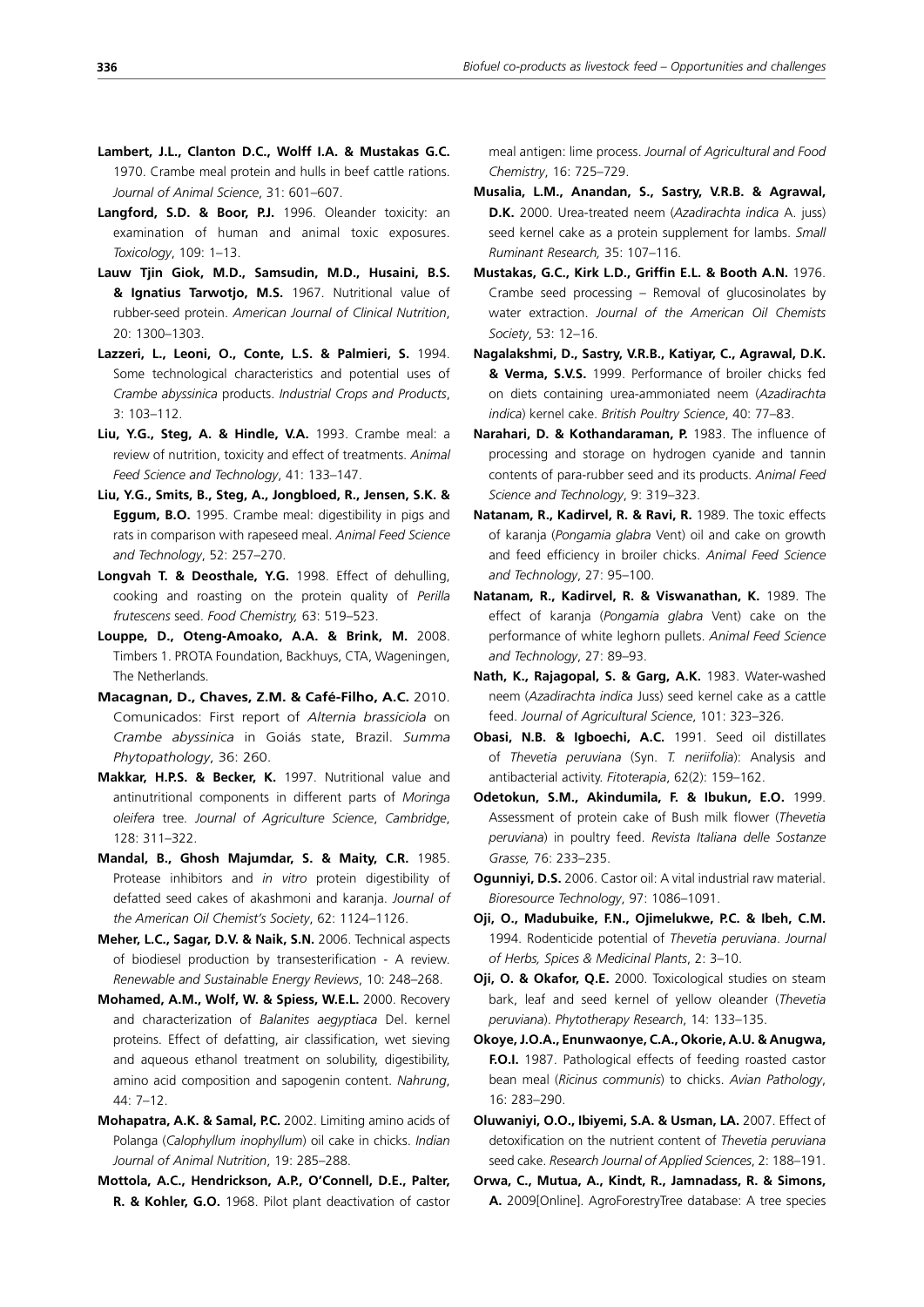- **Lambert, J.L., Clanton D.C., Wolff I.A. & Mustakas G.C.** 1970. Crambe meal protein and hulls in beef cattle rations. *Journal of Animal Science*, 31: 601–607.
- **Langford, S.D. & Boor, P.J.** 1996. Oleander toxicity: an examination of human and animal toxic exposures. *Toxicology*, 109: 1–13.
- **Lauw Tjin Giok, M.D., Samsudin, M.D., Husaini, B.S. & Ignatius Tarwotjo, M.S.** 1967. Nutritional value of rubber-seed protein. *American Journal of Clinical Nutrition*, 20: 1300–1303.
- **Lazzeri, L., Leoni, O., Conte, L.S. & Palmieri, S.** 1994. Some technological characteristics and potential uses of *Crambe abyssinica* products. *Industrial Crops and Products*, 3: 103–112.
- **Liu, Y.G., Steg, A. & Hindle, V.A.** 1993. Crambe meal: a review of nutrition, toxicity and effect of treatments. *Animal Feed Science and Technology*, 41: 133–147.
- **Liu, Y.G., Smits, B., Steg, A., Jongbloed, R., Jensen, S.K. & Eggum, B.O.** 1995. Crambe meal: digestibility in pigs and rats in comparison with rapeseed meal. *Animal Feed Science and Technology*, 52: 257–270.
- **Longvah T. & Deosthale, Y.G.** 1998. Effect of dehulling, cooking and roasting on the protein quality of *Perilla frutescens* seed. *Food Chemistry,* 63: 519–523.
- **Louppe, D., Oteng-Amoako, A.A. & Brink, M.** 2008. Timbers 1. PROTA Foundation, Backhuys, CTA, Wageningen, The Netherlands.
- **Macagnan, D., Chaves, Z.M. & Café-Filho, A.C.** 2010. Comunicados: First report of *Alternia brassiciola* on *Crambe abyssinica* in Goiás state, Brazil. *Summa Phytopathology*, 36: 260.
- **Makkar, H.P.S. & Becker, K.** 1997. Nutritional value and antinutritional components in different parts of *Moringa oleifera* tree*. Journal of Agriculture Science*, *Cambridge*, 128: 311–322.
- **Mandal, B., Ghosh Majumdar, S. & Maity, C.R.** 1985. Protease inhibitors and *in vitro* protein digestibility of defatted seed cakes of akashmoni and karanja. *Journal of the American Oil Chemist's Society*, 62: 1124–1126.
- **Meher, L.C., Sagar, D.V. & Naik, S.N.** 2006. Technical aspects of biodiesel production by transesterification - A review. *Renewable and Sustainable Energy Reviews*, 10: 248–268.
- **Mohamed, A.M., Wolf, W. & Spiess, W.E.L.** 2000. Recovery and characterization of *Balanites aegyptiaca* Del. kernel proteins. Effect of defatting, air classification, wet sieving and aqueous ethanol treatment on solubility, digestibility, amino acid composition and sapogenin content. *Nahrung*, 44: 7–12.
- **Mohapatra, A.K. & Samal, P.C.** 2002. Limiting amino acids of Polanga (*Calophyllum inophyllum*) oil cake in chicks. *Indian Journal of Animal Nutrition*, 19: 285–288.
- **Mottola, A.C., Hendrickson, A.P., O'Connell, D.E., Palter, R. & Kohler, G.O.** 1968. Pilot plant deactivation of castor

meal antigen: lime process. *Journal of Agricultural and Food Chemistry*, 16: 725–729.

- **Musalia, L.M., Anandan, S., Sastry, V.R.B. & Agrawal, D.K.** 2000. Urea-treated neem (*Azadirachta indica* A. juss) seed kernel cake as a protein supplement for lambs. *Small Ruminant Research,* 35: 107–116.
- **Mustakas, G.C., Kirk L.D., Griffin E.L. & Booth A.N.** 1976. Crambe seed processing – Removal of glucosinolates by water extraction. *Journal of the American Oil Chemists Society*, 53: 12–16.
- **Nagalakshmi, D., Sastry, V.R.B., Katiyar, C., Agrawal, D.K. & Verma, S.V.S.** 1999. Performance of broiler chicks fed on diets containing urea-ammoniated neem (*Azadirachta indica*) kernel cake. *British Poultry Science*, 40: 77–83.
- **Narahari, D. & Kothandaraman, P.** 1983. The influence of processing and storage on hydrogen cyanide and tannin contents of para-rubber seed and its products. *Animal Feed Science and Technology*, 9: 319–323.
- **Natanam, R., Kadirvel, R. & Ravi, R.** 1989. The toxic effects of karanja (*Pongamia glabra* Vent) oil and cake on growth and feed efficiency in broiler chicks. *Animal Feed Science and Technology*, 27: 95–100.
- **Natanam, R., Kadirvel, R. & Viswanathan, K.** 1989. The effect of karanja (*Pongamia glabra* Vent) cake on the performance of white leghorn pullets. *Animal Feed Science and Technology*, 27: 89–93.
- **Nath, K., Rajagopal, S. & Garg, A.K.** 1983. Water-washed neem (*Azadirachta indica* Juss) seed kernel cake as a cattle feed. *Journal of Agricultural Science*, 101: 323–326.
- **Obasi, N.B. & Igboechi, A.C.** 1991. Seed oil distillates of *Thevetia peruviana* (Syn. *T. neriifolia*): Analysis and antibacterial activity. *Fitoterapia*, 62(2): 159–162.
- **Odetokun, S.M., Akindumila, F. & Ibukun, E.O.** 1999. Assessment of protein cake of Bush milk flower (*Thevetia peruviana*) in poultry feed. *Revista Italiana delle Sostanze Grasse,* 76: 233–235.
- **Ogunniyi, D.S.** 2006. Castor oil: A vital industrial raw material. *Bioresource Technology*, 97: 1086–1091.
- **Oji, O., Madubuike, F.N., Ojimelukwe, P.C. & Ibeh, C.M.** 1994. Rodenticide potential of *Thevetia peruviana*. *Journal of Herbs, Spices & Medicinal Plants*, 2: 3–10.
- **Oji, O. & Okafor, Q.E.** 2000. Toxicological studies on steam bark, leaf and seed kernel of yellow oleander (*Thevetia peruviana*). *Phytotherapy Research*, 14: 133–135.
- **Okoye, J.O.A., Enunwaonye, C.A., Okorie, A.U. & Anugwa, F.O.I.** 1987. Pathological effects of feeding roasted castor bean meal (*Ricinus communis*) to chicks. *Avian Pathology*, 16: 283–290.
- **Oluwaniyi, O.O., Ibiyemi, S.A. & Usman, LA.** 2007. Effect of detoxification on the nutrient content of *Thevetia peruviana* seed cake. *Research Journal of Applied Sciences*, 2: 188–191.
- **Orwa, C., Mutua, A., Kindt, R., Jamnadass, R. & Simons, A.** 2009[Online]. AgroForestryTree database: A tree species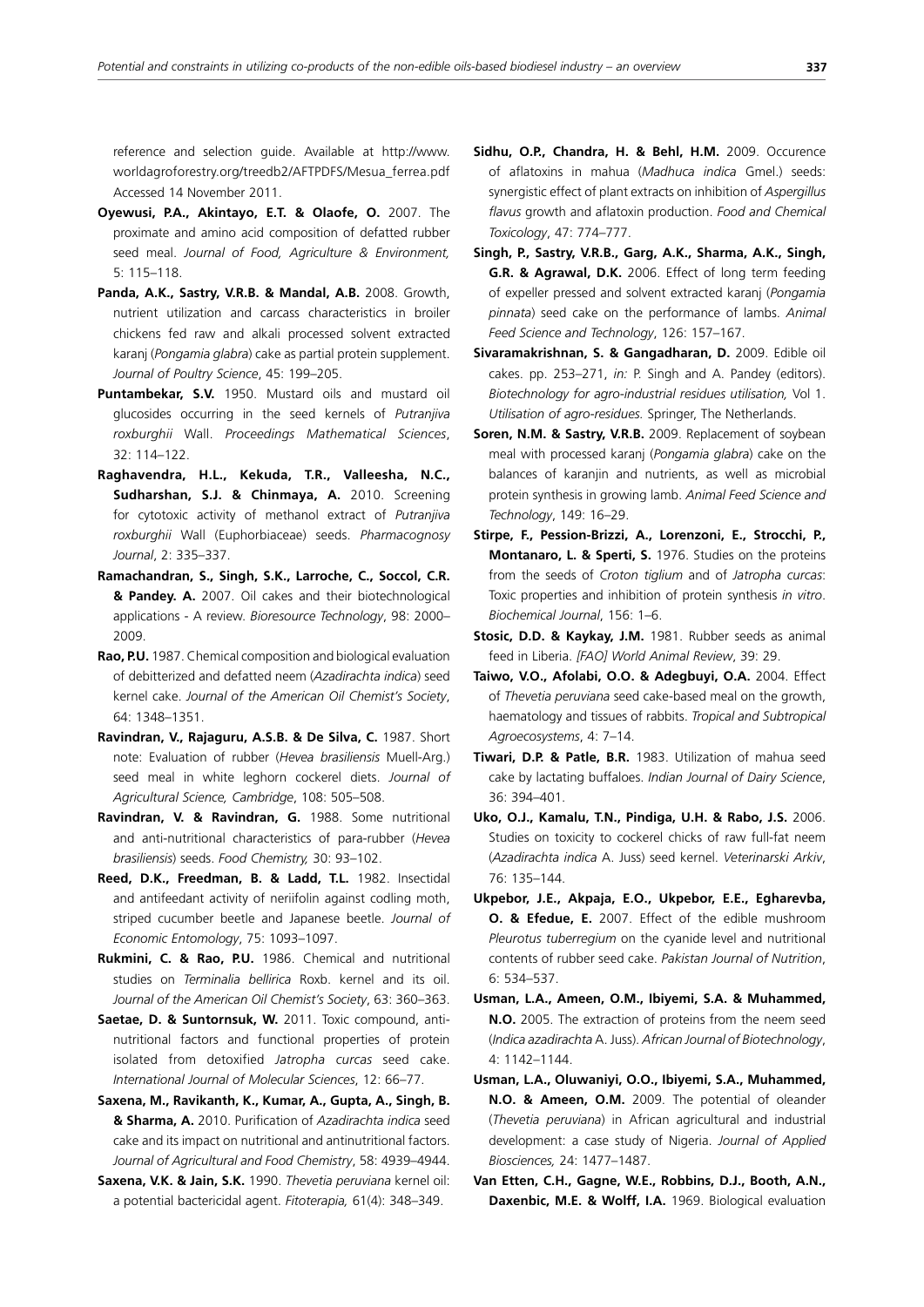reference and selection guide. Available at http://www. worldagroforestry.org/treedb2/AFTPDFS/Mesua\_ferrea.pdf Accessed 14 November 2011.

- **Oyewusi, P.A., Akintayo, E.T. & Olaofe, O.** 2007. The proximate and amino acid composition of defatted rubber seed meal. *Journal of Food, Agriculture & Environment,* 5: 115–118.
- **Panda, A.K., Sastry, V.R.B. & Mandal, A.B.** 2008. Growth, nutrient utilization and carcass characteristics in broiler chickens fed raw and alkali processed solvent extracted karanj (*Pongamia glabra*) cake as partial protein supplement. *Journal of Poultry Science*, 45: 199–205.
- **Puntambekar, S.V.** 1950. Mustard oils and mustard oil glucosides occurring in the seed kernels of *Putranjiva roxburghii* Wall. *Proceedings Mathematical Sciences*, 32: 114–122.
- **Raghavendra, H.L., Kekuda, T.R., Valleesha, N.C., Sudharshan, S.J. & Chinmaya, A.** 2010. Screening for cytotoxic activity of methanol extract of *Putranjiva roxburghii* Wall (Euphorbiaceae) seeds. *Pharmacognosy Journal*, 2: 335–337.
- **Ramachandran, S., Singh, S.K., Larroche, C., Soccol, C.R. & Pandey. A.** 2007. Oil cakes and their biotechnological applications - A review. *Bioresource Technology*, 98: 2000– 2009.
- **Rao, P.U.** 1987. Chemical composition and biological evaluation of debitterized and defatted neem (*Azadirachta indica*) seed kernel cake. *Journal of the American Oil Chemist's Society*, 64: 1348–1351.
- **Ravindran, V., Rajaguru, A.S.B. & De Silva, C.** 1987. Short note: Evaluation of rubber (*Hevea brasiliensis* Muell-Arg.) seed meal in white leghorn cockerel diets. *Journal of Agricultural Science, Cambridge*, 108: 505–508.
- **Ravindran, V. & Ravindran, G.** 1988. Some nutritional and anti-nutritional characteristics of para-rubber (*Hevea brasiliensis*) seeds. *Food Chemistry,* 30: 93–102.
- **Reed, D.K., Freedman, B. & Ladd, T.L.** 1982. Insectidal and antifeedant activity of neriifolin against codling moth, striped cucumber beetle and Japanese beetle. *Journal of Economic Entomology*, 75: 1093–1097.
- **Rukmini, C. & Rao, P.U.** 1986. Chemical and nutritional studies on *Terminalia bellirica* Roxb. kernel and its oil. *Journal of the American Oil Chemist's Society*, 63: 360–363.
- **Saetae, D. & Suntornsuk, W.** 2011. Toxic compound, antinutritional factors and functional properties of protein isolated from detoxified *Jatropha curcas* seed cake. *International Journal of Molecular Sciences*, 12: 66–77.
- **Saxena, M., Ravikanth, K., Kumar, A., Gupta, A., Singh, B. & Sharma, A.** 2010. Purification of *Azadirachta indica* seed cake and its impact on nutritional and antinutritional factors. *Journal of Agricultural and Food Chemistry*, 58: 4939–4944.
- **Saxena, V.K. & Jain, S.K.** 1990. *Thevetia peruviana* kernel oil: a potential bactericidal agent. *Fitoterapia,* 61(4): 348–349.
- **Sidhu, O.P., Chandra, H. & Behl, H.M.** 2009. Occurence of aflatoxins in mahua (*Madhuca indica* Gmel.) seeds: synergistic effect of plant extracts on inhibition of *Aspergillus flavus* growth and aflatoxin production. *Food and Chemical Toxicology*, 47: 774–777.
- **Singh, P., Sastry, V.R.B., Garg, A.K., Sharma, A.K., Singh, G.R. & Agrawal, D.K.** 2006. Effect of long term feeding of expeller pressed and solvent extracted karanj (*Pongamia pinnata*) seed cake on the performance of lambs. *Animal Feed Science and Technology*, 126: 157–167.
- **Sivaramakrishnan, S. & Gangadharan, D.** 2009. Edible oil cakes. pp. 253–271, *in:* P. Singh and A. Pandey (editors). *Biotechnology for agro-industrial residues utilisation,* Vol 1. *Utilisation of agro-residues.* Springer, The Netherlands.
- **Soren, N.M. & Sastry, V.R.B.** 2009. Replacement of soybean meal with processed karanj (*Pongamia glabra*) cake on the balances of karanjin and nutrients, as well as microbial protein synthesis in growing lamb. *Animal Feed Science and Technology*, 149: 16–29.
- **Stirpe, F., Pession-Brizzi, A., Lorenzoni, E., Strocchi, P., Montanaro, L. & Sperti, S.** 1976. Studies on the proteins from the seeds of *Croton tiglium* and of *Jatropha curcas*: Toxic properties and inhibition of protein synthesis *in vitro*. *Biochemical Journal*, 156: 1–6.
- **Stosic, D.D. & Kaykay, J.M.** 1981. Rubber seeds as animal feed in Liberia. *[FAO] World Animal Review*, 39: 29.
- **Taiwo, V.O., Afolabi, O.O. & Adegbuyi, O.A.** 2004. Effect of *Thevetia peruviana* seed cake-based meal on the growth, haematology and tissues of rabbits. *Tropical and Subtropical Agroecosystems*, 4: 7–14.
- **Tiwari, D.P. & Patle, B.R.** 1983. Utilization of mahua seed cake by lactating buffaloes. *Indian Journal of Dairy Science*, 36: 394–401.
- **Uko, O.J., Kamalu, T.N., Pindiga, U.H. & Rabo, J.S.** 2006. Studies on toxicity to cockerel chicks of raw full-fat neem (*Azadirachta indica* A. Juss) seed kernel. *Veterinarski Arkiv*, 76: 135–144.
- **Ukpebor, J.E., Akpaja, E.O., Ukpebor, E.E., Egharevba, O. & Efedue, E.** 2007. Effect of the edible mushroom *Pleurotus tuberregium* on the cyanide level and nutritional contents of rubber seed cake. *Pakistan Journal of Nutrition*, 6: 534–537.
- **Usman, L.A., Ameen, O.M., Ibiyemi, S.A. & Muhammed, N.O.** 2005. The extraction of proteins from the neem seed (*Indica azadirachta* A. Juss). *African Journal of Biotechnology*, 4: 1142–1144.
- **Usman, L.A., Oluwaniyi, O.O., Ibiyemi, S.A., Muhammed, N.O. & Ameen, O.M.** 2009. The potential of oleander (*Thevetia peruviana*) in African agricultural and industrial development: a case study of Nigeria. *Journal of Applied Biosciences,* 24: 1477–1487.
- **Van Etten, C.H., Gagne, W.E., Robbins, D.J., Booth, A.N., Daxenbic, M.E. & Wolff, I.A.** 1969. Biological evaluation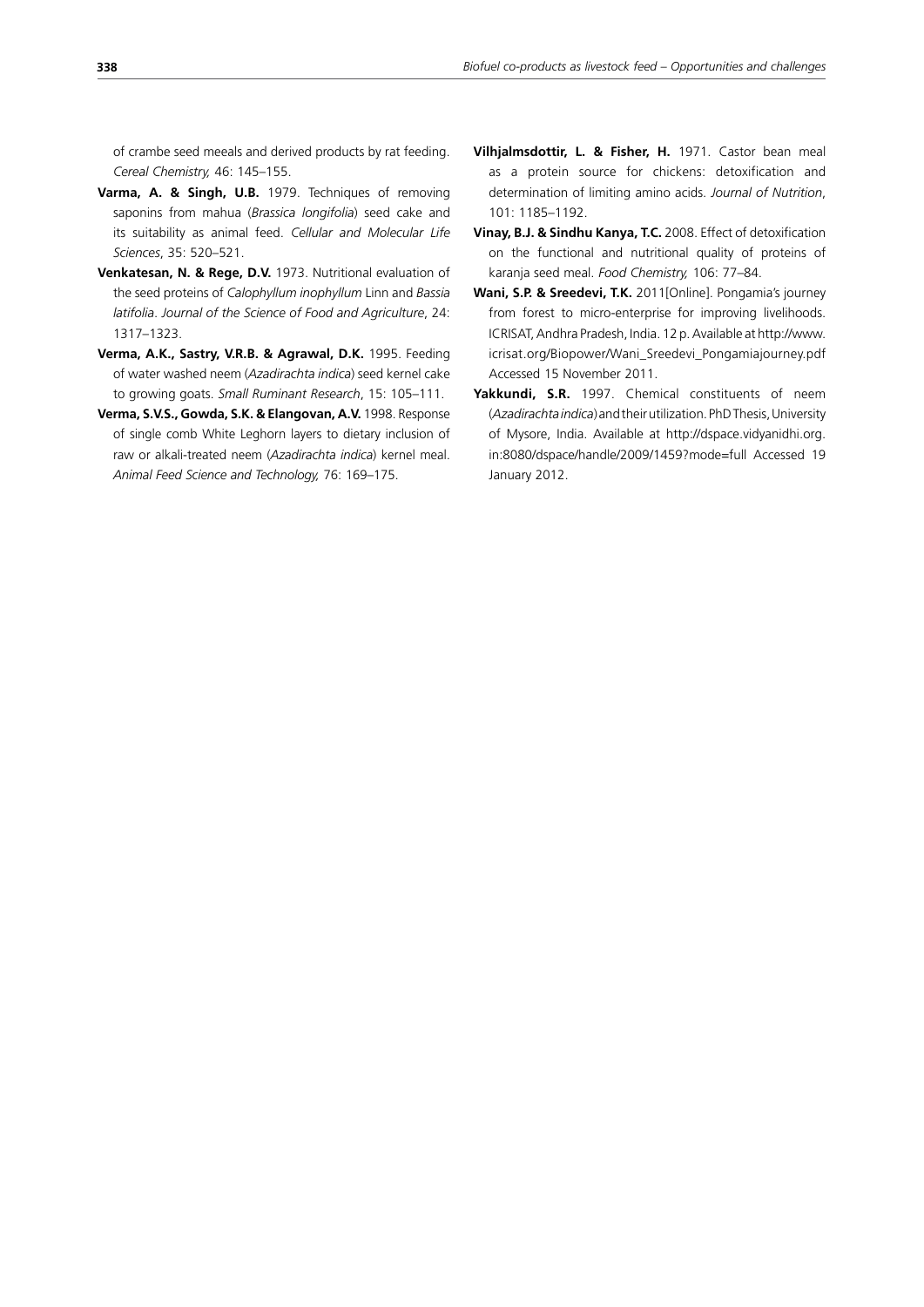of crambe seed meeals and derived products by rat feeding. *Cereal Chemistry,* 46: 145–155.

- **Varma, A. & Singh, U.B.** 1979. Techniques of removing saponins from mahua (*Brassica longifolia*) seed cake and its suitability as animal feed. *Cellular and Molecular Life Sciences*, 35: 520–521.
- **Venkatesan, N. & Rege, D.V.** 1973. Nutritional evaluation of the seed proteins of *Calophyllum inophyllum* Linn and *Bassia latifolia*. *Journal of the Science of Food and Agriculture*, 24: 1317–1323.
- **Verma, A.K., Sastry, V.R.B. & Agrawal, D.K.** 1995. Feeding of water washed neem (*Azadirachta indica*) seed kernel cake to growing goats. *Small Ruminant Research*, 15: 105–111.
- **Verma, S.V.S., Gowda, S.K. & Elangovan, A.V.** 1998. Response of single comb White Leghorn layers to dietary inclusion of raw or alkali-treated neem (*Azadirachta indica*) kernel meal. *Animal Feed Science and Technology,* 76: 169–175.
- **Vilhjalmsdottir, L. & Fisher, H.** 1971. Castor bean meal as a protein source for chickens: detoxification and determination of limiting amino acids. *Journal of Nutrition*, 101: 1185–1192.
- **Vinay, B.J. & Sindhu Kanya, T.C.** 2008. Effect of detoxification on the functional and nutritional quality of proteins of karanja seed meal. *Food Chemistry,* 106: 77–84.
- **Wani, S.P. & Sreedevi, T.K.** 2011[Online]. Pongamia's journey from forest to micro-enterprise for improving livelihoods. ICRISAT, Andhra Pradesh, India. 12 p. Available at http://www. icrisat.org/Biopower/Wani\_Sreedevi\_Pongamiajourney.pdf Accessed 15 November 2011.
- **Yakkundi, S.R.** 1997. Chemical constituents of neem (*Azadirachta indica*) and their utilization. PhD Thesis, University of Mysore, India. Available at http://dspace.vidyanidhi.org. in:8080/dspace/handle/2009/1459?mode=full Accessed 19 January 2012.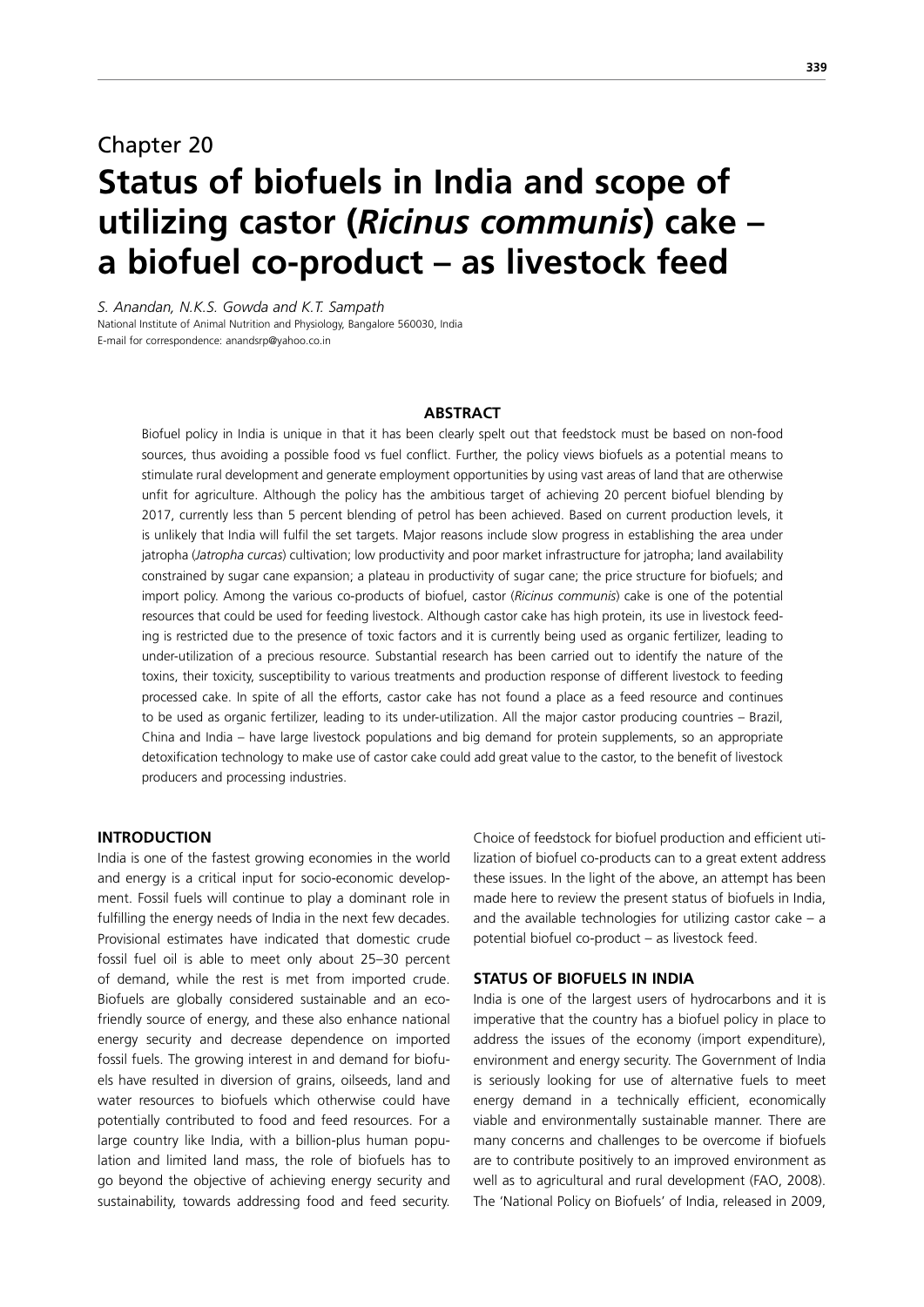# Chapter 20 **Status of biofuels in India and scope of utilizing castor (***Ricinus communis***) cake – a biofuel co-product – as livestock feed**

*S. Anandan, N.K.S. Gowda and K.T. Sampath* National Institute of Animal Nutrition and Physiology, Bangalore 560030, India E-mail for correspondence: anandsrp@yahoo.co.in

#### **ABSTRACT**

Biofuel policy in India is unique in that it has been clearly spelt out that feedstock must be based on non-food sources, thus avoiding a possible food vs fuel conflict. Further, the policy views biofuels as a potential means to stimulate rural development and generate employment opportunities by using vast areas of land that are otherwise unfit for agriculture. Although the policy has the ambitious target of achieving 20 percent biofuel blending by 2017, currently less than 5 percent blending of petrol has been achieved. Based on current production levels, it is unlikely that India will fulfil the set targets. Major reasons include slow progress in establishing the area under jatropha (*Jatropha curcas*) cultivation; low productivity and poor market infrastructure for jatropha; land availability constrained by sugar cane expansion; a plateau in productivity of sugar cane; the price structure for biofuels; and import policy. Among the various co-products of biofuel, castor (*Ricinus communis*) cake is one of the potential resources that could be used for feeding livestock. Although castor cake has high protein, its use in livestock feeding is restricted due to the presence of toxic factors and it is currently being used as organic fertilizer, leading to under-utilization of a precious resource. Substantial research has been carried out to identify the nature of the toxins, their toxicity, susceptibility to various treatments and production response of different livestock to feeding processed cake. In spite of all the efforts, castor cake has not found a place as a feed resource and continues to be used as organic fertilizer, leading to its under-utilization. All the major castor producing countries – Brazil, China and India – have large livestock populations and big demand for protein supplements, so an appropriate detoxification technology to make use of castor cake could add great value to the castor, to the benefit of livestock producers and processing industries.

## **INTRODUCTION**

India is one of the fastest growing economies in the world and energy is a critical input for socio-economic development. Fossil fuels will continue to play a dominant role in fulfilling the energy needs of India in the next few decades. Provisional estimates have indicated that domestic crude fossil fuel oil is able to meet only about 25–30 percent of demand, while the rest is met from imported crude. Biofuels are globally considered sustainable and an ecofriendly source of energy, and these also enhance national energy security and decrease dependence on imported fossil fuels. The growing interest in and demand for biofuels have resulted in diversion of grains, oilseeds, land and water resources to biofuels which otherwise could have potentially contributed to food and feed resources. For a large country like India, with a billion-plus human population and limited land mass, the role of biofuels has to go beyond the objective of achieving energy security and sustainability, towards addressing food and feed security.

Choice of feedstock for biofuel production and efficient utilization of biofuel co-products can to a great extent address these issues. In the light of the above, an attempt has been made here to review the present status of biofuels in India, and the available technologies for utilizing castor cake  $-$  a potential biofuel co-product – as livestock feed.

#### **STATUS OF BIOFUELS IN INDIA**

India is one of the largest users of hydrocarbons and it is imperative that the country has a biofuel policy in place to address the issues of the economy (import expenditure), environment and energy security. The Government of India is seriously looking for use of alternative fuels to meet energy demand in a technically efficient, economically viable and environmentally sustainable manner. There are many concerns and challenges to be overcome if biofuels are to contribute positively to an improved environment as well as to agricultural and rural development (FAO, 2008). The 'National Policy on Biofuels' of India, released in 2009,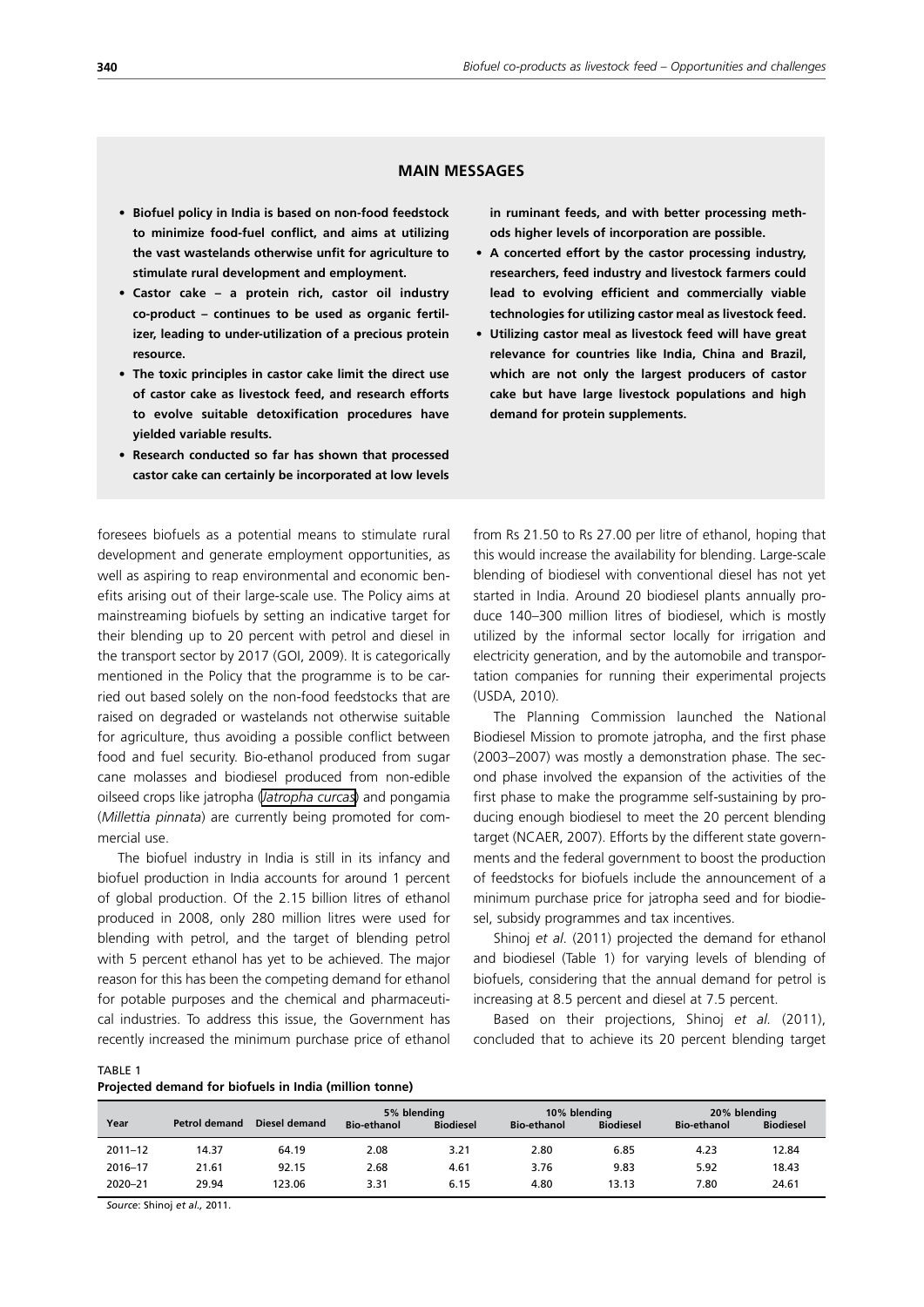# **MAIN MESSAGES**

- **• Biofuel policy in India is based on non-food feedstock to minimize food-fuel conflict, and aims at utilizing the vast wastelands otherwise unfit for agriculture to stimulate rural development and employment.**
- **• Castor cake a protein rich, castor oil industry co-product – continues to be used as organic fertilizer, leading to under-utilization of a precious protein resource.**
- **• The toxic principles in castor cake limit the direct use of castor cake as livestock feed, and research efforts to evolve suitable detoxification procedures have yielded variable results.**
- **• Research conducted so far has shown that processed castor cake can certainly be incorporated at low levels**

**in ruminant feeds, and with better processing methods higher levels of incorporation are possible.**

- **• A concerted effort by the castor processing industry, researchers, feed industry and livestock farmers could lead to evolving efficient and commercially viable technologies for utilizing castor meal as livestock feed.**
- **• Utilizing castor meal as livestock feed will have great relevance for countries like India, China and Brazil, which are not only the largest producers of castor cake but have large livestock populations and high demand for protein supplements.**

foresees biofuels as a potential means to stimulate rural development and generate employment opportunities, as well as aspiring to reap environmental and economic benefits arising out of their large-scale use. The Policy aims at mainstreaming biofuels by setting an indicative target for their blending up to 20 percent with petrol and diesel in the transport sector by 2017 (GOI, 2009). It is categorically mentioned in the Policy that the programme is to be carried out based solely on the non-food feedstocks that are raised on degraded or wastelands not otherwise suitable for agriculture, thus avoiding a possible conflict between food and fuel security. Bio-ethanol produced from sugar cane molasses and biodiesel produced from non-edible oilseed crops like jatropha (*[Jatropha curcas](http://en.wikipedia.org/wiki/Jatropha_curcas)*) and pongamia (*Millettia pinnata*) are currently being promoted for commercial use.

The biofuel industry in India is still in its infancy and biofuel production in India accounts for around 1 percent of global production. Of the 2.15 billion litres of ethanol produced in 2008, only 280 million litres were used for blending with petrol, and the target of blending petrol with 5 percent ethanol has yet to be achieved. The major reason for this has been the competing demand for ethanol for potable purposes and the chemical and pharmaceutical industries. To address this issue, the Government has recently increased the minimum purchase price of ethanol from Rs 21.50 to Rs 27.00 per litre of ethanol, hoping that this would increase the availability for blending. Large-scale blending of biodiesel with conventional diesel has not yet started in India. Around 20 biodiesel plants annually produce 140–300 million litres of biodiesel, which is mostly utilized by the informal sector locally for irrigation and electricity generation, and by the automobile and transportation companies for running their experimental projects (USDA, 2010).

The Planning Commission launched the National Biodiesel Mission to promote jatropha, and the first phase (2003–2007) was mostly a demonstration phase. The second phase involved the expansion of the activities of the first phase to make the programme self-sustaining by producing enough biodiesel to meet the 20 percent blending target (NCAER, 2007). Efforts by the different state governments and the federal government to boost the production of feedstocks for biofuels include the announcement of a minimum purchase price for jatropha seed and for biodiesel, subsidy programmes and tax incentives.

Shinoj *et al*. (2011) projected the demand for ethanol and biodiesel (Table 1) for varying levels of blending of biofuels, considering that the annual demand for petrol is increasing at 8.5 percent and diesel at 7.5 percent.

Based on their projections, Shinoj *et al.* (2011), concluded that to achieve its 20 percent blending target

TABLE 1 **Projected demand for biofuels in India (million tonne)**

| Year        | <b>Petrol demand</b> | Diesel demand | 5% blending<br><b>Bio-ethanol</b> | <b>Biodiesel</b> | 10% blending<br><b>Bio-ethanol</b> | <b>Biodiesel</b> | 20% blending<br><b>Bio-ethanol</b> | <b>Biodiesel</b> |
|-------------|----------------------|---------------|-----------------------------------|------------------|------------------------------------|------------------|------------------------------------|------------------|
| $2011 - 12$ | 14.37                | 64.19         | 2.08                              | 3.21             | 2.80                               | 6.85             | 4.23                               | 12.84            |
| 2016-17     | 21.61                | 92.15         | 2.68                              | 4.61             | 3.76                               | 9.83             | 5.92                               | 18.43            |
| 2020-21     | 29.94                | 123.06        | 3.31                              | 6.15             | 4.80                               | 13.13            | 7.80                               | 24.61            |

*Source*: Shinoj *et al.,* 2011.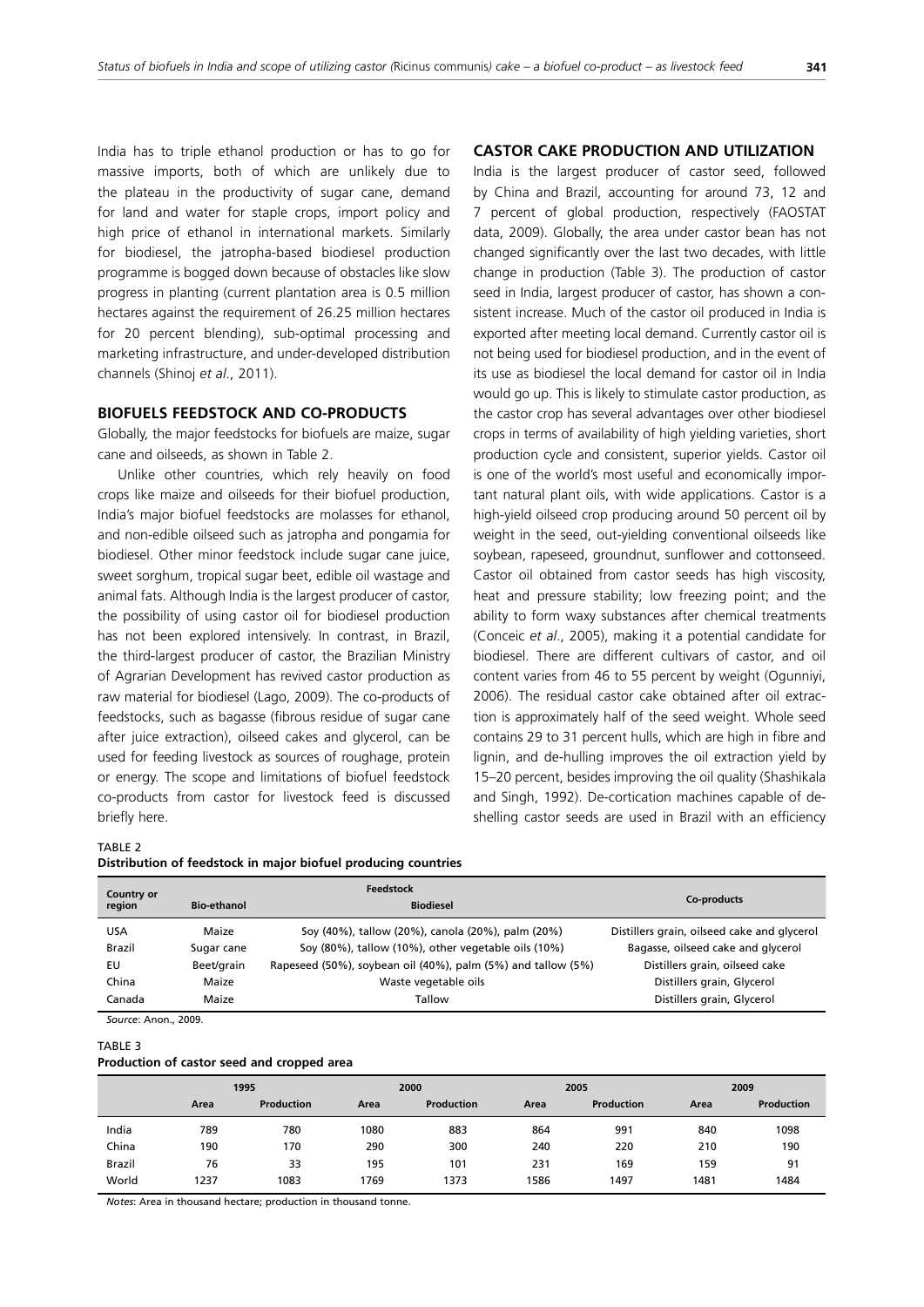India has to triple ethanol production or has to go for massive imports, both of which are unlikely due to the plateau in the productivity of sugar cane, demand for land and water for staple crops, import policy and high price of ethanol in international markets. Similarly for biodiesel, the jatropha-based biodiesel production programme is bogged down because of obstacles like slow progress in planting (current plantation area is 0.5 million hectares against the requirement of 26.25 million hectares for 20 percent blending), sub-optimal processing and marketing infrastructure, and under-developed distribution channels (Shinoj *et al*., 2011).

#### **BIOFUELS FEEDSTOCK AND CO-PRODUCTS**

Globally, the major feedstocks for biofuels are maize, sugar cane and oilseeds, as shown in Table 2.

Unlike other countries, which rely heavily on food crops like maize and oilseeds for their biofuel production, India's major biofuel feedstocks are molasses for ethanol, and non-edible oilseed such as jatropha and pongamia for biodiesel. Other minor feedstock include sugar cane juice, sweet sorghum, tropical sugar beet, edible oil wastage and animal fats. Although India is the largest producer of castor, the possibility of using castor oil for biodiesel production has not been explored intensively. In contrast, in Brazil, the third-largest producer of castor, the Brazilian Ministry of Agrarian Development has revived castor production as raw material for biodiesel (Lago, 2009). The co-products of feedstocks, such as bagasse (fibrous residue of sugar cane after juice extraction), oilseed cakes and glycerol, can be used for feeding livestock as sources of roughage, protein or energy. The scope and limitations of biofuel feedstock co-products from castor for livestock feed is discussed briefly here.

#### **CASTOR CAKE PRODUCTION AND UTILIZATION**

India is the largest producer of castor seed, followed by China and Brazil, accounting for around 73, 12 and 7 percent of global production, respectively (FAOSTAT data, 2009). Globally, the area under castor bean has not changed significantly over the last two decades, with little change in production (Table 3). The production of castor seed in India, largest producer of castor, has shown a consistent increase. Much of the castor oil produced in India is exported after meeting local demand. Currently castor oil is not being used for biodiesel production, and in the event of its use as biodiesel the local demand for castor oil in India would go up. This is likely to stimulate castor production, as the castor crop has several advantages over other biodiesel crops in terms of availability of high yielding varieties, short production cycle and consistent, superior yields. Castor oil is one of the world's most useful and economically important natural plant oils, with wide applications. Castor is a high-yield oilseed crop producing around 50 percent oil by weight in the seed, out-yielding conventional oilseeds like soybean, rapeseed, groundnut, sunflower and cottonseed. Castor oil obtained from castor seeds has high viscosity, heat and pressure stability; low freezing point; and the ability to form waxy substances after chemical treatments (Conceic *et al*., 2005), making it a potential candidate for biodiesel. There are different cultivars of castor, and oil content varies from 46 to 55 percent by weight (Ogunniyi, 2006). The residual castor cake obtained after oil extraction is approximately half of the seed weight. Whole seed contains 29 to 31 percent hulls, which are high in fibre and lignin, and de-hulling improves the oil extraction yield by 15–20 percent, besides improving the oil quality (Shashikala and Singh, 1992). De-cortication machines capable of deshelling castor seeds are used in Brazil with an efficiency

#### TABLE 2

**Distribution of feedstock in major biofuel producing countries**

| Country or<br>region | <b>Bio-ethanol</b> | <b>Feedstock</b><br><b>Biodiesel</b>                         | Co-products                                 |
|----------------------|--------------------|--------------------------------------------------------------|---------------------------------------------|
| USA                  | Maize              | Soy (40%), tallow (20%), canola (20%), palm (20%)            | Distillers grain, oilseed cake and glycerol |
| <b>Brazil</b>        | Sugar cane         | Soy (80%), tallow (10%), other vegetable oils (10%)          | Bagasse, oilseed cake and glycerol          |
| EU                   | Beet/grain         | Rapeseed (50%), soybean oil (40%), palm (5%) and tallow (5%) | Distillers grain, oilseed cake              |
| China                | Maize              | Waste vegetable oils                                         | Distillers grain, Glycerol                  |
| Canada               | Maize              | Tallow                                                       | Distillers grain, Glycerol                  |
| $\sim$ $\sim$        | $\cdots$           |                                                              |                                             |

*Source*: Anon., 2009.

#### TABLE 3

#### **Production of castor seed and cropped area**

|               |      | 1995       |      | 2000       |      | 2005       |      | 2009       |
|---------------|------|------------|------|------------|------|------------|------|------------|
|               | Area | Production | Area | Production | Area | Production | Area | Production |
| India         | 789  | 780        | 1080 | 883        | 864  | 991        | 840  | 1098       |
| China         | 190  | 170        | 290  | 300        | 240  | 220        | 210  | 190        |
| <b>Brazil</b> | 76   | 33         | 195  | 101        | 231  | 169        | 159  | 91         |
| World         | 1237 | 1083       | 1769 | 1373       | 1586 | 1497       | 1481 | 1484       |

*Notes*: Area in thousand hectare; production in thousand tonne.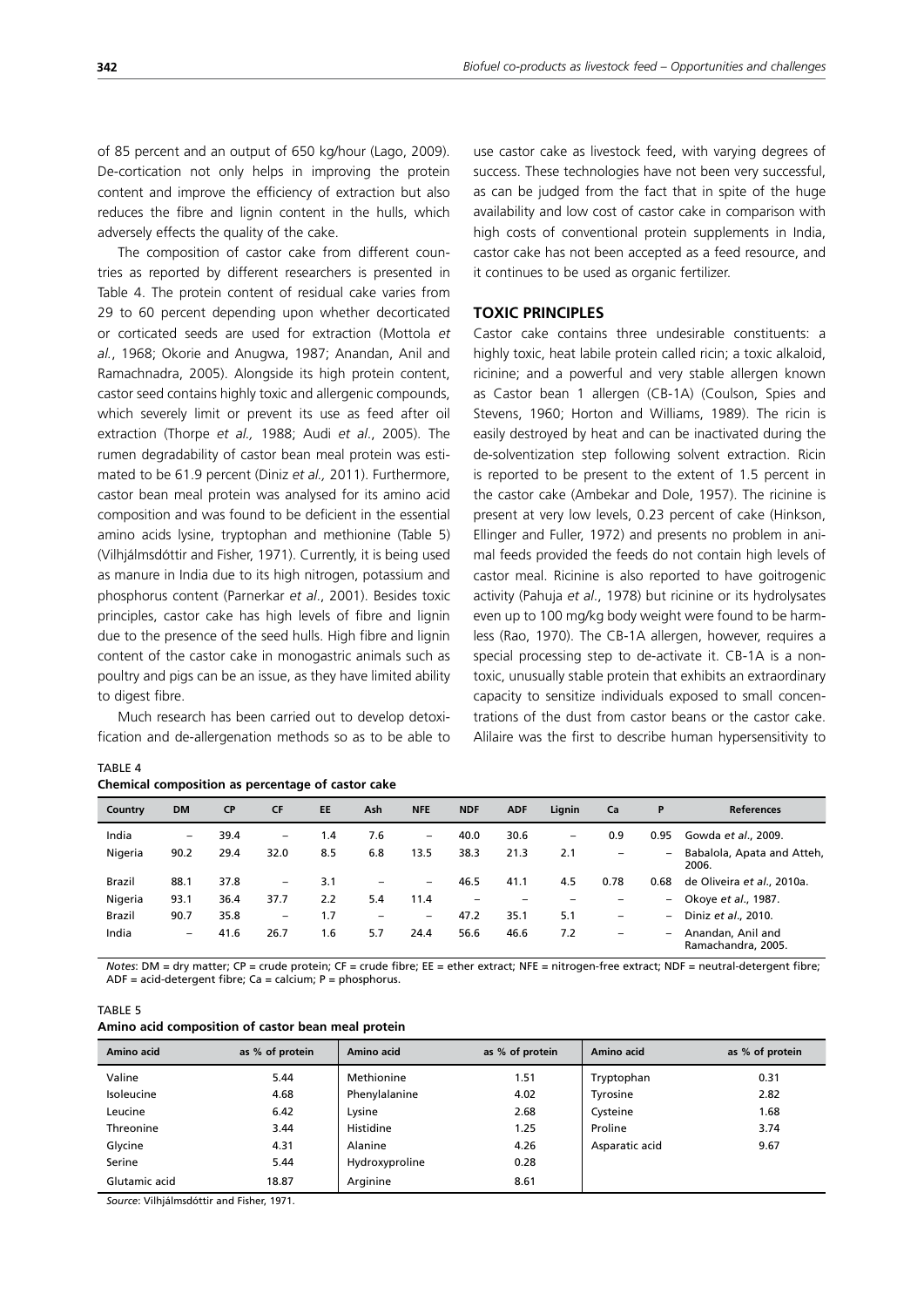of 85 percent and an output of 650 kg/hour (Lago, 2009). De-cortication not only helps in improving the protein content and improve the efficiency of extraction but also reduces the fibre and lignin content in the hulls, which adversely effects the quality of the cake.

The composition of castor cake from different countries as reported by different researchers is presented in Table 4. The protein content of residual cake varies from 29 to 60 percent depending upon whether decorticated or corticated seeds are used for extraction (Mottola *et al.*, 1968; Okorie and Anugwa, 1987; Anandan, Anil and Ramachnadra, 2005). Alongside its high protein content, castor seed contains highly toxic and allergenic compounds, which severely limit or prevent its use as feed after oil extraction (Thorpe *et al.,* 1988; Audi *et al*., 2005). The rumen degradability of castor bean meal protein was estimated to be 61.9 percent (Diniz *et al.,* 2011). Furthermore, castor bean meal protein was analysed for its amino acid composition and was found to be deficient in the essential amino acids lysine, tryptophan and methionine (Table 5) (Vilhjálmsdóttir and Fisher, 1971). Currently, it is being used as manure in India due to its high nitrogen, potassium and phosphorus content (Parnerkar *et al*., 2001). Besides toxic principles, castor cake has high levels of fibre and lignin due to the presence of the seed hulls. High fibre and lignin content of the castor cake in monogastric animals such as poultry and pigs can be an issue, as they have limited ability to digest fibre.

Much research has been carried out to develop detoxification and de-allergenation methods so as to be able to

| IABLE 4 |                                                   |  |
|---------|---------------------------------------------------|--|
|         | Chemical composition as percentage of castor cake |  |

use castor cake as livestock feed, with varying degrees of success. These technologies have not been very successful, as can be judged from the fact that in spite of the huge availability and low cost of castor cake in comparison with high costs of conventional protein supplements in India, castor cake has not been accepted as a feed resource, and it continues to be used as organic fertilizer.

# **TOXIC PRINCIPLES**

Castor cake contains three undesirable constituents: a highly toxic, heat labile protein called ricin; a toxic alkaloid, ricinine; and a powerful and very stable allergen known as Castor bean 1 allergen (CB-1A) (Coulson, Spies and Stevens, 1960; Horton and Williams, 1989). The ricin is easily destroyed by heat and can be inactivated during the de-solventization step following solvent extraction. Ricin is reported to be present to the extent of 1.5 percent in the castor cake (Ambekar and Dole, 1957). The ricinine is present at very low levels, 0.23 percent of cake (Hinkson, Ellinger and Fuller, 1972) and presents no problem in animal feeds provided the feeds do not contain high levels of castor meal. Ricinine is also reported to have goitrogenic activity (Pahuja *et al*., 1978) but ricinine or its hydrolysates even up to 100 mg/kg body weight were found to be harmless (Rao, 1970). The CB-1A allergen, however, requires a special processing step to de-activate it. CB-1A is a nontoxic, unusually stable protein that exhibits an extraordinary capacity to sensitize individuals exposed to small concentrations of the dust from castor beans or the castor cake. Alilaire was the first to describe human hypersensitivity to

| EE<br><b>NFE</b><br><b>DM</b><br><b>CP</b><br><b>CF</b><br>Ash<br><b>NDF</b><br>Lignin<br><b>ADF</b><br>P<br><b>References</b><br>Ca<br>Country<br>India<br>7.6<br>30.6<br>39.4<br>0.9<br>0.95<br>40.0<br>Gowda et al., 2009.<br>1.4<br>-<br>-<br>-<br>-<br>Nigeria<br>8.5<br>38.3<br>6.8<br>13.5<br>21.3<br>90.2<br>29.4<br>32.0<br>2.1<br>$\overline{\phantom{0}}$<br>$\qquad \qquad -$<br>2006.<br>37.8<br>3.1<br>4.5<br>0.78<br>0.68<br>88.1<br>46.5<br><b>Brazil</b><br>41.1<br>$\overline{\phantom{0}}$<br>$\overline{\phantom{0}}$<br>-<br>Nigeria<br>2.2<br>5.4<br>93.1<br>36.4<br>37.7<br>11.4<br>Okoye et al., 1987.<br>$-$<br>$\overline{\phantom{0}}$<br>-<br>1.7<br>5.1<br><b>Brazil</b><br>90.7<br>35.8<br>47.2<br>35.1<br>Diniz et al., 2010.<br>$\overline{\phantom{m}}$<br>$\overline{\phantom{0}}$<br>$\qquad \qquad -$<br>$\overline{\phantom{0}}$<br>-<br>India<br>56.6<br>26.7<br>1.6<br>5.7<br>46.6<br>7.2<br>41.6<br>24.4<br>Anandan, Anil and<br>$\qquad \qquad -$<br>$\overline{\phantom{0}}$<br>-<br>Ramachandra, 2005. |  |  |  |  |  |  |                            |
|---------------------------------------------------------------------------------------------------------------------------------------------------------------------------------------------------------------------------------------------------------------------------------------------------------------------------------------------------------------------------------------------------------------------------------------------------------------------------------------------------------------------------------------------------------------------------------------------------------------------------------------------------------------------------------------------------------------------------------------------------------------------------------------------------------------------------------------------------------------------------------------------------------------------------------------------------------------------------------------------------------------------------------------------------|--|--|--|--|--|--|----------------------------|
|                                                                                                                                                                                                                                                                                                                                                                                                                                                                                                                                                                                                                                                                                                                                                                                                                                                                                                                                                                                                                                                   |  |  |  |  |  |  |                            |
|                                                                                                                                                                                                                                                                                                                                                                                                                                                                                                                                                                                                                                                                                                                                                                                                                                                                                                                                                                                                                                                   |  |  |  |  |  |  |                            |
|                                                                                                                                                                                                                                                                                                                                                                                                                                                                                                                                                                                                                                                                                                                                                                                                                                                                                                                                                                                                                                                   |  |  |  |  |  |  | Babalola, Apata and Atteh, |
|                                                                                                                                                                                                                                                                                                                                                                                                                                                                                                                                                                                                                                                                                                                                                                                                                                                                                                                                                                                                                                                   |  |  |  |  |  |  | de Oliveira et al., 2010a. |
|                                                                                                                                                                                                                                                                                                                                                                                                                                                                                                                                                                                                                                                                                                                                                                                                                                                                                                                                                                                                                                                   |  |  |  |  |  |  |                            |
|                                                                                                                                                                                                                                                                                                                                                                                                                                                                                                                                                                                                                                                                                                                                                                                                                                                                                                                                                                                                                                                   |  |  |  |  |  |  |                            |
|                                                                                                                                                                                                                                                                                                                                                                                                                                                                                                                                                                                                                                                                                                                                                                                                                                                                                                                                                                                                                                                   |  |  |  |  |  |  |                            |

*Notes*: DM = dry matter; CP = crude protein; CF = crude fibre; EE = ether extract; NFE = nitrogen-free extract; NDF = neutral-detergent fibre; ADF = acid-detergent fibre; Ca = calcium;  $P =$  phosphorus.

#### TABLE 5

 $\frac{1}{2}$ 

|  | Amino acid composition of castor bean meal protein |  |  |  |  |  |
|--|----------------------------------------------------|--|--|--|--|--|
|--|----------------------------------------------------|--|--|--|--|--|

| Amino acid    | as % of protein | Amino acid     | as % of protein | Amino acid     | as % of protein |
|---------------|-----------------|----------------|-----------------|----------------|-----------------|
| Valine        | 5.44            | Methionine     | 1.51            | Tryptophan     | 0.31            |
| Isoleucine    | 4.68            | Phenylalanine  | 4.02            | Tyrosine       | 2.82            |
| Leucine       | 6.42            | Lysine         | 2.68            | Cysteine       | 1.68            |
| Threonine     | 3.44            | Histidine      | 1.25            | Proline        | 3.74            |
| Glycine       | 4.31            | Alanine        | 4.26            | Asparatic acid | 9.67            |
| Serine        | 5.44            | Hydroxyproline | 0.28            |                |                 |
| Glutamic acid | 18.87           | Arginine       | 8.61            |                |                 |

*Source*: Vilhjálmsdóttir and Fisher, 1971.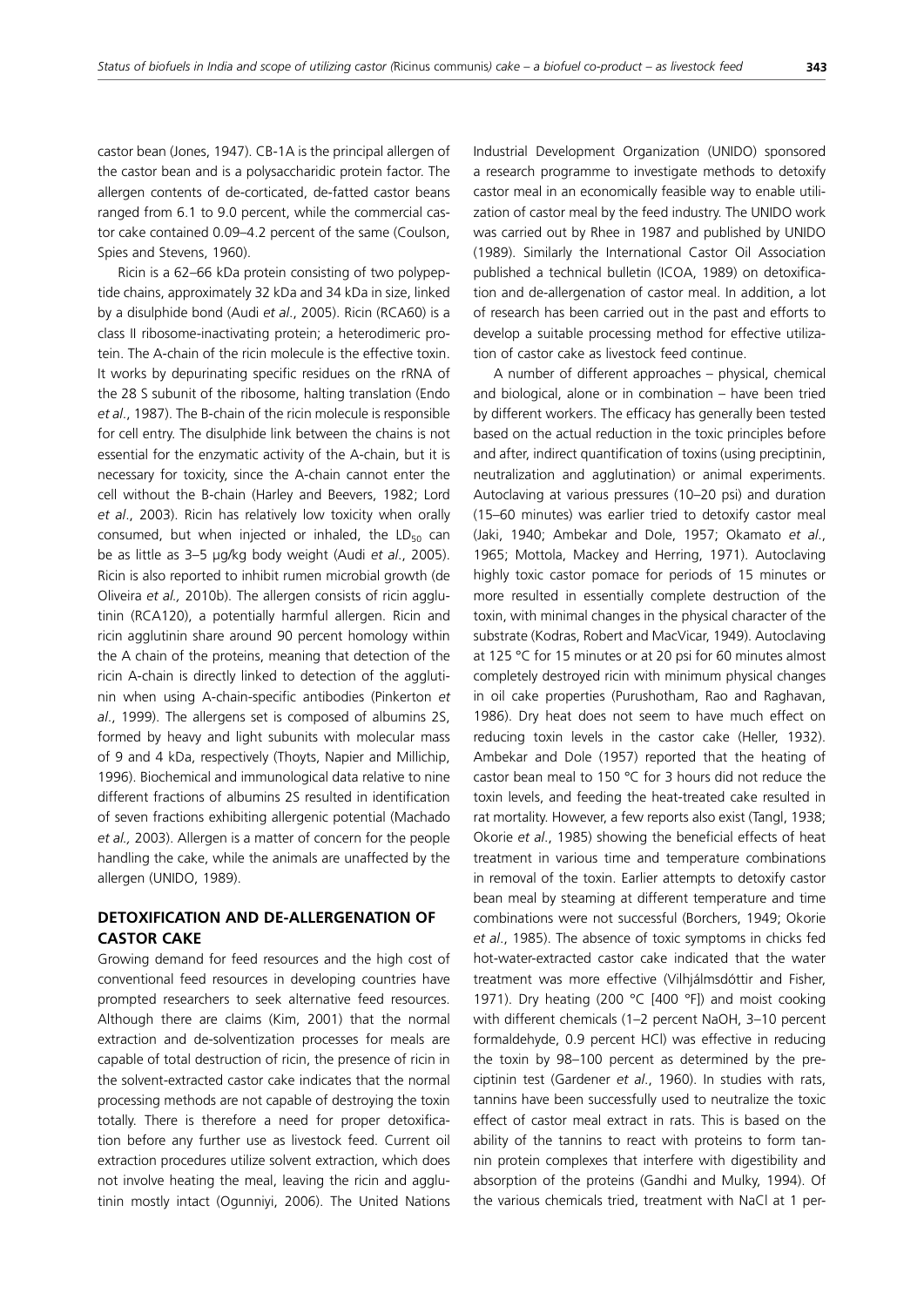castor bean (Jones, 1947). CB-1A is the principal allergen of the castor bean and is a polysaccharidic protein factor. The allergen contents of de-corticated, de-fatted castor beans ranged from 6.1 to 9.0 percent, while the commercial castor cake contained 0.09–4.2 percent of the same (Coulson, Spies and Stevens, 1960).

Ricin is a 62–66 kDa protein consisting of two polypeptide chains, approximately 32 kDa and 34 kDa in size, linked by a disulphide bond (Audi *et al*., 2005). Ricin (RCA60) is a class II ribosome-inactivating protein; a heterodimeric protein. The A-chain of the ricin molecule is the effective toxin. It works by depurinating specific residues on the rRNA of the 28 S subunit of the ribosome, halting translation (Endo *et al*., 1987). The B-chain of the ricin molecule is responsible for cell entry. The disulphide link between the chains is not essential for the enzymatic activity of the A-chain, but it is necessary for toxicity, since the A-chain cannot enter the cell without the B-chain (Harley and Beevers, 1982; Lord *et al*., 2003). Ricin has relatively low toxicity when orally consumed, but when injected or inhaled, the  $LD_{50}$  can be as little as 3–5 µg/kg body weight (Audi *et al*., 2005). Ricin is also reported to inhibit rumen microbial growth (de Oliveira *et al.,* 2010b). The allergen consists of ricin agglutinin (RCA120), a potentially harmful allergen. Ricin and ricin agglutinin share around 90 percent homology within the A chain of the proteins, meaning that detection of the ricin A-chain is directly linked to detection of the agglutinin when using A-chain-specific antibodies (Pinkerton *et al*., 1999). The allergens set is composed of albumins 2S, formed by heavy and light subunits with molecular mass of 9 and 4 kDa, respectively (Thoyts, Napier and Millichip, 1996). Biochemical and immunological data relative to nine different fractions of albumins 2S resulted in identification of seven fractions exhibiting allergenic potential (Machado *et al.,* 2003). Allergen is a matter of concern for the people handling the cake, while the animals are unaffected by the allergen (UNIDO, 1989).

# **DETOXIFICATION AND DE-ALLERGENATION OF CASTOR CAKE**

Growing demand for feed resources and the high cost of conventional feed resources in developing countries have prompted researchers to seek alternative feed resources. Although there are claims (Kim, 2001) that the normal extraction and de-solventization processes for meals are capable of total destruction of ricin, the presence of ricin in the solvent-extracted castor cake indicates that the normal processing methods are not capable of destroying the toxin totally. There is therefore a need for proper detoxification before any further use as livestock feed. Current oil extraction procedures utilize solvent extraction, which does not involve heating the meal, leaving the ricin and agglutinin mostly intact (Ogunniyi, 2006). The United Nations Industrial Development Organization (UNIDO) sponsored a research programme to investigate methods to detoxify castor meal in an economically feasible way to enable utilization of castor meal by the feed industry. The UNIDO work was carried out by Rhee in 1987 and published by UNIDO (1989). Similarly the International Castor Oil Association published a technical bulletin (ICOA, 1989) on detoxification and de-allergenation of castor meal. In addition, a lot of research has been carried out in the past and efforts to develop a suitable processing method for effective utilization of castor cake as livestock feed continue.

A number of different approaches – physical, chemical and biological, alone or in combination – have been tried by different workers. The efficacy has generally been tested based on the actual reduction in the toxic principles before and after, indirect quantification of toxins (using preciptinin, neutralization and agglutination) or animal experiments. Autoclaving at various pressures (10–20 psi) and duration (15–60 minutes) was earlier tried to detoxify castor meal (Jaki, 1940; Ambekar and Dole, 1957; Okamato *et al*., 1965; Mottola, Mackey and Herring, 1971). Autoclaving highly toxic castor pomace for periods of 15 minutes or more resulted in essentially complete destruction of the toxin, with minimal changes in the physical character of the substrate (Kodras, Robert and MacVicar, 1949). Autoclaving at 125 °C for 15 minutes or at 20 psi for 60 minutes almost completely destroyed ricin with minimum physical changes in oil cake properties (Purushotham, Rao and Raghavan, 1986). Dry heat does not seem to have much effect on reducing toxin levels in the castor cake (Heller, 1932). Ambekar and Dole (1957) reported that the heating of castor bean meal to 150 °C for 3 hours did not reduce the toxin levels, and feeding the heat-treated cake resulted in rat mortality. However, a few reports also exist (Tangl, 1938; Okorie *et al*., 1985) showing the beneficial effects of heat treatment in various time and temperature combinations in removal of the toxin. Earlier attempts to detoxify castor bean meal by steaming at different temperature and time combinations were not successful (Borchers, 1949; Okorie *et al*., 1985). The absence of toxic symptoms in chicks fed hot-water-extracted castor cake indicated that the water treatment was more effective (Vilhjálmsdóttir and Fisher, 1971). Dry heating (200 °C [400 °F]) and moist cooking with different chemicals (1–2 percent NaOH, 3–10 percent formaldehyde, 0.9 percent HCl) was effective in reducing the toxin by 98–100 percent as determined by the preciptinin test (Gardener *et al*., 1960). In studies with rats, tannins have been successfully used to neutralize the toxic effect of castor meal extract in rats. This is based on the ability of the tannins to react with proteins to form tannin protein complexes that interfere with digestibility and absorption of the proteins (Gandhi and Mulky, 1994). Of the various chemicals tried, treatment with NaCl at 1 per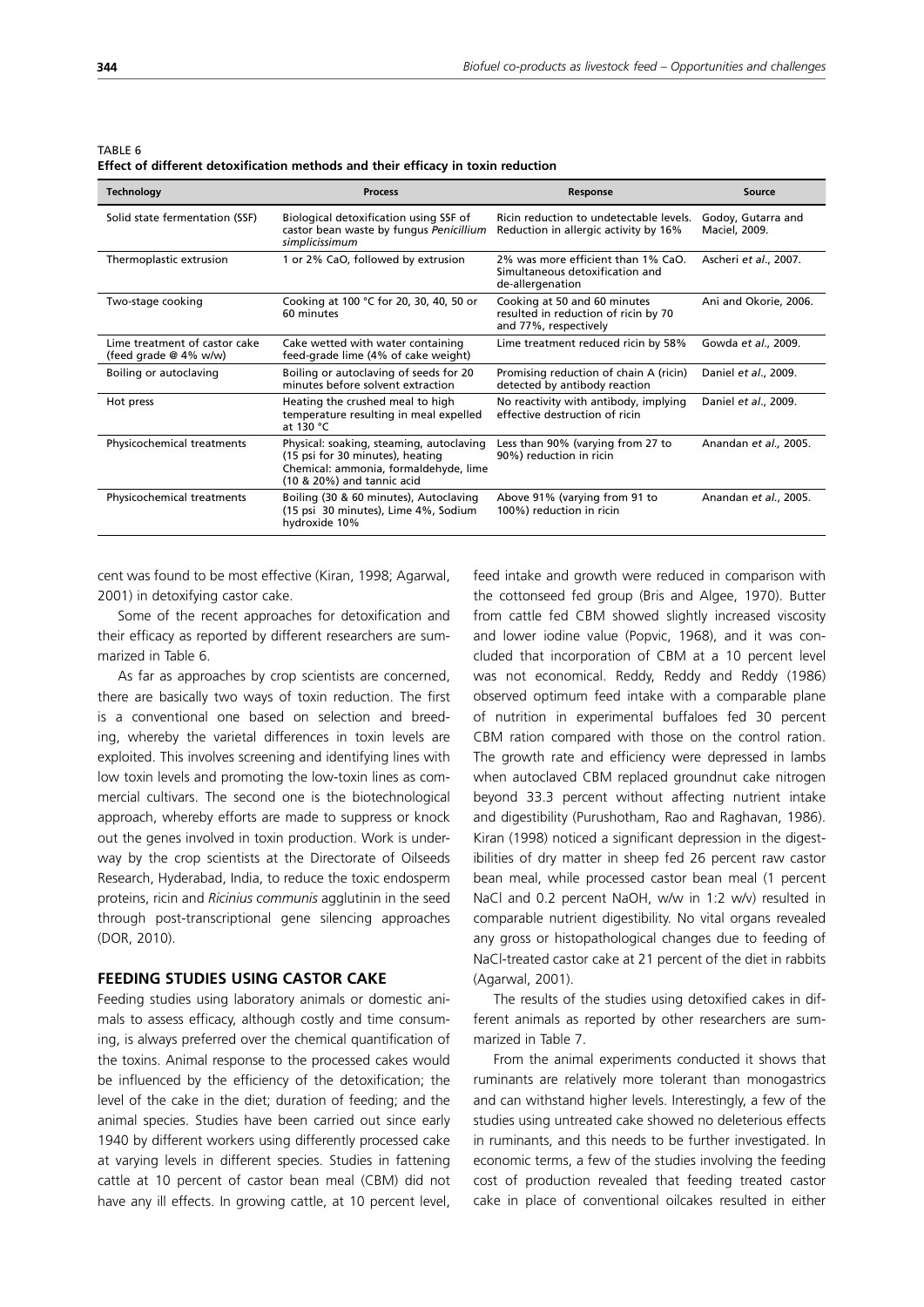TABLE 6

**Effect of different detoxification methods and their efficacy in toxin reduction**

| <b>Technology</b>                                      | <b>Process</b>                                                                                                                                      | <b>Response</b>                                                                               | Source                              |
|--------------------------------------------------------|-----------------------------------------------------------------------------------------------------------------------------------------------------|-----------------------------------------------------------------------------------------------|-------------------------------------|
| Solid state fermentation (SSF)                         | Biological detoxification using SSF of<br>castor bean waste by fungus Penicillium<br>simplicissimum                                                 | Ricin reduction to undetectable levels.<br>Reduction in allergic activity by 16%              | Godoy, Gutarra and<br>Maciel, 2009. |
| Thermoplastic extrusion                                | 1 or 2% CaO, followed by extrusion                                                                                                                  | 2% was more efficient than 1% CaO.<br>Simultaneous detoxification and<br>de-allergenation     | Ascheri et al., 2007.               |
| Two-stage cooking                                      | Cooking at 100 °C for 20, 30, 40, 50 or<br>60 minutes                                                                                               | Cooking at 50 and 60 minutes<br>resulted in reduction of ricin by 70<br>and 77%, respectively | Ani and Okorie, 2006.               |
| Lime treatment of castor cake<br>(feed grade @ 4% w/w) | Cake wetted with water containing<br>feed-grade lime (4% of cake weight)                                                                            | Lime treatment reduced ricin by 58%                                                           | Gowda et al., 2009.                 |
| Boiling or autoclaving                                 | Boiling or autoclaving of seeds for 20<br>minutes before solvent extraction                                                                         | Promising reduction of chain A (ricin)<br>detected by antibody reaction                       | Daniel et al., 2009.                |
| Hot press                                              | Heating the crushed meal to high<br>temperature resulting in meal expelled<br>at 130 °C                                                             | No reactivity with antibody, implying<br>effective destruction of ricin                       | Daniel et al., 2009.                |
| Physicochemical treatments                             | Physical: soaking, steaming, autoclaving<br>(15 psi for 30 minutes), heating<br>Chemical: ammonia, formaldehyde, lime<br>(10 & 20%) and tannic acid | Less than 90% (varying from 27 to<br>90%) reduction in ricin                                  | Anandan et al., 2005.               |
| Physicochemical treatments                             | Boiling (30 & 60 minutes), Autoclaving<br>(15 psi 30 minutes), Lime 4%, Sodium<br>hydroxide 10%                                                     | Above 91% (varying from 91 to<br>100%) reduction in ricin                                     | Anandan et al., 2005.               |

cent was found to be most effective (Kiran, 1998; Agarwal, 2001) in detoxifying castor cake.

Some of the recent approaches for detoxification and their efficacy as reported by different researchers are summarized in Table 6.

As far as approaches by crop scientists are concerned, there are basically two ways of toxin reduction. The first is a conventional one based on selection and breeding, whereby the varietal differences in toxin levels are exploited. This involves screening and identifying lines with low toxin levels and promoting the low-toxin lines as commercial cultivars. The second one is the biotechnological approach, whereby efforts are made to suppress or knock out the genes involved in toxin production. Work is underway by the crop scientists at the Directorate of Oilseeds Research, Hyderabad, India, to reduce the toxic endosperm proteins, ricin and *Ricinius communis* agglutinin in the seed through post-transcriptional gene silencing approaches (DOR, 2010).

## **FEEDING STUDIES USING CASTOR CAKE**

Feeding studies using laboratory animals or domestic animals to assess efficacy, although costly and time consuming, is always preferred over the chemical quantification of the toxins. Animal response to the processed cakes would be influenced by the efficiency of the detoxification; the level of the cake in the diet; duration of feeding; and the animal species. Studies have been carried out since early 1940 by different workers using differently processed cake at varying levels in different species. Studies in fattening cattle at 10 percent of castor bean meal (CBM) did not have any ill effects. In growing cattle, at 10 percent level,

feed intake and growth were reduced in comparison with the cottonseed fed group (Bris and Algee, 1970). Butter from cattle fed CBM showed slightly increased viscosity and lower iodine value (Popvic, 1968), and it was concluded that incorporation of CBM at a 10 percent level was not economical. Reddy, Reddy and Reddy (1986) observed optimum feed intake with a comparable plane of nutrition in experimental buffaloes fed 30 percent CBM ration compared with those on the control ration. The growth rate and efficiency were depressed in lambs when autoclaved CBM replaced groundnut cake nitrogen beyond 33.3 percent without affecting nutrient intake and digestibility (Purushotham, Rao and Raghavan, 1986). Kiran (1998) noticed a significant depression in the digestibilities of dry matter in sheep fed 26 percent raw castor bean meal, while processed castor bean meal (1 percent NaCl and 0.2 percent NaOH, w/w in 1:2 w/v) resulted in comparable nutrient digestibility. No vital organs revealed any gross or histopathological changes due to feeding of NaCl-treated castor cake at 21 percent of the diet in rabbits (Agarwal, 2001).

The results of the studies using detoxified cakes in different animals as reported by other researchers are summarized in Table 7.

From the animal experiments conducted it shows that ruminants are relatively more tolerant than monogastrics and can withstand higher levels. Interestingly, a few of the studies using untreated cake showed no deleterious effects in ruminants, and this needs to be further investigated. In economic terms, a few of the studies involving the feeding cost of production revealed that feeding treated castor cake in place of conventional oilcakes resulted in either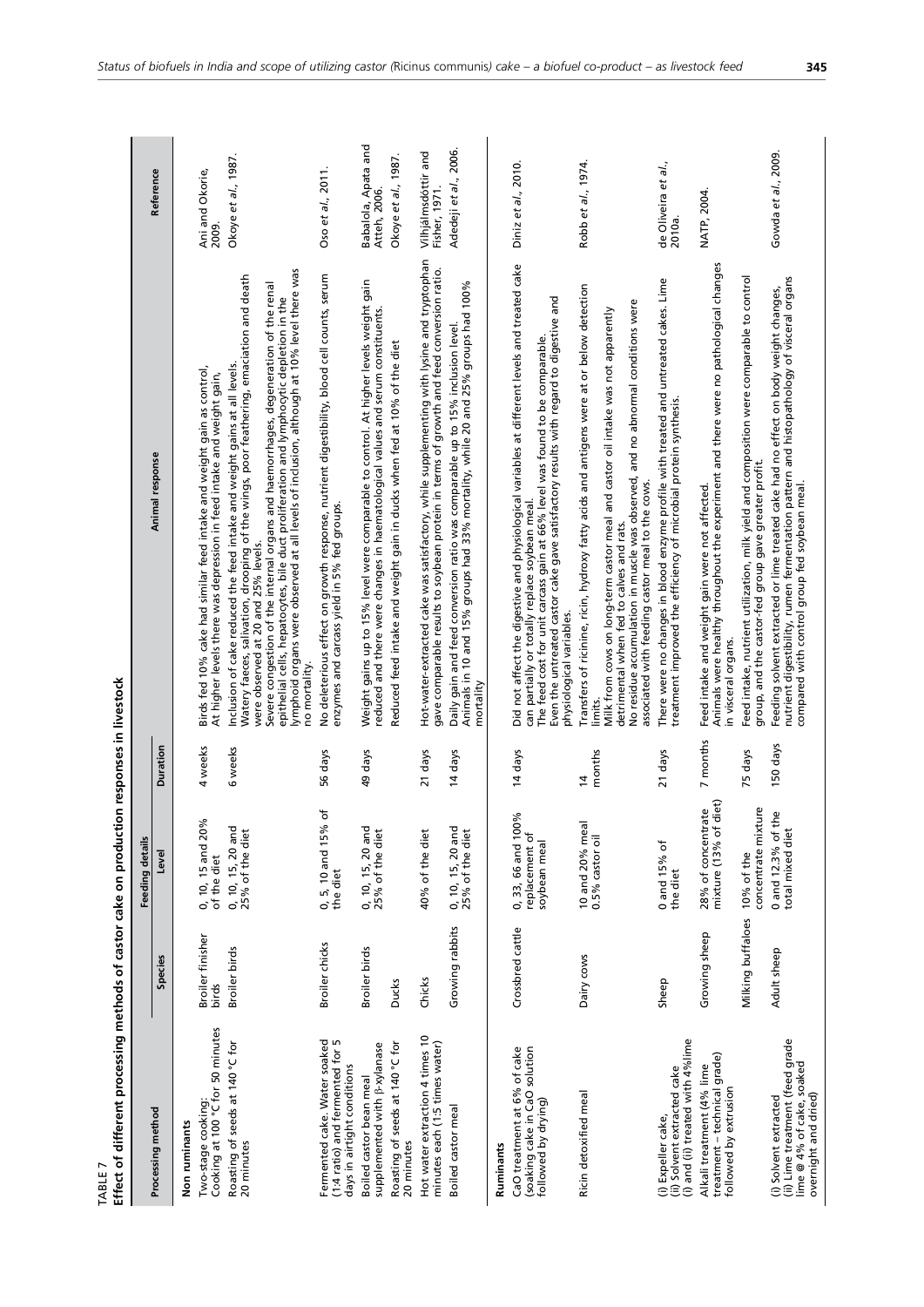| Effect of different processing methods of castor cake on production responses in livestock<br>r<br>TABLE        |                               |                                                           |                          |                                                                                                                                                                                                                                                                                                                                                                                                                                                                                                              |                                                            |
|-----------------------------------------------------------------------------------------------------------------|-------------------------------|-----------------------------------------------------------|--------------------------|--------------------------------------------------------------------------------------------------------------------------------------------------------------------------------------------------------------------------------------------------------------------------------------------------------------------------------------------------------------------------------------------------------------------------------------------------------------------------------------------------------------|------------------------------------------------------------|
|                                                                                                                 |                               | Feeding details                                           |                          |                                                                                                                                                                                                                                                                                                                                                                                                                                                                                                              |                                                            |
| Processing method                                                                                               | Species                       | Level                                                     | Duration                 | Animal response                                                                                                                                                                                                                                                                                                                                                                                                                                                                                              | Reference                                                  |
| Cooking at 100 °C for 50 minutes<br>Two-stage cooking:<br>Non ruminants                                         | Broiler finisher<br>birds     | 0, 10, 15 and 20%<br>of the diet                          | 4 weeks                  | Birds fed 10% cake had similar feed intake and weight gain as control,<br>At higher levels there was depression in feed intake and weight gain,                                                                                                                                                                                                                                                                                                                                                              | Ani and Okorie,<br>2009.                                   |
| Roasting of seeds at 140 °C for<br>20 minutes                                                                   | Broiler birds                 | 0, 10, 15, 20 and<br>25% of the diet                      | 6 weeks                  | lymphoid organs were observed at all levels of inclusion, although at 10% level there was<br>Watery faeces, salivation, drooping of the wings, poor feathering, emaciation and death<br>Severe congestion of the internal organs and haemorrhages, degeneration of the renal<br>epithelial cells, hepatocytes, bile duct proliferation and lymphocytic depletion in the<br>Inclusion of cake reduced the feed intake and weight gains at all levels.<br>were observed at 20 and 25% levels.<br>no mortality. | Okoye et al., 1987.                                        |
| Fermented cake. Water soaked<br>(1:4 ratio) and fermented for 5<br>days in airtight conditions                  | Broiler chicks                | Ⴆ<br>0, 5, 10 and 15%<br>the diet                         | 56 days                  | No deleterious effect on growth response, nutrient digestibility, blood cell counts, serum<br>enzymes and carcass yield in 5% fed groups.                                                                                                                                                                                                                                                                                                                                                                    | Oso et al., 2011.                                          |
| Roasting of seeds at 140 °C for<br>supplemented with $\beta$ -xylanase<br>Boiled castor bean meal<br>20 minutes | Broiler birds<br><b>Ducks</b> | 0, 10, 15, 20 and<br>25% of the diet                      | 49 days                  | Weight gains up to 15% level were comparable to control. At higher levels weight gain<br>reduced and there were changes in haematological values and serum constituents.<br>Reduced feed intake and weight gain in ducks when fed at 10% of the diet                                                                                                                                                                                                                                                         | Babalola, Apata and<br>Okoye et al., 1987.<br>Atteh, 2006. |
| Hot water extraction 4 times 10<br>minutes each (1:5 times water)                                               | Chicks                        | 40% of the diet                                           | 21 days                  | Hot-water-extracted cake was satisfactory, while supplementing with lysine and tryptophan<br>gave comparable results to soybean protein in terms of growth and feed conversion ratio.                                                                                                                                                                                                                                                                                                                        | Vilhjálmsdóttir and<br>Fisher, 1971.                       |
| Boiled castor meal                                                                                              | Growing rabbits               | 0, 10, 15, 20 and<br>25% of the diet                      | 14 days                  | Daily gain and feed conversion ratio was comparable up to 15% inclusion level.<br>Animals in 10 and 15% groups had 33% mortality, while 20 and 25% groups had 100%<br>mortality                                                                                                                                                                                                                                                                                                                              | Adedeji et al., 2006.                                      |
| Ruminants                                                                                                       |                               |                                                           |                          |                                                                                                                                                                                                                                                                                                                                                                                                                                                                                                              |                                                            |
| (soaking cake in CaO solution<br>CaO treatment at 6% of cake<br>followed by drying)                             | Crossbred cattle              | వ్<br>0, 33, 66 and 100<br>replacement of<br>soybean meal | 14 days                  | Did not affect the digestive and physiological variables at different levels and treated cake<br>Even the untreated castor cake gave satisfactory results with regard to digestive and<br>The feed cost for unit carcass gain at 66% level was found to be comparable.<br>can partially or totally replace soybean meal.<br>physiological variables.                                                                                                                                                         | Diniz et al., 2010.                                        |
| Ricin detoxified meal                                                                                           | Dairy cows                    | 10 and 20% mea<br>0.5% castor oil                         | months<br>$\overline{4}$ | Transfers of ricinine, ricin, hydroxy fatty acids and antigens were at or below detection<br>No residue accumulation in muscle was observed, and no abnormal conditions were<br>Milk from cows on long-term castor meal and castor oil intake was not apparently<br>associated with feeding castor meal to the cows.<br>detrimental when fed to calves and rats.<br>limits.                                                                                                                                  | Robb et al., 1974.                                         |
| (i) and (ii) treated with 4% lime<br>(ii) Solvent extracted cake<br>(i) Expeller cake,                          | Sheep                         | 0 and 15% of<br>the diet                                  | 21 days                  | There were no changes in blood enzyme profile with treated and untreated cakes. Lime<br>treatment improved the efficiency of microbial protein synthesis.                                                                                                                                                                                                                                                                                                                                                    | de Oliveira et al.,<br>2010a.                              |
| treatment - technical grade)<br>Alkali treatment (4% lime<br>followed by extrusion                              | Growing sheep                 | diet)<br>ate<br>28% of concentr<br>mixture (13% of        | 7 months                 | Animals were healthy throughout the experiment and there were no pathological changes<br>Feed intake and weight gain were not affected.<br>in visceral organs.                                                                                                                                                                                                                                                                                                                                               | NATP, 2004.                                                |
|                                                                                                                 | Milking buffaloes             | concentrate mixture<br>10% of the                         | 75 days                  | Feed intake, nutrient utilization, milk yield and composition were comparable to control<br>group, and the castor-fed group gave greater profit.                                                                                                                                                                                                                                                                                                                                                             |                                                            |
| (ii) Lime treatment (feed grade<br>lime @ 4% of cake, soaked<br>overnight and dried)<br>(i) Solvent extracted   | Adult sheep                   | 0 and 12.3% of the<br>total mixed diet                    | 150 days                 | nutrient digestibility, rumen fermentation pattern and histopathology of visceral organs<br>compared with control group fed soybean meal.<br>Feeding solvent extracted or lime treated cake had no effect on body weight changes,                                                                                                                                                                                                                                                                            | Gowda et al., 2009.                                        |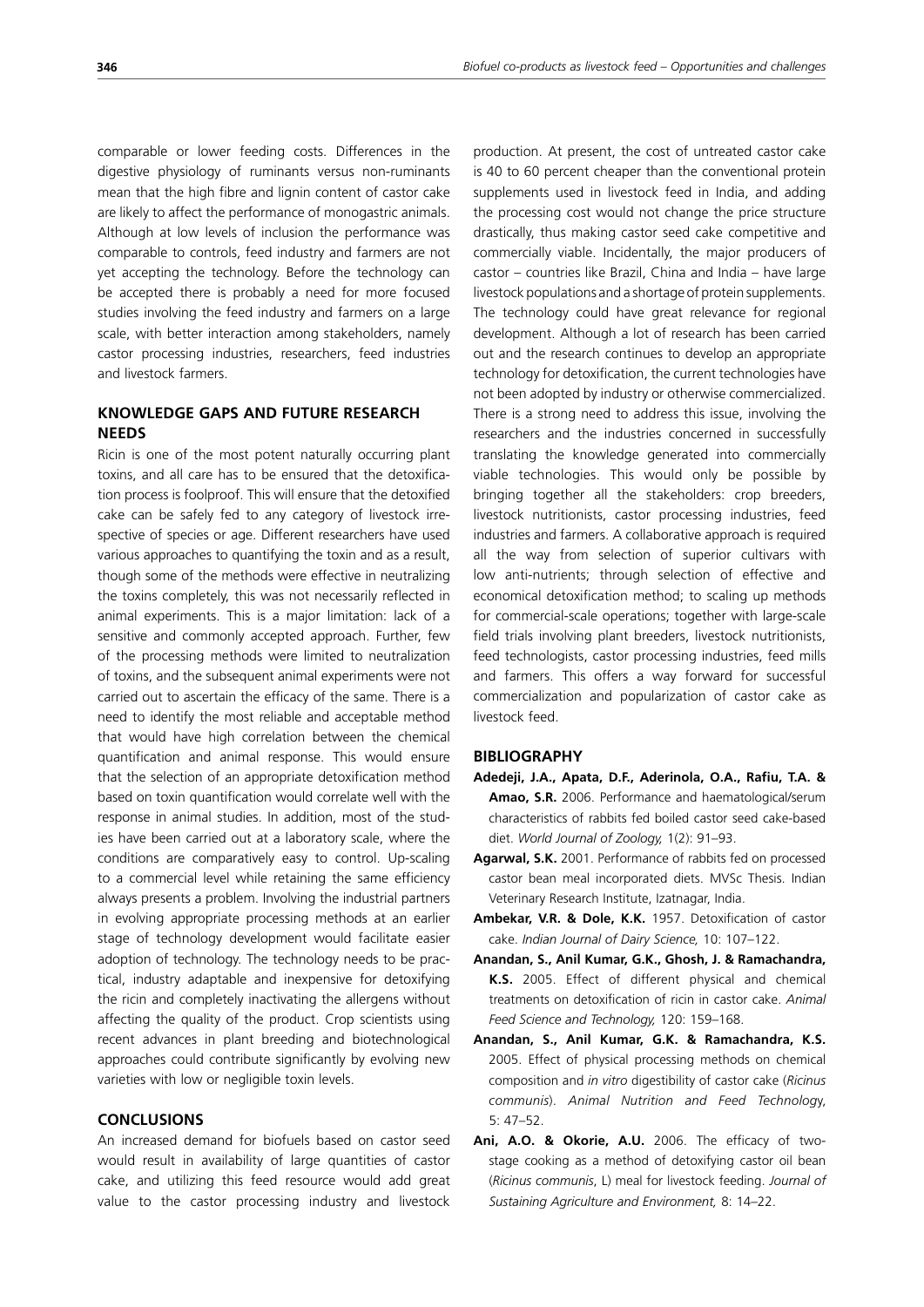comparable or lower feeding costs. Differences in the digestive physiology of ruminants versus non-ruminants mean that the high fibre and lignin content of castor cake are likely to affect the performance of monogastric animals. Although at low levels of inclusion the performance was comparable to controls, feed industry and farmers are not yet accepting the technology. Before the technology can be accepted there is probably a need for more focused studies involving the feed industry and farmers on a large scale, with better interaction among stakeholders, namely castor processing industries, researchers, feed industries and livestock farmers.

# **KNOWLEDGE GAPS AND FUTURE RESEARCH NEEDS**

Ricin is one of the most potent naturally occurring plant toxins, and all care has to be ensured that the detoxification process is foolproof. This will ensure that the detoxified cake can be safely fed to any category of livestock irrespective of species or age. Different researchers have used various approaches to quantifying the toxin and as a result, though some of the methods were effective in neutralizing the toxins completely, this was not necessarily reflected in animal experiments. This is a major limitation: lack of a sensitive and commonly accepted approach. Further, few of the processing methods were limited to neutralization of toxins, and the subsequent animal experiments were not carried out to ascertain the efficacy of the same. There is a need to identify the most reliable and acceptable method that would have high correlation between the chemical quantification and animal response. This would ensure that the selection of an appropriate detoxification method based on toxin quantification would correlate well with the response in animal studies. In addition, most of the studies have been carried out at a laboratory scale, where the conditions are comparatively easy to control. Up-scaling to a commercial level while retaining the same efficiency always presents a problem. Involving the industrial partners in evolving appropriate processing methods at an earlier stage of technology development would facilitate easier adoption of technology. The technology needs to be practical, industry adaptable and inexpensive for detoxifying the ricin and completely inactivating the allergens without affecting the quality of the product. Crop scientists using recent advances in plant breeding and biotechnological approaches could contribute significantly by evolving new varieties with low or negligible toxin levels.

## **CONCLUSIONS**

An increased demand for biofuels based on castor seed would result in availability of large quantities of castor cake, and utilizing this feed resource would add great value to the castor processing industry and livestock production. At present, the cost of untreated castor cake is 40 to 60 percent cheaper than the conventional protein supplements used in livestock feed in India, and adding the processing cost would not change the price structure drastically, thus making castor seed cake competitive and commercially viable. Incidentally, the major producers of castor – countries like Brazil, China and India – have large livestock populations and a shortage of protein supplements. The technology could have great relevance for regional development. Although a lot of research has been carried out and the research continues to develop an appropriate technology for detoxification, the current technologies have not been adopted by industry or otherwise commercialized. There is a strong need to address this issue, involving the researchers and the industries concerned in successfully translating the knowledge generated into commercially viable technologies. This would only be possible by bringing together all the stakeholders: crop breeders, livestock nutritionists, castor processing industries, feed industries and farmers. A collaborative approach is required all the way from selection of superior cultivars with low anti-nutrients; through selection of effective and economical detoxification method; to scaling up methods for commercial-scale operations; together with large-scale field trials involving plant breeders, livestock nutritionists, feed technologists, castor processing industries, feed mills and farmers. This offers a way forward for successful commercialization and popularization of castor cake as livestock feed.

#### **BIBLIOGRAPHY**

- **Adedeji, J.A., Apata, D.F., Aderinola, O.A., Rafiu, T.A. & Amao, S.R.** 2006. Performance and haematological/serum characteristics of rabbits fed boiled castor seed cake-based diet. *World Journal of Zoology,* 1(2): 91–93.
- **Agarwal, S.K.** 2001. Performance of rabbits fed on processed castor bean meal incorporated diets. MVSc Thesis. Indian Veterinary Research Institute, Izatnagar, India.
- **Ambekar, V.R. & Dole, K.K.** 1957. Detoxification of castor cake. *Indian Journal of Dairy Science,* 10: 107–122.
- **Anandan, S., Anil Kumar, G.K., Ghosh, J. & Ramachandra, K.S.** 2005. Effect of different physical and chemical treatments on detoxification of ricin in castor cake. *Animal Feed Science and Technology,* 120: 159–168.
- **Anandan, S., Anil Kumar, G.K. & Ramachandra, K.S.** 2005. Effect of physical processing methods on chemical composition and *in vitro* digestibility of castor cake (*Ricinus communis*). *Animal Nutrition and Feed Technolog*y, 5: 47–52.
- **Ani, A.O. & Okorie, A.U.** 2006. The efficacy of twostage cooking as a method of detoxifying castor oil bean (*Ricinus communis*, L) meal for livestock feeding. *Journal of Sustaining Agriculture and Environment,* 8: 14–22.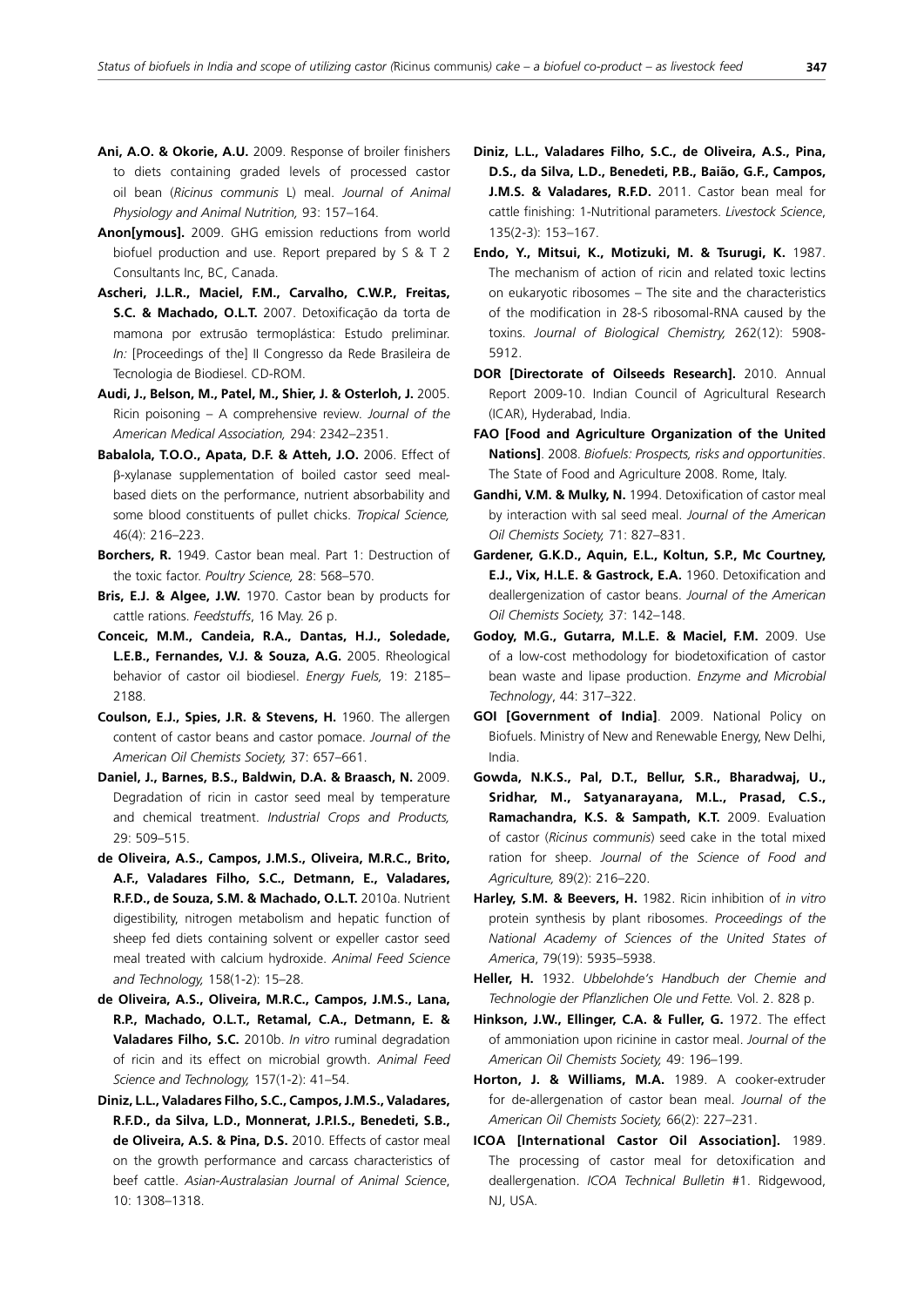- **Ani, A.O. & Okorie, A.U.** 2009. Response of broiler finishers to diets containing graded levels of processed castor oil bean (*Ricinus communis* L) meal. *Journal of Animal Physiology and Animal Nutrition,* 93: 157–164.
- **Anon[ymous].** 2009. GHG emission reductions from world biofuel production and use. Report prepared by S & T 2 Consultants Inc, BC, Canada.
- **Ascheri, J.L.R., Maciel, F.M., Carvalho, C.W.P., Freitas, S.C. & Machado, O.L.T.** 2007. Detoxificação da torta de mamona por extrusão termoplástica: Estudo preliminar. *In:* [Proceedings of the] II Congresso da Rede Brasileira de Tecnologia de Biodiesel. CD-ROM.
- **Audi, J., Belson, M., Patel, M., Shier, J. & Osterloh, J.** 2005. Ricin poisoning – A comprehensive review. *Journal of the American Medical Association,* 294: 2342–2351.
- **Babalola, T.O.O., Apata, D.F. & Atteh, J.O.** 2006. Effect of β-xylanase supplementation of boiled castor seed mealbased diets on the performance, nutrient absorbability and some blood constituents of pullet chicks. *Tropical Science,*  46(4): 216–223.
- **Borchers, R.** 1949. Castor bean meal. Part 1: Destruction of the toxic factor. *Poultry Science,* 28: 568–570.
- **Bris, E.J. & Algee, J.W.** 1970. Castor bean by products for cattle rations. *Feedstuffs*, 16 May. 26 p.
- **Conceic, M.M., Candeia, R.A., Dantas, H.J., Soledade, L.E.B., Fernandes, V.J. & Souza, A.G.** 2005. Rheological behavior of castor oil biodiesel. *Energy Fuels,* 19: 2185– 2188.
- **Coulson, E.J., Spies, J.R. & Stevens, H.** 1960. The allergen content of castor beans and castor pomace. *Journal of the American Oil Chemists Society,* 37: 657–661.
- **Daniel, J., Barnes, B.S., Baldwin, D.A. & Braasch, N.** 2009. Degradation of ricin in castor seed meal by temperature and chemical treatment. *Industrial Crops and Products,*  29: 509–515.
- **de Oliveira, A.S., Campos, J.M.S., Oliveira, M.R.C., Brito, A.F., Valadares Filho, S.C., Detmann, E., Valadares, R.F.D., de Souza, S.M. & Machado, O.L.T.** 2010a. Nutrient digestibility, nitrogen metabolism and hepatic function of sheep fed diets containing solvent or expeller castor seed meal treated with calcium hydroxide. *Animal Feed Science and Technology,* 158(1-2): 15–28.
- **de Oliveira, A.S., Oliveira, M.R.C., Campos, J.M.S., Lana, R.P., Machado, O.L.T., Retamal, C.A., Detmann, E. & Valadares Filho, S.C.** 2010b. *In vitro* ruminal degradation of ricin and its effect on microbial growth. *Animal Feed Science and Technology,* 157(1-2): 41–54.
- **Diniz, L.L., Valadares Filho, S.C., Campos, J.M.S., Valadares, R.F.D., da Silva, L.D., Monnerat, J.P.I.S., Benedeti, S.B., de Oliveira, A.S. & Pina, D.S.** 2010. Effects of castor meal on the growth performance and carcass characteristics of beef cattle. *Asian-Australasian Journal of Animal Science*, 10: 1308–1318.
- **Diniz, L.L., Valadares Filho, S.C., de Oliveira, A.S., Pina, D.S., da Silva, L.D., Benedeti, P.B., Baião, G.F., Campos, J.M.S. & Valadares, R.F.D.** 2011. Castor bean meal for cattle finishing: 1-Nutritional parameters. *Livestock Science*, 135(2-3): 153–167.
- **Endo, Y., Mitsui, K., Motizuki, M. & Tsurugi, K.** 1987. The mechanism of action of ricin and related toxic lectins on eukaryotic ribosomes – The site and the characteristics of the modification in 28-S ribosomal-RNA caused by the toxins. *Journal of Biological Chemistry,* 262(12): 5908- 5912.
- **DOR [Directorate of Oilseeds Research].** 2010. Annual Report 2009-10. Indian Council of Agricultural Research (ICAR), Hyderabad, India.
- **FAO [Food and Agriculture Organization of the United Nations]**. 2008. *Biofuels: Prospects, risks and opportunities*. The State of Food and Agriculture 2008. Rome, Italy.
- **Gandhi, V.M. & Mulky, N.** 1994. Detoxification of castor meal by interaction with sal seed meal. *Journal of the American Oil Chemists Society,* 71: 827–831.
- **Gardener, G.K.D., Aquin, E.L., Koltun, S.P., Mc Courtney, E.J., Vix, H.L.E. & Gastrock, E.A.** 1960. Detoxification and deallergenization of castor beans. *Journal of the American Oil Chemists Society,* 37: 142–148.
- **Godoy, M.G., Gutarra, M.L.E. & Maciel, F.M.** 2009. Use of a low-cost methodology for biodetoxification of castor bean waste and lipase production. *Enzyme and Microbial Technology*, 44: 317–322.
- **GOI [Government of India]**. 2009. National Policy on Biofuels. Ministry of New and Renewable Energy, New Delhi, India.
- **Gowda, N.K.S., Pal, D.T., Bellur, S.R., Bharadwaj, U., Sridhar, M., Satyanarayana, M.L., Prasad, C.S., Ramachandra, K.S. & Sampath, K.T.** 2009. Evaluation of castor (*Ricinus communis*) seed cake in the total mixed ration for sheep. *Journal of the Science of Food and Agriculture,* 89(2): 216–220.
- **Harley, S.M. & Beevers, H.** 1982. Ricin inhibition of *in vitro* protein synthesis by plant ribosomes. *Proceedings of the National Academy of Sciences of the United States of America*, 79(19): 5935–5938.
- **Heller, H.** 1932. *Ubbelohde's Handbuch der Chemie and Technologie der Pflanzlichen Ole und Fette.* Vol. 2. 828 p.
- Hinkson, J.W., Ellinger, C.A. & Fuller, G. 1972. The effect of ammoniation upon ricinine in castor meal. *Journal of the American Oil Chemists Society,* 49: 196–199.
- **Horton, J. & Williams, M.A.** 1989. A cooker-extruder for de-allergenation of castor bean meal. *Journal of the American Oil Chemists Society,* 66(2): 227–231.
- **ICOA [International Castor Oil Association].** 1989. The processing of castor meal for detoxification and deallergenation. *ICOA Technical Bulletin* #1. Ridgewood, NJ, USA.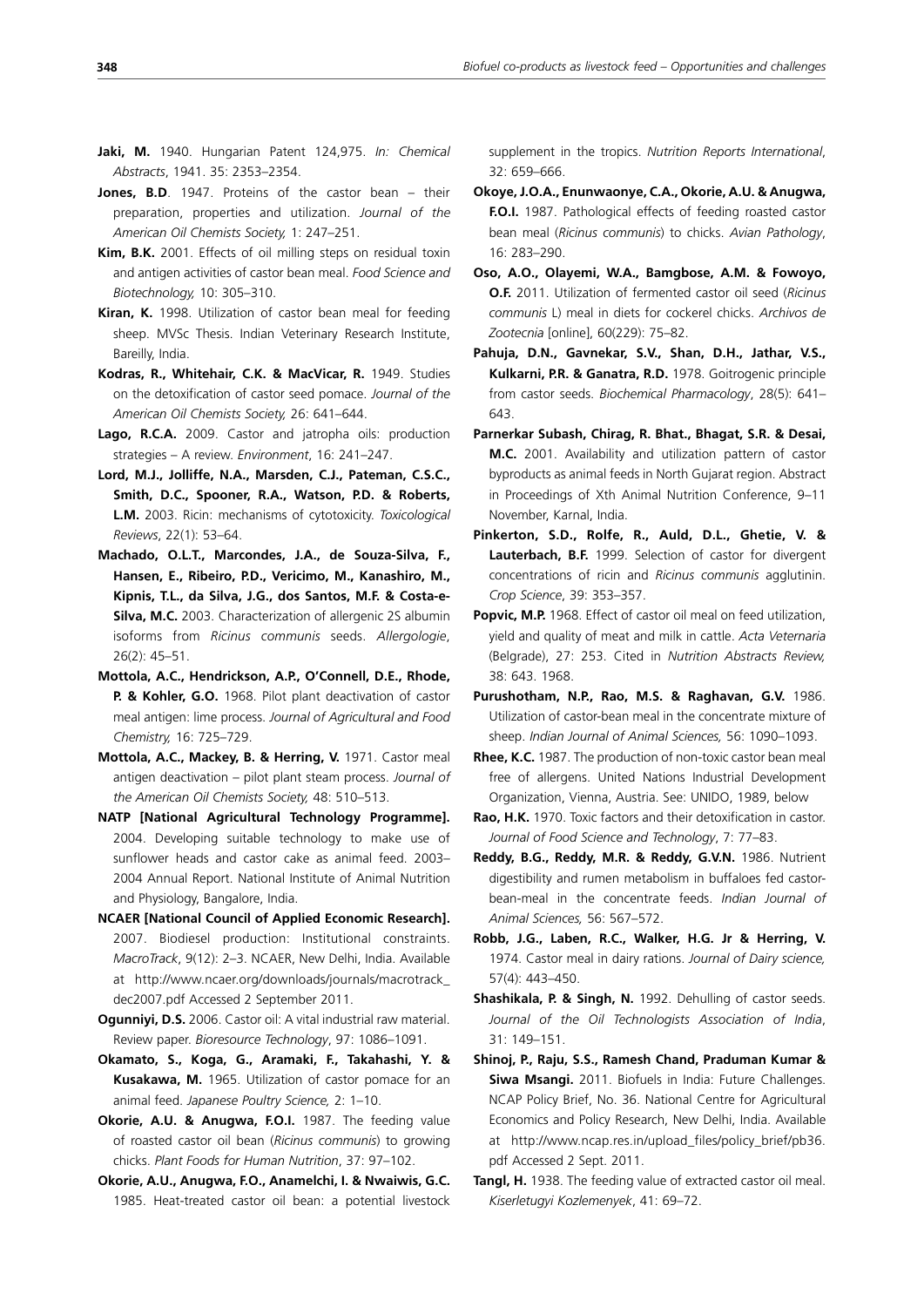- **Jaki, M.** 1940. Hungarian Patent 124,975. *In: Chemical Abstracts*, 1941. 35: 2353–2354.
- **Jones, B.D**. 1947. Proteins of the castor bean their preparation, properties and utilization. *Journal of the American Oil Chemists Society,* 1: 247–251.
- **Kim, B.K.** 2001. Effects of oil milling steps on residual toxin and antigen activities of castor bean meal. *Food Science and Biotechnology,* 10: 305–310.
- **Kiran, K.** 1998. Utilization of castor bean meal for feeding sheep. MVSc Thesis. Indian Veterinary Research Institute, Bareilly, India.
- **Kodras, R., Whitehair, C.K. & MacVicar, R.** 1949. Studies on the detoxification of castor seed pomace. *Journal of the American Oil Chemists Society,* 26: 641–644.
- **Lago, R.C.A.** 2009. Castor and jatropha oils: production strategies – A review. *Environment*, 16: 241–247.
- **Lord, M.J., Jolliffe, N.A., Marsden, C.J., Pateman, C.S.C., Smith, D.C., Spooner, R.A., Watson, P.D. & Roberts, L.M.** 2003. Ricin: mechanisms of cytotoxicity. *Toxicological Reviews*, 22(1): 53–64.
- **Machado, O.L.T., Marcondes, J.A., de Souza-Silva, F., Hansen, E., Ribeiro, P.D., Vericimo, M., Kanashiro, M., Kipnis, T.L., da Silva, J.G., dos Santos, M.F. & Costa-e-Silva, M.C.** 2003. Characterization of allergenic 2S albumin isoforms from *Ricinus communis* seeds. *Allergologie*, 26(2): 45–51.
- **Mottola, A.C., Hendrickson, A.P., O'Connell, D.E., Rhode, P. & Kohler, G.O.** 1968. Pilot plant deactivation of castor meal antigen: lime process. *Journal of Agricultural and Food Chemistry,* 16: 725–729.
- **Mottola, A.C., Mackey, B. & Herring, V.** 1971. Castor meal antigen deactivation – pilot plant steam process. *Journal of the American Oil Chemists Society,* 48: 510–513.
- **NATP [National Agricultural Technology Programme].** 2004. Developing suitable technology to make use of sunflower heads and castor cake as animal feed. 2003– 2004 Annual Report. National Institute of Animal Nutrition and Physiology, Bangalore, India.
- **NCAER [National Council of Applied Economic Research].** 2007. Biodiesel production: Institutional constraints. *MacroTrack*, 9(12): 2–3. NCAER, New Delhi, India. Available at http://www.ncaer.org/downloads/journals/macrotrack\_ dec2007.pdf Accessed 2 September 2011.
- **Ogunniyi, D.S.** 2006. Castor oil: A vital industrial raw material. Review paper. *Bioresource Technology*, 97: 1086–1091.
- **Okamato, S., Koga, G., Aramaki, F., Takahashi, Y. & Kusakawa, M.** 1965. Utilization of castor pomace for an animal feed. *Japanese Poultry Science,* 2: 1–10.
- **Okorie, A.U. & Anugwa, F.O.I.** 1987. The feeding value of roasted castor oil bean (*Ricinus communis*) to growing chicks. *Plant Foods for Human Nutrition*, 37: 97–102.
- **Okorie, A.U., Anugwa, F.O., Anamelchi, I. & Nwaiwis, G.C.** 1985. Heat-treated castor oil bean: a potential livestock

supplement in the tropics. *Nutrition Reports International*, 32: 659–666.

- **Okoye, J.O.A., Enunwaonye, C.A., Okorie, A.U. & Anugwa, F.O.I.** 1987. Pathological effects of feeding roasted castor bean meal (*Ricinus communis*) to chicks. *Avian Pathology*, 16: 283–290.
- **Oso, A.O., Olayemi, W.A., Bamgbose, A.M. & Fowoyo, O.F.** 2011. Utilization of fermented castor oil seed (*Ricinus communis* L) meal in diets for cockerel chicks. *Archivos de Zootecnia* [online], 60(229): 75–82.
- **Pahuja, D.N., Gavnekar, S.V., Shan, D.H., Jathar, V.S., Kulkarni, P.R. & Ganatra, R.D.** 1978. Goitrogenic principle from castor seeds. *Biochemical Pharmacology*, 28(5): 641– 643.
- **Parnerkar Subash, Chirag, R. Bhat., Bhagat, S.R. & Desai, M.C.** 2001. Availability and utilization pattern of castor byproducts as animal feeds in North Gujarat region. Abstract in Proceedings of Xth Animal Nutrition Conference, 9–11 November, Karnal, India.
- **Pinkerton, S.D., Rolfe, R., Auld, D.L., Ghetie, V. & Lauterbach, B.F.** 1999. Selection of castor for divergent concentrations of ricin and *Ricinus communis* agglutinin. *Crop Science*, 39: 353–357.
- **Popvic, M.P.** 1968. Effect of castor oil meal on feed utilization, yield and quality of meat and milk in cattle. *Acta Veternaria*  (Belgrade), 27: 253. Cited in *Nutrition Abstracts Review,* 38: 643. 1968.
- **Purushotham, N.P., Rao, M.S. & Raghavan, G.V.** 1986. Utilization of castor-bean meal in the concentrate mixture of sheep. *Indian Journal of Animal Sciences,* 56: 1090–1093.
- **Rhee, K.C.** 1987. The production of non-toxic castor bean meal free of allergens. United Nations Industrial Development Organization, Vienna, Austria. See: UNIDO, 1989, below
- **Rao, H.K.** 1970. Toxic factors and their detoxification in castor. *Journal of Food Science and Technology*, 7: 77–83.
- **Reddy, B.G., Reddy, M.R. & Reddy, G.V.N.** 1986. Nutrient digestibility and rumen metabolism in buffaloes fed castorbean-meal in the concentrate feeds. *Indian Journal of Animal Sciences,* 56: 567–572.
- **Robb, J.G., Laben, R.C., Walker, H.G. Jr & Herring, V.**  1974. Castor meal in dairy rations. *Journal of Dairy science,*  57(4): 443–450.
- **Shashikala, P. & Singh, N.** 1992. Dehulling of castor seeds. *Journal of the Oil Technologists Association of India*, 31: 149–151.
- **Shinoj, P., Raju, S.S., Ramesh Chand, Praduman Kumar & Siwa Msangi.** 2011. Biofuels in India: Future Challenges. NCAP Policy Brief, No. 36. National Centre for Agricultural Economics and Policy Research, New Delhi, India. Available at http://www.ncap.res.in/upload\_files/policy\_brief/pb36. pdf Accessed 2 Sept. 2011.
- **Tangl, H.** 1938. The feeding value of extracted castor oil meal. *Kiserletugyi Kozlemenyek*, 41: 69–72.